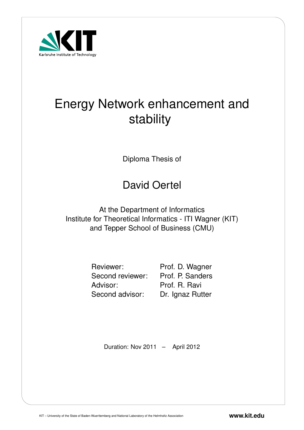

# Energy Network enhancement and stability

Diploma Thesis of

# David Oertel

At the Department of Informatics Institute for Theoretical Informatics - ITI Wagner (KIT) and Tepper School of Business (CMU)

> Advisor: Prof. R. Ravi Second advisor: Dr. Ignaz Rutter

Reviewer: Prof. D. Wagner Second reviewer: Prof. P. Sanders

Duration: Nov 2011 – April 2012

KIT – University of the State of Baden-Wuerttemberg and National Laboratory of the Helmholtz Association **www.kit.edu**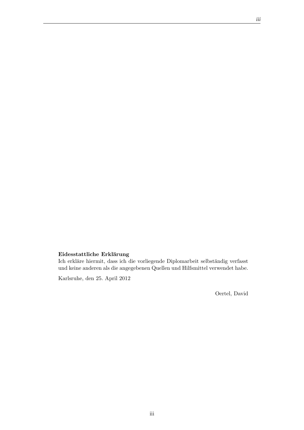#### Eidesstattliche Erklärung

Ich erkläre hiermit, dass ich die vorliegende Diplomarbeit selbständig verfasst und keine anderen als die angegebenen Quellen und Hilfsmittel verwendet habe.

Karlsruhe, den 25. April 2012

Oertel, David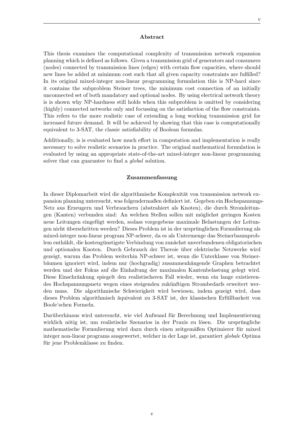#### Abstract

This thesis examines the computational complexity of transmission network expansion planning which is defined as follows. Given a transmission grid of generators and consumers (nodes) connected by transmission lines (edges) with certain flow capacities, where should new lines be added at minimum cost such that all given capacity constraints are fulfilled? In its original mixed-integer non-linear programming formulation this is NP-hard since it contains the subproblem Steiner trees, the minimum cost connection of an initially unconnected set of both mandatory and optional nodes. By using electrical network theory is is shown why NP-hardness still holds when this subproblem is omitted by considering (highly) connected networks only and focussing on the satisfaction of the flow constraints. This refers to the more realistic case of extending a long working transmission grid for increased future demand. It will be achieved by showing that this case is computationally equivalent to 3-SAT, the classic satisfiability of Boolean formulas.

Additionally, is is evaluated how much effort in computation and implementation is really necessary to solve realistic scenarios in practice. The original mathematical formulation is evaluated by using an appropriate state-of-the-art mixed-integer non-linear programming solver that can guarantee to find a global solution.

#### Zusammenfassung

In dieser Diplomarbeit wird die algorithmische Komplexität von transmission network expansion planning untersucht, was folgendermaßen definiert ist. Gegeben ein Hochspannungs-Netz aus Erzeugern und Verbrauchern (abstrahiert als Knoten), die durch Stromleitungen (Kanten) verbunden sind: An welchen Stellen sollen mit möglichst geringen Kosten neue Leitungen eingefügt werden, sodass vorgegebene maximale Belastungen der Leitungen nicht überschritten werden? Dieses Problem ist in der ursprünglichen Formulierung als mixed-integer non-linear program NP-schwer, da es als Untermenge das Steinerbaumproblem enthählt, die kostengünstigste Verbindung von zunächst unverbundenen obligatorischen und optionalen Knoten. Durch Gebrauch der Theroie über elektrische Netzwerke wird gezeigt, warum das Problem weiterhin NP-schwer ist, wenn die Unterklasse von Steinerbäumen ignoriert wird, indem nur (hochgradig) zusammenhängende Graphen betrachtet werden und der Fokus auf die Einhaltung der maximalen Kantenbelastung gelegt wird. Diese Einschränkung spiegelt den realistischeren Fall wieder, wenn ein lange existierendes Hochspannungsnetz wegen eines steigenden zukunftigen Strombedarfs erweitert wer- ¨ den muss. Die algorithmische Schwierigkeit wird bewiesen, indem gezeigt wird, dass dieses Problem algorithmisch äquivalent zu 3-SAT ist, der klassischen Erfüllbarkeit von Boole'schen Formeln.

Darüberhinaus wird untersucht, wie viel Aufwand für Berechnung und Implementierung wirklich nötig ist, um realistische Szenarios in der Praxis zu lösen. Die ursprüngliche mathematische Formulierung wird dazu durch einen zeitgemäßen Optimierer für mixed integer non-linear programs ausgewertet, welcher in der Lage ist, garantiert globale Optima für jene Problemklasse zu finden.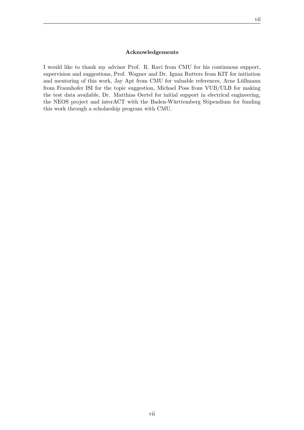#### Acknowledgements

I would like to thank my advisor Prof. R. Ravi from CMU for his continuous support, supervision and suggestions, Prof. Wagner and Dr. Ignaz Rutters from KIT for initiation and mentoring of this work, Jay Apt from CMU for valuable references, Arne Lüllmann from Fraunhofer ISI for the topic suggestion, Michael Poss from VUB/ULB for making the test data available, Dr. Matthias Oertel for initial support in electrical engineering, the NEOS project and interACT with the Baden-Württemberg Stipendium for funding this work through a scholarship program with CMU.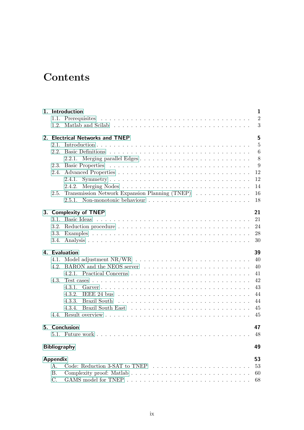## **Contents**

|                 | 1. Introduction                                                              | $\mathbf{1}$   |
|-----------------|------------------------------------------------------------------------------|----------------|
|                 |                                                                              | $\overline{2}$ |
|                 |                                                                              | 3              |
|                 | 2. Electrical Networks and TNEP                                              | 5              |
| 2.1.            |                                                                              | $\overline{5}$ |
| 2.2.            |                                                                              | 6              |
|                 |                                                                              | 8              |
| 2.3.            |                                                                              | 9              |
| 2.4.            |                                                                              | 12             |
|                 | 2.4.1.                                                                       | 12             |
|                 | 2.4.2.                                                                       | 14             |
| 2.5.            | Transmission Network Expansion Planning (TNEP) $\ldots \ldots \ldots \ldots$ | 16             |
|                 |                                                                              | 18             |
|                 | 3. Complexity of TNEP                                                        | 21             |
| $3.1$ .         | Basic Ideas                                                                  | 21             |
|                 |                                                                              | 24             |
| 3.3.            |                                                                              | 28             |
| 3.4.            |                                                                              | 30             |
|                 | 4. Evaluation                                                                | 39             |
|                 |                                                                              | 40             |
|                 | 4.2. BARON and the NEOS server                                               | 40             |
|                 |                                                                              | 41             |
| 4.3.            |                                                                              | 42             |
|                 | 4.3.1.                                                                       | 43             |
|                 | 4.3.2.                                                                       | 44             |
|                 | Brazil South<br>4.3.3.                                                       | 44             |
|                 | 4.3.4.                                                                       | 45             |
|                 |                                                                              | 45             |
|                 | 5. Conclusion                                                                | 47             |
|                 |                                                                              | 48             |
|                 | <b>Bibliography</b>                                                          | 49             |
|                 |                                                                              |                |
| <b>Appendix</b> |                                                                              | 53             |
| A.              | Code: Reduction 3-SAT to TNEP $\ldots \ldots \ldots \ldots \ldots \ldots$    | 53             |
| <b>B.</b>       |                                                                              | 60             |
| C.              |                                                                              | 68             |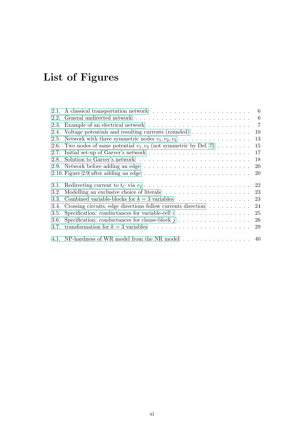# List of Figures

| 2.1. |                                                                                                          |    |
|------|----------------------------------------------------------------------------------------------------------|----|
| 2.2. |                                                                                                          |    |
| 2.3. | Example of an electrical network $\dots \dots \dots \dots \dots \dots \dots \dots \dots \dots \dots$ 7   |    |
| 2.4. | Voltage potentials and resulting currents (rounded) $\ldots \ldots \ldots \ldots$                        | 10 |
| 2.5. | Network with three symmetric nodes $v_1, v_2, v_3, \ldots, \ldots, \ldots, \ldots$                       | 13 |
| 2.6. | Two nodes of same potential $v_1, v_2$ (not symmetric by Def. 7)                                         | 15 |
| 2.7. |                                                                                                          | 17 |
| 2.8. | Solution to Garver's network $\dots \dots \dots \dots \dots \dots \dots \dots \dots \dots$               | 18 |
|      |                                                                                                          | 20 |
|      | 2.10. Figure 2.9 after adding an edge $\ldots \ldots \ldots \ldots \ldots \ldots \ldots \ldots \ldots$   | 20 |
| 3.1. | Redirecting current to $t_C$ via $v_2 \ldots \ldots \ldots \ldots \ldots \ldots \ldots \ldots \ldots 22$ |    |
| 3.2. |                                                                                                          |    |
| 3.3. |                                                                                                          |    |
| 3.4. | Crossing circuits, edge directions follow currents direction                                             | 24 |
| 3.5. |                                                                                                          | 25 |
| 3.6. | Specification: conductances for clause-block $j \ldots \ldots \ldots \ldots \ldots$                      | 26 |
| 3.7. |                                                                                                          | 29 |
|      | 4.1. NP-hardness of WR model from the NR model $\ldots \ldots \ldots \ldots \ldots$ 40                   |    |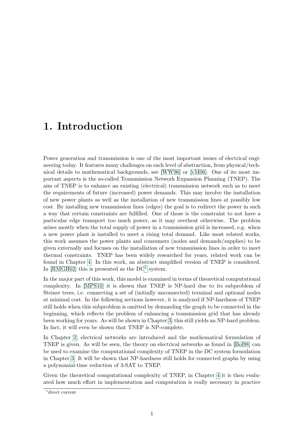## <span id="page-12-0"></span>1. Introduction

Power generation and transmission is one of the most important issues of electrical engineering today. It features many challenges on each level of abstraction, from physical/technical details to mathematical backgrounds, see [\[WW96\]](#page-62-0) or [\[vM06\]](#page-61-0). One of its most important aspects is the so-called Transmission Network Expansion Planning (TNEP). The aim of TNEP is to enhance an existing (electrical) transmission network such as to meet the requirements of future (increased) power demands. This may involve the installation of new power plants as well as the installation of new transmission lines at possibly low cost. By installing new transmission lines (edges) the goal is to redirect the power in such a way that certain constraints are fulfilled. One of those is the constraint to not have a particular edge transport too much power, as it may overheat otherwise. The problem arises mostly when the total supply of power in a transmission grid is increased, e.g. when a new power plant is installed to meet a rising total demand. Like most related works, this work assumes the power plants and consumers (nodes and demands/supplies) to be given externally and focuses on the installation of new transmission lines in order to meet thermal constraints. TNEP has been widely researched for years, related work can be found in Chapter [4.](#page-50-0) In this work, an abstract simplified version of TNEP is considered. In [\[RMGH02\]](#page-61-1) this is presented as the  $DC<sup>1</sup>$  $DC<sup>1</sup>$  $DC<sup>1</sup>$  system.

In the major part of this work, this model is examined in terms of theoretical computational complexity. In [\[MPS10\]](#page-61-2) it is shown that TNEP is NP-hard due to its subproblem of Steiner trees, i.e. connecting a set of (initially unconnected) terminal and optional nodes at minimal cost. In the following sections however, it is analyzed if NP-hardness of TNEP still holds when this subproblem is omitted by demanding the graph to be connected in the beginning, which reflects the problem of enhancing a transmission grid that has already been working for years. As will be shown in Chapter [3,](#page-32-0) this still yields an NP-hard problem. In fact, it will even be shown that TNEP is NP-complete.

In Chapter [2,](#page-16-0) electrical networks are introduced and the mathematical formulation of TNEP is given. As will be seen, the theory on electrical networks as found in [\[Bol98\]](#page-60-1) can be used to examine the computational complexity of TNEP in the DC system formulation in Chapter [3.](#page-32-0) It will be shown that NP-hardness still holds for connected graphs by using a polynomial-time reduction of 3-SAT to TNEP.

Given the theoretical computational complexity of TNEP, in Chapter [4](#page-50-0) it is then evaluated how much effort in implementation and computation is really necessary in practice

<span id="page-12-1"></span><sup>1</sup>direct current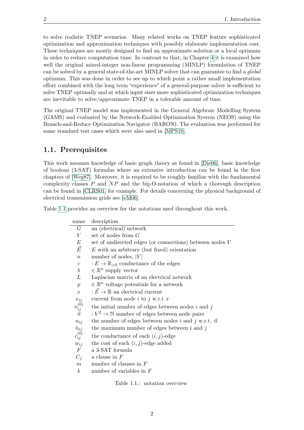to solve realistic TNEP scenarios. Many related works on TNEP feature sophisticated optimization and approximation techniques with possibly elaborate implementation cost. These techniques are mostly designed to find an approximate solution or a local optimum in order to reduce computation time. In contrast to that, in Chapter [4](#page-50-0) it is examined how well the original mixed-integer non-linear programming (MINLP) formulation of TNEP can be solved by a general state-of-the-art MINLP solver that can guarantee to find a global optimum. This was done in order to see up to which point a rather small implementation effort combined with the long term "experience" of a general-purpose solver is sufficient to solve TNEP optimally and at which input sizes more sophisticated optimization techniques are inevitable to solve/approximate TNEP in a tolerable amount of time.

The original TNEP model was implemented in the General Algebraic Modelling System (GAMS) and evaluated by the Network-Enabled Optimization System (NEOS) using the Branch-and-Reduce Optimization Navigator (BARON). The evaluation was performed for some standard test cases which were also used in [\[MPS10\]](#page-61-2).

#### <span id="page-13-0"></span>1.1. Prerequisites

This work assumes knowledge of basic graph theory as found in [\[Die06\]](#page-60-2), basic knowledge of boolean (3-SAT) formulas where an extensive introduction can be found in the first chapters of [\[Weg87\]](#page-62-1). Moreover, it is required to be roughly familiar with the fundamental complexity classes  $P$  and  $NP$  and the big-O-notation of which a thorough description can be found in [\[CLRS01\]](#page-60-3) for example. For details concerning the physical background of electrical transmission grids see [\[vM06\]](#page-61-0).

Table [1.1](#page-13-1) provides an overview for the notations used throughout this work.

| name                                                           | description                                                       |
|----------------------------------------------------------------|-------------------------------------------------------------------|
| $G\,$                                                          | an (electrical) network                                           |
| V                                                              | set of nodes from $G$                                             |
| E                                                              | set of undirected edges (or connections) between nodes V          |
| $\vec{E}$                                                      | $E$ with an arbitrary (but fixed) orientation                     |
| $\boldsymbol{n}$                                               | number of nodes, $ V $                                            |
| $\mathfrak{c}$                                                 | $E \to \mathbb{R}_{>0}$ conductance of the edges                  |
| $\boldsymbol{b}$                                               | $\in \mathbb{R}^n$ supply vector                                  |
| L                                                              | Laplacian matrix of an electrical network                         |
| $\mathcal{p}$                                                  | $\in \mathbb{R}^n$ voltage potentials for a network               |
| $\boldsymbol{x}$                                               | $: \vec{E} \to \mathbb{R}$ an electrical current                  |
|                                                                | current from node i to j w.r.t x                                  |
| $\begin{array}{c} x_{ij}\\ n_{ij}^{(0)}\\ \vec{n} \end{array}$ | the initial number of edges between nodes $i$ and $j$             |
|                                                                | : $V^2 \rightarrow \mathbb{N}$ number of edges between node pairs |
| $n_{ij}$                                                       | the number of edges between nodes i and j w.r.t. $\vec{n}$        |
|                                                                | the maximum number of edges between $i$ and $j$                   |
| $\bar{n}_{ij} \newline \hspace*{1em} c_{ij}^{(0)}$             | the conductance of each $(i, j)$ -edge                            |
| $w_{ij}$                                                       | the cost of each $(i, j)$ -edge added                             |
| $\boldsymbol{F}$                                               | a 3-SAT formula                                                   |
| $C_i$                                                          | a clause in $F$                                                   |
| $\boldsymbol{m}$                                               | number of clauses in $F$                                          |
| $\boldsymbol{k}$                                               | number of variables in $F$                                        |

<span id="page-13-1"></span>Table 1.1.: notation overview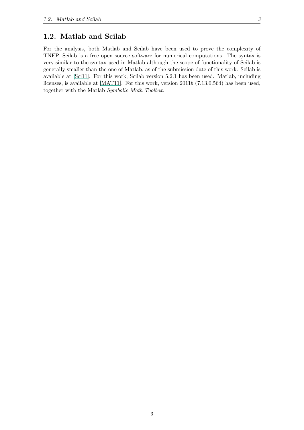#### <span id="page-14-0"></span>1.2. Matlab and Scilab

For the analysis, both Matlab and Scilab have been used to prove the complexity of TNEP. Scilab is a free open source software for numerical computations. The syntax is very similar to the syntax used in Matlab although the scope of functionality of Scilab is generally smaller than the one of Matlab, as of the submission date of this work. Scilab is available at [\[Sci11\]](#page-61-3). For this work, Scilab version 5.2.1 has been used. Matlab, including licenses, is available at [\[MAT11\]](#page-61-4). For this work, version 2011b (7.13.0.564) has been used, together with the Matlab Symbolic Math Toolbox.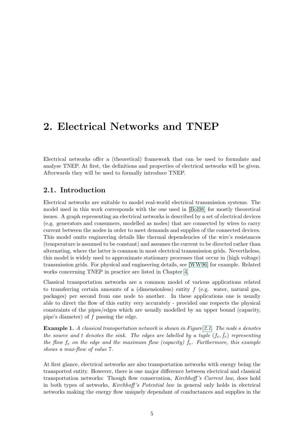### <span id="page-16-0"></span>2. Electrical Networks and TNEP

Electrical networks offer a (theoretical) framework that can be used to formulate and analyse TNEP. At first, the definitions and properties of electrical networks will be given. Afterwards they will be used to formally introduce TNEP.

#### <span id="page-16-1"></span>2.1. Introduction

Electrical networks are suitable to model real-world electrical transmission systems. The model used in this work corresponds with the one used in [\[Bol98\]](#page-60-1) for mostly theoretical issues. A graph representing an electrical networks is described by a set of electrical devices (e.g. generators and consumers, modelled as nodes) that are connected by wires to carry current between the nodes in order to meet demands and supplies of the connected devices. This model omits engineering details like thermal dependencies of the wire's resistances (temperature is assumed to be constant) and assumes the current to be directed rather than alternating, where the latter is common in most electrical transmission grids. Nevertheless, this model is widely used to approximate stationary processes that occur in (high voltage) transmission grids. For physical and engineering details, see [\[WW96\]](#page-62-0) for example. Related works concerning TNEP in practice are listed in Chapter [4.](#page-50-0)

Classical transportation networks are a common model of various applications related to transferring certain amounts of a (dimensionless) entity  $f$  (e.g. water, natural gas, packages) per second from one node to another. In these applications one is usually able to direct the flow of this entity very accurately - provided one respects the physical constraints of the pipes/edges which are usually modelled by an upper bound (capacity, pipe's diameter) of f passing the edge.

**Example 1.** A classical transportation network is shown in Figure [2.1.](#page-17-1) The node s denotes the source and t denotes the sink. The edges are labelled by a tuple  $(f_e, \bar{f}_e)$  representing the flow  $f_e$  on the edge and the maximum flow (capacity)  $\bar{f}_e$ . Furthermore, this example shows a max-flow of value 7.

At first glance, electrical networks are also transportation networks with energy being the transported entity. However, there is one major difference between electrical and classical transportation networks: Though flow conservation, Kirchhoff 's Current law, does hold in both types of networks, Kirchhoff 's Potential law in general only holds in electrical networks making the energy flow uniquely dependant of conductances and supplies in the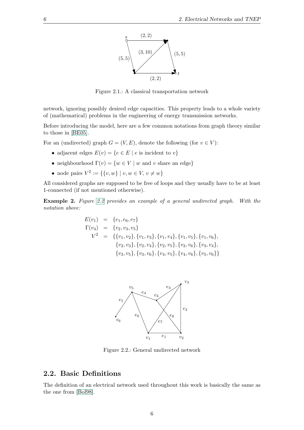

<span id="page-17-1"></span>Figure 2.1.: A classical transportation network

network, ignoring possibly desired edge capacities. This property leads to a whole variety of (mathematical) problems in the engineering of energy transmission networks.

Before introducing the model, here are a few common notations from graph theory similar to those in [\[BE05\]](#page-60-4).

For an (undirected) graph  $G = (V, E)$ , denote the following (for  $v \in V$ ):

- adjacent edges  $E(v) = \{e \in E \mid e \text{ is incident to } v\}$
- neighbourhood  $\Gamma(v) = \{w \in V \mid w \text{ and } v \text{ share an edge}\}\$
- node pairs  $V^2 := \{ \{v, w\} \mid v, w \in V, v \neq w \}$

All considered graphs are supposed to be free of loops and they usually have to be at least 1-connected (if not mentioned otherwise).

Example 2. Figure [2.2](#page-17-2) provides an example of a general undirected graph. With the notation above:

$$
E(v_1) = \{e_1, e_6, e_7\}
$$
  
\n
$$
\Gamma(v_4) = \{v_2, v_3, v_5\}
$$
  
\n
$$
V^2 = \{\{v_1, v_2\}, \{v_1, v_3\}, \{v_1, v_4\}, \{v_1, v_5\}, \{v_1, v_6\}, \{v_2, v_3\}, \{v_2, v_4\}, \{v_2, v_5\}, \{v_2, v_6\}, \{v_3, v_4\}, \{v_3, v_5\}, \{v_3, v_6\}, \{v_4, v_5\}, \{v_4, v_6\}, \{v_5, v_6\}\}
$$



<span id="page-17-2"></span>Figure 2.2.: General undirected network

#### <span id="page-17-0"></span>2.2. Basic Definitions

The definition of an electrical network used throughout this work is basically the same as the one from [\[Bol98\]](#page-60-1).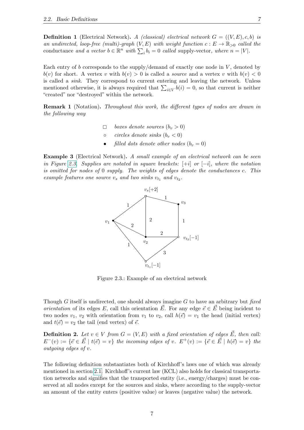**Definition 1** (Electrical Network). A (classical) electrical network  $G = ((V, E), c, b)$  is an undirected, loop-free (multi)-graph  $(V, E)$  with weight function  $c : E \to \mathbb{R}_{>0}$  called the conductance and a vector  $b \in \mathbb{R}^n$  with  $\sum_i b_i = 0$  called supply-vector, where  $n = |V|$ .

Each entry of b corresponds to the supply/demand of exactly one node in  $V$ , denoted by  $b(v)$  for short. A vertex v with  $b(v) > 0$  is called a *source* and a vertex v with  $b(v) < 0$ is called a sink. They correspond to current entering and leaving the network. Unless mentioned otherwise, it is always required that  $\sum_{i\in V} b(i) = 0$ , so that current is neither "created" nor "destroyed" within the network.

**Remark 1** (Notation). Throughout this work, the different types of nodes are drawn in the following way

- $\Box$  boxes denote sources  $(b_v > 0)$ <br>o circles denote sinks  $(b_v < 0)$
- circles denote sinks  $(b_v < 0)$
- filled dots denote other nodes  $(b_v = 0)$

<span id="page-18-1"></span>Example 3 (Electrical Network). A small example of an electrical network can be seen in Figure [2.3.](#page-18-0) Supplies are notated in square brackets:  $[+i]$  or  $[-i]$ , where the notation is omitted for nodes of 0 supply. The weights of edges denote the conductances c. This example features one source  $v_s$  and two sinks  $v_{t_1}$  and  $v_{t_2}$ .



<span id="page-18-0"></span>Figure 2.3.: Example of an electrical network

Though G itself is undirected, one should always imagine  $G$  to have an arbitrary but fixed *orientation* of its edges E, call this orientation  $\vec{E}$ . For any edge  $\vec{e} \in \vec{E}$  being incident to two nodes  $v_1, v_2$  with orientation from  $v_1$  to  $v_2$ , call  $h(\vec{e}) = v_1$  the head (initial vertex) and  $t(\vec{e}) = v_2$  the tail (end vertex) of  $\vec{e}$ .

**Definition 2.** Let  $v \in V$  from  $G = (V, E)$  with a fixed orientation of edges  $\vec{E}$ , then call:  $E^-(v) := \{\vec{e} \in \vec{E} \mid t(\vec{e}) = v\}$  the incoming edges of v.  $E^+(v) := \{\vec{e} \in \vec{E} \mid h(\vec{e}) = v\}$  the outgoing edges of v.

The following definition substantiates both of Kirchhoff's laws one of which was already mentioned in section [2.1.](#page-16-1) Kirchhoff's current law (KCL) also holds for classical transportation networks and signifies that the transported entity (i.e., energy/charges) must be conserved at all nodes except for the sources and sinks, where according to the supply-vector an amount of the entity enters (positive value) or leaves (negative value) the network.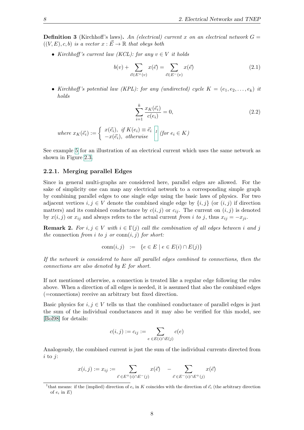**Definition 3** (Kirchhoff's laws). An (electrical) current x on an electrical network  $G =$  $((V, E), c, b)$  is a vector  $x : \overrightarrow{E} \to \mathbb{R}$  that obeys both

• Kirchhoff's current law (KCL): for any  $v \in V$  it holds

<span id="page-19-2"></span>
$$
b(v) + \sum_{\vec{e} \in E^+(v)} x(\vec{e}) = \sum_{\vec{e} \in E^-(v)} x(\vec{e})
$$
\n(2.1)

• Kirchhoff's potential law (KPL): for any (undirected) cycle  $K = (e_1, e_2, \ldots, e_k)$  it holds

$$
\sum_{i=1}^{k} \frac{x_K(\vec{e_i})}{c(e_i)} = 0,
$$
\n(2.2)

where 
$$
x_K(\vec{e}_i) := \begin{cases} x(\vec{e}_i), & \text{if } K(e_i) \equiv \vec{e}_i \\ -x(\vec{e}_i), & \text{otherwise} \end{cases}
$$
 (for  $e_i \in K$ )

See example [5](#page-21-1) for an illustration of an electrical current which uses the same network as shown in Figure [2.3.](#page-18-0)

#### <span id="page-19-0"></span>2.2.1. Merging parallel Edges

Since in general multi-graphs are considered here, parallel edges are allowed. For the sake of simplicity one can map any electrical network to a corresponding simple graph by combining parallel edges to one single edge using the basic laws of physics. For two adjacent vertices  $i, j \in V$  denote the combined single edge by  $\{i, j\}$  (or  $(i, j)$  if direction matters) and its combined conductance by  $c(i, j)$  or  $c_{ij}$ . The current on  $(i, j)$  is denoted by  $x(i, j)$  or  $x_{ij}$  and always refers to the actual current from i to j, thus  $x_{ij} = -x_{ji}$ .

**Remark 2.** For  $i, j \in V$  with  $i \in \Gamma(j)$  call the combination of all edges between i and j the connection from i to j or conn $(i, j)$  for short:

$$
\operatorname{conn}(i,j) \quad := \quad \{ e \in E \mid e \in E(i) \cap E(j) \}
$$

If the network is considered to have all parallel edges combined to connections, then the connections are also denoted by E for short.

If not mentioned otherwise, a connection is treated like a regular edge following the rules above. When a direction of all edges is needed, it is assumed that also the combined edges (=connections) receive an arbitrary but fixed direction.

Basic physics for  $i, j \in V$  tells us that the combined conductance of parallel edges is just the sum of the individual conductances and it may also be verified for this model, see [\[Bol98\]](#page-60-1) for details:

$$
c(i,j) := c_{ij} := \sum_{e \in E(i) \cap E(j)} c(e)
$$

Analogously, the combined current is just the sum of the individual currents directed from  $i$  to  $j$ :

$$
x(i,j) := x_{ij} := \sum_{\vec{e} \in E^+(i) \cap E^-(j)} x(\vec{e}) - \sum_{\vec{e} \in E^-(i) \cap E^+(j)} x(\vec{e})
$$

<span id="page-19-1"></span><sup>&</sup>lt;sup>1</sup>that means: if the (implied) direction of  $e_i$  in K coincides with the direction of  $\vec{e}_i$  (the arbitrary direction of  $e_i$  in  $E$ )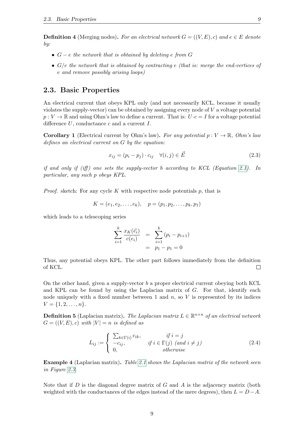**Definition 4** (Merging nodes). For an electrical network  $G = ((V, E), c)$  and  $e \in E$  denote by:

- $G e$  the network that is obtained by deleting e from G
- $G/e$  the network that is obtained by contracting e (that is: merge the end-vertices of e and remove possibly arising loops)

#### <span id="page-20-0"></span>2.3. Basic Properties

An electrical current that obeys KPL only (and not necessarily KCL, because it usually violates the supply-vector) can be obtained by assigning every node of V a voltage potential  $p: V \to \mathbb{R}$  and using Ohm's law to define a current. That is:  $U \cdot c = I$  for a voltage potential difference  $U$ , conductance  $c$  and a current  $I$ .

<span id="page-20-1"></span>**Corollary 1** (Electrical current by Ohm's law). For any potential  $p: V \to \mathbb{R}$ , Ohm's law defines an electrical current on G by the equation:

<span id="page-20-3"></span>
$$
x_{ij} = (p_i - p_j) \cdot c_{ij} \quad \forall (i, j) \in \vec{E}
$$
\n
$$
(2.3)
$$

if and only if (iff) one sets the supply-vector b according to KCL (Equation [2.1\)](#page-19-2). In particular, any such p obeys KPL.

*Proof.* sketch: For any cycle K with respective node potentials  $p$ , that is

$$
K = (e_1, e_2, \dots, e_k), \quad p = (p_1, p_2, \dots, p_k, p_1)
$$

which leads to a telescoping series

$$
\sum_{i=1}^{k} \frac{x_K(\vec{e_i})}{c(e_i)} = \sum_{i=1}^{k} (p_i - p_{i+1})
$$
  
=  $p_1 - p_1 = 0$ 

Thus, any potential obeys KPL. The other part follows immediately from the definition of KCL.  $\Box$ 

On the other hand, given a supply-vector  $b$  a proper electrical current obeying both KCL and KPL can be found by using the Laplacian matrix of  $G$ . For that, identify each node uniquely with a fixed number between 1 and  $n$ , so V is represented by its indices  $V = \{1, 2, \ldots, n\}.$ 

<span id="page-20-2"></span>**Definition 5** (Laplacian matrix). The Laplacian matrix  $L \in \mathbb{R}^{n \times n}$  of an electrical network  $G = ((V, E), c)$  with  $|V| = n$  is defined as

$$
L_{ij} := \begin{cases} \sum_{k \in \Gamma(i)} c_{ik}, & \text{if } i = j \\ -c_{ij}, & \text{if } i \in \Gamma(j) \text{ (and } i \neq j) \\ 0, & \text{otherwise} \end{cases} \tag{2.4}
$$

**Example 4** (Laplacian matrix). Table [2.1](#page-21-2) shows the Laplacian matrix of the network seen in Figure [2.3.](#page-18-0)

Note that if  $D$  is the diagonal degree matrix of  $G$  and  $A$  is the adjacency matrix (both weighted with the conductances of the edges instead of the mere degrees), then  $L = D - A$ .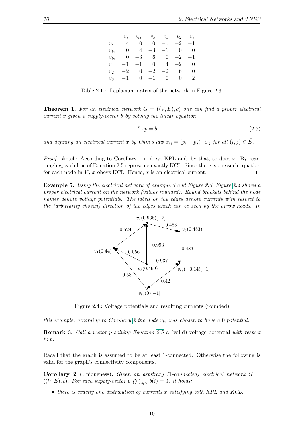|                | $v_s$    | $v_{t_1}$                                       | $v_s$ | $v_1$ | $v_2$                      | $v_{\mathcal{R}}$ |
|----------------|----------|-------------------------------------------------|-------|-------|----------------------------|-------------------|
| $v_{s}$        | 4        |                                                 |       |       | $0 \t 0 \t -1 \t -2 \t -1$ |                   |
| $v_{t}$        | $\Omega$ |                                                 |       |       | $4 -3 -1 0 0$              |                   |
| $v_{to}$       |          | $0 \t -3 \t 6 \t 0 \t -2 \t -1$                 |       |       |                            |                   |
| $v_1$          |          | $-1$ $-1$ 0                                     |       |       | $4 -2$                     | 0                 |
| v <sub>2</sub> |          | $-2$ 0 $-2$ $-2$                                |       |       | 6                          | 0                 |
| $v_3$          |          | $\begin{vmatrix} -1 & 0 & -1 & 0 \end{vmatrix}$ |       |       | 0                          |                   |

<span id="page-21-2"></span>Table 2.1.: Laplacian matrix of the network in Figure [2.3](#page-18-0)

**Theorem 1.** For an electrical network  $G = ((V, E), c)$  one can find a proper electrical  $current x$  given a supply-vector b by solving the linear equation

<span id="page-21-3"></span>
$$
L \cdot p = b \tag{2.5}
$$

and defining an electrical current x by Ohm's law  $x_{ij} = (p_i - p_j) \cdot c_{ij}$  for all  $(i, j) \in \vec{E}$ .

*Proof.* sketch: According to Corollary [1](#page-20-1) p obeys KPL and, by that, so does x. By rearranging, each line of Equation [2.5](#page-21-3) represents exactly KCL. Since there is one such equation for each node in  $V, x$  obeys KCL. Hence,  $x$  is an electrical current.  $\Box$ 

<span id="page-21-1"></span>Example 5. Using the electrical network of example [3](#page-18-1) and Figure [2.3,](#page-18-0) Figure [2.4](#page-21-0) shows a proper electrical current on the network (values rounded). Round brackets behind the node names denote voltage potentials. The labels on the edges denote currents with respect to the (arbitrarily chosen) direction of the edges which can be seen by the arrow heads. In



<span id="page-21-0"></span>Figure 2.4.: Voltage potentials and resulting currents (rounded)

this example, according to Corollary [2](#page-21-4) the node  $v_{t_1}$  was chosen to have a 0 potential.

Remark 3. Call a vector p solving Equation [2.5](#page-21-3) a (valid) voltage potential with respect to b.

Recall that the graph is assumed to be at least 1-connected. Otherwise the following is valid for the graph's connectivity components.

<span id="page-21-4"></span>**Corollary 2** (Uniqueness). Given an arbitrary (1-connected) electrical network  $G =$  $((V, E), c)$ . For each supply-vector  $b \left( \sum_{i \in V} b(i) = 0 \right)$  it holds:

• there is exactly one distribution of currents x satisfying both KPL and KCL.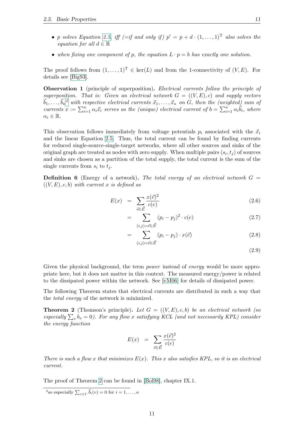- p solves Equation [2.5,](#page-21-3) iff  $(=if and only if)$   $p' = p + d \cdot (1, \ldots, 1)^T$  also solves the equation for all  $d \in \mathbb{R}$
- when fixing one component of p, the equation  $L \cdot p = b$  has exactly one solution.

The proof follows from  $(1, \ldots, 1)^T \in \text{ker}(L)$  and from the 1-connectivity of  $(V, E)$ . For details see [\[Big93\]](#page-60-5).

**Observation 1** (principle of superposition). Electrical currents follow the principle of superposition. That is: Given an electrical network  $G = ((V, E), c)$  and supply vectors  $\vec{b}_1, \ldots, \vec{b}_\kappa{}^2$  $\vec{b}_1, \ldots, \vec{b}_\kappa{}^2$  with respective electrical currents  $\vec{x}_1, \ldots, \vec{x}_\kappa$  on G, then the (weighted) sum of currents  $x := \sum_{i=1}^{\kappa} \alpha_i \vec{x}_i$  serves as the (unique) electrical current of  $b = \sum_{i=1}^{\kappa} \alpha_i \vec{b}_i$ , where  $\alpha_i \in \mathbb{R}$ .

This observation follows immediately from voltage potentials  $p_i$  associated with the  $\vec{x}_i$ and the linear Equation [2.5.](#page-21-3) Thus, the total current can be found by finding currents for reduced single-source-single-target networks, where all other sources and sinks of the original graph are treated as nodes with zero supply. When multiple pairs  $(s_i, t_j)$  of sources and sinks are chosen as a partition of the total supply, the total current is the sum of the single currents from  $s_i$  to  $t_j$ .

**Definition 6** (Energy of a network). The total energy of an electrical network  $G =$  $((V, E), c, b)$  with current x is defined as

<span id="page-22-2"></span>
$$
E(x) = \sum_{\vec{e} \in \vec{E}} \frac{x(\vec{e})^2}{c(e)} \tag{2.6}
$$

$$
= \sum_{(i,j)=\vec{e}\in\vec{E}} (p_i - p_j)^2 \cdot c(e) \tag{2.7}
$$

$$
= \sum_{(i,j)=\vec{e}\in\vec{E}} (p_i - p_j) \cdot x(\vec{e}) \tag{2.8}
$$

$$
(2.9)
$$

Given the physical background, the term *power* instead of *energy* would be more appropriate here, but it does not matter in this context. The measured energy/power is related to the dissipated power within the network. See [\[vM06\]](#page-61-0) for details of dissipated power.

The following Theorem states that electrical currents are distributed in such a way that the total energy of the network is minimized.

<span id="page-22-1"></span>**Theorem 2** (Thomson's principle). Let  $G = ((V, E), c, b)$  be an electrical network (so especially  $\sum_{v} b_v = 0$ ). For any flow x satisfying KCL (and not necessarily KPL) consider the energy function

$$
E(x) = \sum_{\vec{e} \in \vec{E}} \frac{x(\vec{e})^2}{c(e)}
$$

There is such a flow x that minimizes  $E(x)$ . This x also satisfies KPL, so it is an electrical current.

The proof of Theorem [2](#page-22-1) can be found in [\[Bol98\]](#page-60-1), chapter IX.1.

<span id="page-22-0"></span><sup>&</sup>lt;sup>2</sup>so especially  $\sum_{v \in V} \vec{b}_i(v) = 0$  for  $i = 1, \ldots, \kappa$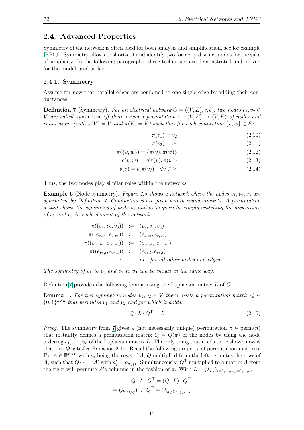#### <span id="page-23-0"></span>2.4. Advanced Properties

Symmetry of the network is often used for both analysis and simplification, see for example [\[BB09\]](#page-60-6). Symmetry allows to short-cut and identify two formerly distinct nodes for the sake of simplicity. In the following paragraphs, these techniques are demonstrated and proven for the model used so far.

#### <span id="page-23-1"></span>2.4.1. Symmetry

Assume for now that parallel edges are combined to one single edge by adding their conductances.

<span id="page-23-2"></span>**Definition 7** (Symmetry). For an electrical network  $G = ((V, E), c, b)$ , two nodes  $v_1, v_2 \in$ V are called symmetric iff there exists a permutation  $\pi : (V, E) \to (V, E)$  of nodes and connections (with  $\pi(V) = V$  and  $\pi(E) = E$ ) such that for each connection  $\{v, w\} \in E$ :

<span id="page-23-4"></span> $\pi(v_1) = v_2$  (2.10)

$$
\pi(v_2) = v_1 \tag{2.11}
$$

$$
\pi(\{v, w\}) = \{\pi(v), \pi(w)\}\tag{2.12}
$$

$$
c(v, w) = c(\pi(v), \pi(w))
$$
\n(2.13)

$$
b(v) = b(\pi(v)) \quad \forall v \in V \tag{2.14}
$$

Thus, the two nodes play similar roles within the networks.

**Example 6** (Node symmetry). Figure [2.5](#page-24-0) shows a network where the nodes  $v_1, v_2, v_3$  are symmetric by Definition [7.](#page-23-2) Conductances are given within round brackets. A permutation  $\pi$  that shows the symmetry of node  $v_1$  and  $v_2$  is given by simply switching the appearance of  $v_1$  and  $v_2$  in each element of the network:

$$
\pi((v_1, v_2, v_3)) := (v_2, v_1, v_3)
$$
  
\n
$$
\pi((e_{s,v_1}, e_{s,v_2})) := (e_{s,v_2}, e_{s,v_1})
$$
  
\n
$$
\pi((e_{v_1,v_3}, e_{v_2,v_3})) := (e_{v_2,v_3}, e_{v_1,v_3})
$$
  
\n
$$
\pi((e_{v_1,t}, e_{v_2,t})) := (e_{v_2,t}, e_{v_1,t})
$$
  
\n
$$
\pi \equiv id \text{ for all other nodes and edges}
$$

The symmetry of  $v_1$  to  $v_3$  and  $v_2$  to  $v_3$  can be shown in the same way.

Definition [7](#page-23-2) provides the following lemma using the Laplacian matrix  $L$  of  $G$ .

<span id="page-23-5"></span>**Lemma 1.** For two symmetric nodes  $v_1, v_2 \in V$  there exists a permutation matrix  $Q \in$  $\{0,1\}^{n \times n}$  that permutes  $v_1$  and  $v_2$  and for which it holds:

<span id="page-23-3"></span>
$$
Q \cdot L \cdot Q^{\mathrm{T}} = L \tag{2.15}
$$

*Proof.* The symmetry from [7](#page-23-2) gives a (not necessarily unique) permutation  $\pi \in \text{perm}(n)$ that instantly defines a permutation matrix  $Q = Q(\pi)$  of the nodes by using the node ordering  $v_1, \ldots, v_n$  of the Laplacian matrix L. The only thing that needs to be shown now is that this Q satisfies Equation [2.15.](#page-23-3) Recall the following property of permutation matrices: For  $A \in \mathbb{R}^{n \times n}$  with  $a_i$  being the rows of A, Q multiplied from the left permutes the rows of A, such that  $Q \cdot A = A'$  with  $a'_i = a_{\pi(j)}$ . Simultaneously,  $Q^T$  multiplied to a matrix A from the right will permute A's columns in the fashion of  $\pi$ . With  $L = (\lambda_{i,j})_{i=1,\dots,n}$ ,  $i=1,\dots,n$ .

$$
Q \cdot L \cdot Q^{T} = (Q \cdot L) \cdot Q^{T}
$$

$$
= (\lambda_{\pi(i),j})_{i,j} \cdot Q^{T} = (\lambda_{\pi(i),\pi(j)})_{i,j}
$$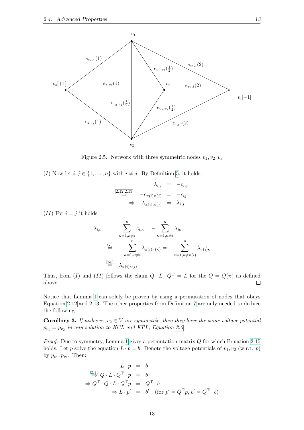

<span id="page-24-0"></span>Figure 2.5.: Network with three symmetric nodes  $v_1, v_2, v_3$ 

(I) Now let  $i, j \in \{1, \ldots, n\}$  with  $i \neq j$ . By Definition [5,](#page-20-2) it holds:

$$
\lambda_{i,j} = -c_{i,j}
$$
\n
$$
\Rightarrow \quad -c_{\pi(i)\pi(j)} = -c_{ij}
$$
\n
$$
\Rightarrow \quad \lambda_{\pi(i),\pi(j)} = \lambda_{i,j}
$$

 $(II)$  For  $i = j$  it holds:

$$
\lambda_{i,i} = \sum_{\kappa=1,\kappa \neq i}^{n} c_{i,\kappa} = -\sum_{\kappa=1,\kappa \neq i}^{n} \lambda_{i\kappa}
$$
\n
$$
\stackrel{(I)}{=} -\sum_{\kappa=1,\kappa \neq i}^{n} \lambda_{\pi(i)\pi(\kappa)} = -\sum_{\kappa=1,\kappa \neq \pi(i)}^{n} \lambda_{\pi(i)\kappa}
$$
\nDef. 
$$
\lambda_{\pi(i)\pi(i)}
$$

Thus, from (I) and (II) follows the claim  $Q \cdot L \cdot Q^{T} = L$  for the  $Q = Q(\pi)$  as defined above. above.

Notice that Lemma [1](#page-23-5) can solely be proven by using a permutation of nodes that obeys Equation [2.12](#page-23-4) and [2.13.](#page-23-4) The other properties from Definition [7](#page-23-2) are only needed to deduce the following.

**Corollary 3.** If nodes  $v_1, v_2 \in V$  are symmetric, then they have the same voltage potential  $p_{v_1} = p_{v_2}$  in any solution to KCL and KPL, Equation [2.5.](#page-21-3)

*Proof.* Due to symmetry, Lemma [1](#page-23-5) gives a permutation matrix  $Q$  for which Equation [2.15](#page-23-3) holds. Let p solve the equation  $L \cdot p = b$ . Denote the voltage potentials of  $v_1, v_2$  (w.r.t. p) by  $p_{v_1}, p_{v_2}$ . Then:

$$
L \cdot p = b
$$
  
\n
$$
\stackrel{2.15}{\Rightarrow} Q \cdot L \cdot Q^{T} \cdot p = b
$$
  
\n
$$
\Rightarrow Q^{T} \cdot Q \cdot L \cdot Q^{T} p = Q^{T} \cdot b
$$
  
\n
$$
\Rightarrow L \cdot p' = b' \quad \text{(for } p' = Q^{T} p, b' = Q^{T} \cdot b)
$$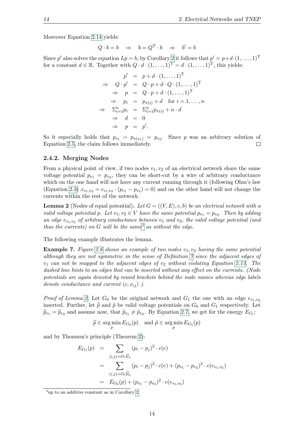Moreover Equation [2.14](#page-23-4) yields:

$$
Q \cdot b = b \quad \Rightarrow \quad b = Q^{\mathrm{T}} \cdot b \quad \Rightarrow \quad b' = b
$$

Since p' also solves the equation  $Lp = b$ , by Corollary [2](#page-21-4) it follows that  $p' = p + d \cdot (1, \ldots, 1)^T$ for a constant  $d \in \mathbb{R}$ . Together with  $Q \cdot d \cdot (1, \ldots, 1)^{\mathrm{T}} = d \cdot (1, \ldots, 1)^{\mathrm{T}}$ , this yields:

$$
p' = p + d \cdot (1, \dots, 1)^{\mathrm{T}}
$$
  
\n
$$
\Rightarrow Q \cdot p' = Q \cdot p + d \cdot Q \cdot (1, \dots, 1)^{\mathrm{T}}
$$
  
\n
$$
\Rightarrow p = Q \cdot p + d \cdot (1, \dots, 1)^{\mathrm{T}}
$$
  
\n
$$
\Rightarrow p_i = p_{\pi(i)} + d \text{ for } i = 1, \dots, n
$$
  
\n
$$
\Rightarrow \sum_{i=1}^{n} p_i = \sum_{i=1}^{n} p_{\pi(i)} + n \cdot d
$$
  
\n
$$
\Rightarrow d = 0
$$
  
\n
$$
\Rightarrow p = p'.
$$

So it especially holds that  $p_{v_1} = p_{\pi(v_1)} = p_{v_2}$ . Since p was an arbitrary solution of Equation [2.5,](#page-21-3) the claim follows immediately.  $\Box$ 

#### <span id="page-25-0"></span>2.4.2. Merging Nodes

From a physical point of view, if two nodes  $v_1, v_2$  of an electrical network share the same voltage potential  $p_{v_1} = p_{v_2}$ , they can be short-cut by a wire of arbitrary conductance which on the one hand will not have any current running through it (following Ohm's law (Equation [2.3\)](#page-20-3)  $x_{v_1,v_2} = c_{v_1,v_2} \cdot (p_{v_1} - p_{v_2}) = 0$ ) and on the other hand will not change the currents within the rest of the network.

<span id="page-25-2"></span>**Lemma 2** (Nodes of equal potential). Let  $G = ((V, E), c, b)$  be an electrical network with a valid voltage potential p. Let  $v_1, v_2 \in V$  have the same potential  $p_{v_1} = p_{v_2}$ . Then by adding an edge  $e_{v_1,v_2}$  of arbitrary conductance between  $v_1$  and  $v_2$ , the valid voltage potential (and thus the currents) on G will be the same<sup>[3](#page-25-1)</sup> as without the edge.

The following example illustrates the lemma.

**Example 7.** Figure [2.6](#page-26-0) shows an example of two nodes  $v_1, v_2$  having the same potential although they are not symmetric in the sense of Definition [7](#page-23-2) since the adjacent edges of  $v_1$  can not be mapped to the adjacent edges of  $v_2$  without violating Equation [2.13.](#page-23-4) The dashed line hints to an edges that can be inserted without any effect on the currents. (Node potentials are again denoted by round brackets behind the node names whereas edge labels denote conductance and current  $(c, x_{ij})$ ).

*Proof of Lemma [2.](#page-25-2)* Let  $G_0$  be the original network and  $G_1$  the one with an edge  $e_{v_1,v_2}$ inserted. Further, let  $\hat{p}$  and  $\tilde{p}$  be valid voltage potentials on  $G_0$  and  $G_1$  respectively. Let  $\hat{p}_{v_1} = \hat{p}_{v_2}$  and assume now, that  $\tilde{p}_{v_1} \neq \tilde{p}_{v_2}$ . By Equation [2.7,](#page-22-2) we get for the energy  $E_{G_i}$ :

$$
\widehat{p} \in \argmin_{p} E_{G_0}(p) \quad \text{and } \widetilde{p} \in \argmin_{p} E_{G_1}(p)
$$

and by Thomson's principle (Theorem [2\)](#page-22-1):

$$
E_{G_1}(p) = \sum_{(i,j)=\vec{e}\in \vec{E}_1} (p_i - p_j)^2 \cdot c(e)
$$
  
= 
$$
\sum_{(i,j)=\vec{e}\in \vec{E}_0} (p_i - p_j)^2 \cdot c(e) + (p_{v_1} - p_{v_2})^2 \cdot c(e_{v_1,v_2})
$$
  
= 
$$
E_{G_0}(p) + (p_{v_1} - p_{v_2})^2 \cdot c(e_{v_1,v_2})
$$

<span id="page-25-1"></span><sup>3</sup>up to an additive constant as in Corollary [2](#page-21-4)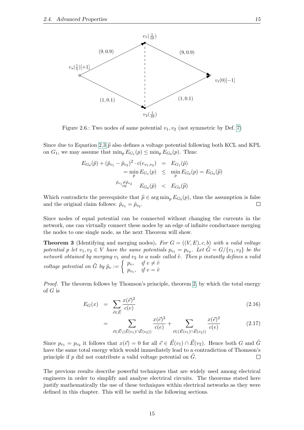

<span id="page-26-0"></span>Figure 2.6.: Two nodes of same potential  $v_1, v_2$  (not symmetric by Def. [7\)](#page-23-2)

Since due to Equation [2.3](#page-20-3)  $\hat{p}$  also defines a voltage potential following both KCL and KPL on  $G_1$ , we may assume that  $\min_p E_{G_1}(p) \leq \min_p E_{G_0}(p)$ . Thus:

$$
E_{G_0}(\tilde{p}) + (\tilde{p}_{v_1} - \tilde{p}_{v_2})^2 \cdot c(e_{v_1, v_2}) = E_{G_1}(\tilde{p})
$$
  
=  $\min_p E_{G_1}(p) \le \min_p E_{G_0}(p) = E_{G_0}(\tilde{p})$   
 $\tilde{p}_{v_1} \neq \tilde{p}_{v_2}$   $E_{G_0}(\tilde{p}) < E_{G_0}(\tilde{p})$ 

Which contradicts the prerequisite that  $\hat{p} \in \arg \min_{p} E_{G_0}(p)$ , thus the assumption is false and the original claim follows:  $\tilde{p}_{v_1} = \tilde{p}_{v_2}$ .  $\Box$ 

Since nodes of equal potential can be connected without changing the currents in the network, one can virtually connect these nodes by an edge of infinite conductance merging the nodes to one single node, as the next Theorem will show.

**Theorem 3** (Identifying and merging nodes). For  $G = ((V, E), c, b)$  with a valid voltage potential p let  $v_1, v_2 \in V$  have the same potentials  $p_{v_1} = p_{v_2}$ . Let  $\tilde{G} = G / \{v_1, v_2\}$  be the network obtained by merging  $v_1$  and  $v_2$  to a node called  $\tilde{v}$ . Then p instantly defines a valid voltage potential on  $\tilde{G}$  by  $\tilde{p}_v := \begin{cases} p_v, & \text{if } v \neq \tilde{v} \\ v, & \text{if } v = \tilde{v} \end{cases}$  $p_{v_1}, \quad \text{if } v = \tilde{v}$ 

Proof. The theorem follows by Thomson's principle, theorem [2,](#page-22-1) by which the total energy of G is

$$
E_G(x) = \sum_{\vec{e} \in \vec{E}} \frac{x(\vec{e})^2}{c(e)} \tag{2.16}
$$

$$
= \sum_{\vec{e} \in \vec{E} \setminus (\vec{E}(v_1) \cap \vec{E}(v_2))} \frac{x(\vec{e})^2}{c(e)} + \sum_{\vec{e} \in (\vec{E}(v_1) \cap \vec{E}(v_2))} \frac{x(\vec{e})^2}{c(e)} \tag{2.17}
$$

Since  $p_{v_1} = p_{v_2}$  it follows that  $x(\vec{e}) = 0$  for all  $\vec{e} \in \vec{E}(v_1) \cap \vec{E}(v_2)$ . Hence both G and  $\tilde{G}$ have the same total energy which would immediately lead to a contradiction of Thomson's principle if  $p$  did not contribute a valid voltage potential on  $G$ .  $\Box$ 

The previous results describe powerful techniques that are widely used among electrical engineers in order to simplify and analyse electrical circuits. The theorems stated here justify mathematically the use of these techniques within electrical networks as they were defined in this chapter. This will be useful in the following sections.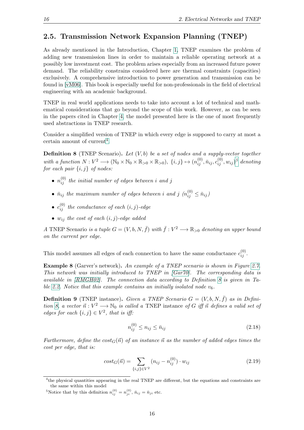#### <span id="page-27-0"></span>2.5. Transmission Network Expansion Planning (TNEP)

As already mentioned in the Introduction, Chapter [1,](#page-12-0) TNEP examines the problem of adding new transmission lines in order to maintain a reliable operating network at a possibly low investment cost. The problem arises especially from an increased future power demand. The reliability constrains considered here are thermal constraints (capacities) exclusively. A comprehensive introduction to power generation and transmission can be found in [\[vM06\]](#page-61-0). This book is especially useful for non-professionals in the field of electrical engineering with an academic background.

TNEP in real world applications needs to take into account a lot of technical and mathematical considerations that go beyond the scope of this work. However, as can be seen in the papers cited in Chapter [4,](#page-50-0) the model presented here is the one of most frequently used abstractions in TNEP research.

Consider a simplified version of TNEP in which every edge is supposed to carry at most a certain amount of current<sup>[4](#page-27-1)</sup>.

<span id="page-27-3"></span>**Definition 8** (TNEP Scenario). Let  $(V, b)$  be a set of nodes and a supply-vector together with a function  $N: V^2 \longrightarrow (\mathbb{N}_0 \times \mathbb{N}_0 \times \mathbb{R}_{>0} \times \mathbb{R}_{>0}), \{i, j\} \mapsto (n_{ij}^{(0)}, \bar{n}_{ij}, c_{ij}^{(0)}, w_{ij})^5$  $N: V^2 \longrightarrow (\mathbb{N}_0 \times \mathbb{N}_0 \times \mathbb{R}_{>0} \times \mathbb{R}_{>0}), \{i, j\} \mapsto (n_{ij}^{(0)}, \bar{n}_{ij}, c_{ij}^{(0)}, w_{ij})^5$  denoting for each pair  $\{i, j\}$  of nodes:

- $\bullet$   $n_{ij}^{(0)}$  the initial number of edges between i and j
- $\bar{n}_{ij}$  the maximum number of edges between i and j  $(n_{ij}^{(0)} \leq \bar{n}_{ij})$
- $\bullet \hspace{0.1cm} c_{ij}^{(0)} \hspace{0.1cm} the \hspace{0.1cm} conductance \hspace{0.1cm} of \hspace{0.1cm} each \hspace{0.1cm} (i, j)\text{-}edge$
- $w_{ij}$  the cost of each  $(i, j)$ -edge added

A TNEP Scenario is a tuple  $G = (V, b, N, \bar{f})$  with  $\bar{f}: V^2 \longrightarrow \mathbb{R}_{>0}$  denoting an upper bound on the current per edge.

This model assumes all edges of each connection to have the same conductance  $c_{ij}^{(0)}$ .

**Example 8** (Garver's network). An example of a TNEP scenario is shown in Figure [2.7.](#page-28-0) This network was initially introduced to TNEP in [\[Gar70\]](#page-60-7). The corresponding data is available in [\[RMGH02\]](#page-61-1). The connection data according to Definition [8](#page-27-3) is given in Ta-ble [2.2.](#page-28-1) Notice that this example contains an initially isolated node  $v_6$ .

<span id="page-27-4"></span>**Definition 9** (TNEP instance). Given a TNEP Scenario  $G = (V, b, N, \bar{f})$  as in Defini-tion [8,](#page-27-3) a vector  $\vec{n}$  :  $V^2 \longrightarrow \mathbb{N}_0$  is called a TNEP instance of G iff  $\vec{n}$  defines a valid set of edges for each  $\{i, j\} \in V^2$ , that is iff:

$$
n_{ij}^{(0)} \le n_{ij} \le \bar{n}_{ij}
$$
\n(2.18)

Furthermore, define the  $cost_G(\vec{n})$  of an instance  $\vec{n}$  as the number of added edges times the cost per edge, that is:

$$
cost_G(\vec{n}) = \sum_{\{i,j\} \in V^2} (n_{ij} - n_{ij}^{(0)}) \cdot w_{ij}
$$
\n(2.19)

<span id="page-27-1"></span><sup>&</sup>lt;sup>4</sup>the physical quantities appearing in the real TNEP are different, but the equations and constraints are the same within this model

<span id="page-27-2"></span><sup>&</sup>lt;sup>5</sup>Notice that by this definition  $n_{ij}^{(0)} = n_{ji}^{(0)}$ ,  $\bar{n}_{ij} = \bar{n}_{ji}$  etc.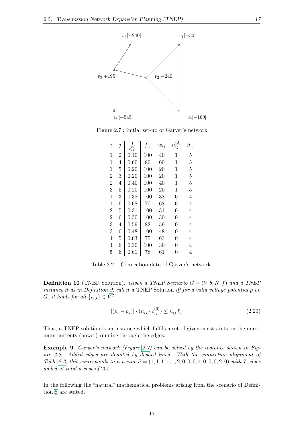

Figure 2.7.: Initial set-up of Garver's network

<span id="page-28-0"></span>

| $\footnotesize i$ | $\dot{j}$      | 1<br>$rac{1}{c_{ij}^{(0)}}$ | $\bar{f}_{ij}$ | $w_{ij}$ | $n_{ij}^{\left(0\right)}$ | $\bar{n}_{ij}$ |
|-------------------|----------------|-----------------------------|----------------|----------|---------------------------|----------------|
| $\mathbf{1}$      | $\overline{2}$ | 0.40                        | 100            | 40       | 1                         | $\overline{5}$ |
| $\mathbf{1}$      | $\overline{4}$ | 0.60                        | 80             | 60       | $\mathbf 1$               | $\overline{5}$ |
| 1                 | $\overline{5}$ | 0.20                        | 100            | 20       | $\mathbf 1$               | $\overline{5}$ |
| $\overline{2}$    | 3              | 0.20                        | 100            | 20       | $\mathbf 1$               | $\overline{5}$ |
| $\overline{2}$    | 4              | 0.40                        | 100            | 40       | $\mathbf 1$               | $\bf 5$        |
| 3                 | $\overline{5}$ | 0.20                        | 100            | 20       | $\mathbf 1$               | $\overline{5}$ |
| $\mathbf{1}$      | 3              | 0.38                        | 100            | 38       | $\overline{0}$            | $\overline{4}$ |
| $\mathbf{1}$      | 6              | 0.68                        | 70             | 68       | $\boldsymbol{0}$          | $\overline{4}$ |
| $\overline{2}$    | $\overline{5}$ | 0.31                        | 100            | 31       | $\overline{0}$            | $\overline{4}$ |
| $\overline{2}$    | 6              | 0.30                        | 100            | 30       | $\overline{0}$            | $\overline{4}$ |
| 3                 | 4              | 0.59                        | 82             | 59       | $\overline{0}$            | 4              |
| 3                 | 6              | 0.48                        | 100            | 48       | $\boldsymbol{0}$          | $\overline{4}$ |
| $\overline{4}$    | $\overline{5}$ | 0.63                        | 75             | 63       | $\overline{0}$            | $\overline{4}$ |
| $\overline{4}$    | 6              | 0.30                        | 100            | 30       | $\overline{0}$            | 4              |
| $\overline{5}$    | 6              | 0.61                        | 78             | 61       | $\overline{0}$            | $\overline{4}$ |

<span id="page-28-1"></span>Table 2.2.: Connection data of Garver's network

**Definition 10** (TNEP Solution). Given a TNEP Scenario  $G = (V, b, N, \bar{f})$  and a TNEP instance  $\vec{n}$  as in Definition [9,](#page-27-4) call  $\vec{n}$  a TNEP Solution iff for a valid voltage potential p on G, it holds for all  $\{i, j\} \in V^2$ 

<span id="page-28-3"></span>
$$
|(p_i - p_j)| \cdot (n_{ij} \cdot c_{ij}^{(0)}) \le n_{ij} \bar{f}_{ij}
$$
\n(2.20)

Thus, a TNEP solution is an instance which fulfils a set of given constraints on the maximum currents (power) running through the edges.

**Example 9.** Garver's network (Figure [2.7\)](#page-28-0) can be solved by the instance shown in Figure [2.8.](#page-29-1) Added edges are denoted by dashed lines. With the connection alignment of Table [2.2,](#page-28-1) this corresponds to a vector  $\vec{n} = (1, 1, 1, 1, 1, 1, 2, 0, 0, 0, 4, 0, 0, 0, 2, 0)$  with 7 edges added at total a cost of 200.

<span id="page-28-2"></span>In the following the "natural" mathematical problems arising from the scenario of Definition [8](#page-27-3) are stated.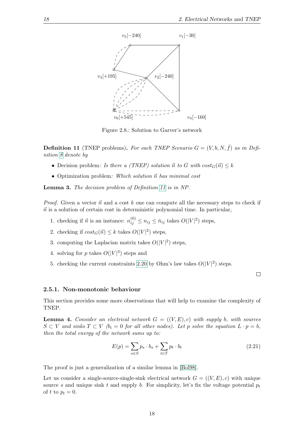

<span id="page-29-1"></span>Figure 2.8.: Solution to Garver's network

**Definition 11** (TNEP problems). For each TNEP Scenario  $G = (V, b, N, \bar{f})$  as in Definition [8](#page-27-3) denote by

- Decision problem: Is there a (TNEP) solution  $\vec{n}$  to G with  $cost_G(\vec{n}) \leq k$
- Optimization problem: Which solution  $\vec{n}$  has minimal cost

Lemma 3. The decision problem of Definition [11](#page-28-2) is in NP.

*Proof.* Given a vector  $\vec{n}$  and a cost k one can compute all the necessary steps to check if  $\vec{n}$  is a solution of certain cost in deterministic polynomial time. In particular,

- 1. checking if  $\vec{n}$  is an instance:  $n_{ij}^{(0)} \le n_{ij} \le \bar{n}_{ij}$  takes  $O(|V|^2)$  steps,
- 2. checking if  $cost_G(\vec{n}) \leq k$  takes  $O(|V|^2)$  steps,
- 3. computing the Laplacian matrix takes  $O(|V|^2)$  steps,
- 4. solving for p takes  $O(|V|^3)$  steps and
- 5. checking the current constraints [2.20](#page-28-3) by Ohm's law takes  $O(|V|^2)$  steps.

#### <span id="page-29-0"></span>2.5.1. Non-monotonic behaviour

This section provides some more observations that will help to examine the complexity of TNEP.

**Lemma 4.** Consider an electrical network  $G = ((V, E), c)$  with supply b, with sources  $S \subset V$  and sinks  $T \subset V$  (b<sub>i</sub> = 0 for all other nodes). Let p solve the equation  $L \cdot p = b$ , then the total energy of the network sums up to:

<span id="page-29-2"></span>
$$
E(p) = \sum_{s \in S} p_s \cdot b_s + \sum_{t \in T} p_t \cdot b_t \tag{2.21}
$$

 $\Box$ 

The proof is just a generalization of a similar lemma in [\[Bol98\]](#page-60-1).

Let us consider a single-source-single-sink electrical network  $G = ((V, E), c)$  with unique source s and unique sink t and supply b. For simplicity, let's fix the voltage potential  $p_t$ of t to  $p_t = 0$ .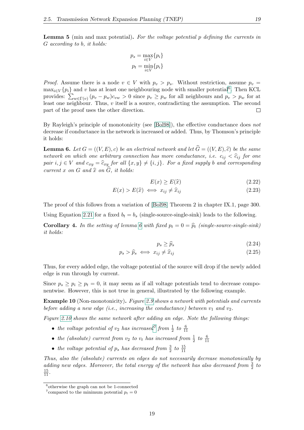**Lemma 5** (min and max potential). For the voltage potential p defining the currents in G according to b, it holds:

$$
p_s = \max_{i \in V} \{p_i\}
$$

$$
p_t = \min_{i \in V} \{p_i\}
$$

*Proof.* Assume there is a node  $v \in V$  with  $p_v > p_s$ . Without restriction, assume  $p_v =$  $\max_{i \in V} \{p_i\}$  and v has at least one neighbouring node with smaller potential<sup>[6](#page-30-0)</sup>. Then KCL provides:  $\sum_{w \in \Gamma(v)} (p_v - p_w)c_{vw} > 0$  since  $p_v \ge p_w$  for all neighbours and  $p_v > p_w$  for at least one neighbour. Thus,  $v$  itself is a source, contradicting the assumption. The second part of the proof uses the other direction.

By Rayleigh's principle of monotonicity (see [\[Bol98\]](#page-60-1)), the effective conductance does not decrease if conductance in the network is increased or added. Thus, by Thomson's principle it holds:

<span id="page-30-1"></span>**Lemma 6.** Let  $G = ((V, E), c)$  be an electrical network and let  $\widehat{G} = ((V, E), \widehat{c})$  be the same network on which one arbitrary connection has more conductance, i.e.  $c_{ij} < \hat{c}_{ij}$  for one pair  $i, j \in V$  and  $c_{xy} = \hat{c}_{xy}$  for all  $\{x, y\} \neq \{i, j\}$ . For a fixed supply b and corresponding current x on G and  $\hat{x}$  on  $\hat{G}$ , it holds:

$$
E(x) \ge E(\hat{x})\tag{2.22}
$$

$$
E(x) > E(\hat{x}) \iff x_{ij} \neq \hat{x}_{ij}
$$
\n
$$
(2.23)
$$

The proof of this follows from a variation of [\[Bol98\]](#page-60-1) Theorem 2 in chapter IX.1, page 300. Using Equation [2.21](#page-29-2) for a fixed  $b_t = b_s$  (single-source-single-sink) leads to the following.

**Corollary 4.** In the setting of lemma [6](#page-30-1) with fixed  $p_t = 0 = \hat{p}_t$  (single-source-single-sink) it holds:

$$
p_s \ge \widehat{p}_s \tag{2.24}
$$

$$
p_s > \hat{p}_s \iff x_{ij} \neq \hat{x}_{ij} \tag{2.25}
$$

Thus, for every added edge, the voltage potential of the source will drop if the newly added edge is run through by current.

Since  $p_s \geq p_i \geq p_t = 0$ , it may seem as if all voltage potentials tend to decrease componentwise. However, this is not true in general, illustrated by the following example.

**Example 10** (Non-monotonicity). Figure [2.9](#page-31-0) shows a network with potentials and currents before adding a new edge (i.e., increasing the conductance) between  $v_1$  and  $v_2$ .

Figure [2.10](#page-31-1) shows the same network after adding an edge. Note the following things:

- the voltage potential of  $v_2$  has increased<sup>[7](#page-30-2)</sup> from  $\frac{1}{2}$  to  $\frac{6}{11}$
- the (absolute) current from  $v_2$  to  $v_t$  has increased from  $\frac{1}{2}$  to  $\frac{6}{11}$
- the voltage potential of  $p_s$  has decreased from  $\frac{3}{2}$  to  $\frac{15}{11}$

Thus, also the (absolute) currents on edges do not necessarily decrease monotonically by adding new edges. Moreover, the total energy of the network has also decreased from  $\frac{3}{2}$  to  $\frac{15}{11}$ .

<span id="page-30-0"></span><sup>6</sup> otherwise the graph can not be 1-connected

<span id="page-30-2"></span><sup>&</sup>lt;sup>7</sup> compared to the minimum potential  $p_t = 0$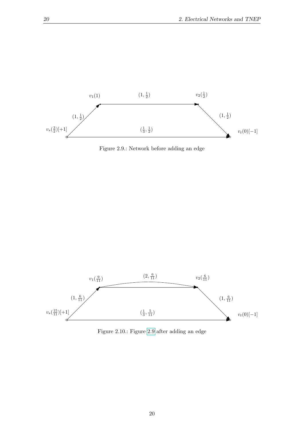

<span id="page-31-0"></span>Figure 2.9.: Network before adding an edge



<span id="page-31-1"></span>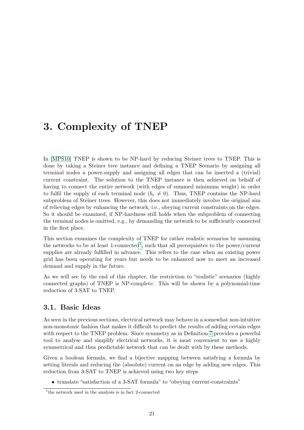### <span id="page-32-0"></span>3. Complexity of TNEP

In [\[MPS10\]](#page-61-2) TNEP is shown to be NP-hard by reducing Steiner trees to TNEP. This is done by taking a Steiner tree instance and defining a TNEP Scenario by assigning all terminal nodes a power-supply and assigning all edges that can be inserted a (trivial) current constraint. The solution to the TNEP instance is then achieved on behalf of having to connect the entire network (with edges of summed minimum weight) in order to fulfil the supply of each terminal node  $(b_v \neq 0)$ . Thus, TNEP contains the NP-hard subproblem of Steiner trees. However, this does not immediately involve the original aim of relieving edges by enhancing the network, i.e., obeying current constraints on the edges. So it should be examined, if NP-hardness still holds when the subproblem of connecting the terminal nodes is omitted, e.g., by demanding the network to be sufficiently connected in the first place.

This section examines the complexity of TNEP for rather realistic scenarios by assuming the networks to be at least [1](#page-32-2)-connected<sup>1</sup>, such that all prerequisites to the power/current supplies are already fulfilled in advance. This refers to the case when an existing power grid has been operating for years but needs to be enhanced now to meet an increased demand and supply in the future.

As we will see by the end of this chapter, the restriction to "realistic" scenarios (highly connected graphs) of TNEP is NP-complete. This will be shown by a polynomial-time reduction of 3-SAT to TNEP.

#### <span id="page-32-1"></span>3.1. Basic Ideas

As seen in the previous sections, electrical network may behave in a somewhat non-intuitive non-monotonic fashion that makes it difficult to predict the results of adding certain edges with respect to the TNEP problem. Since symmetry as in Definition [7](#page-23-2) provides a powerful tool to analyse and simplify electrical networks, it is most convenient to use a highly symmetrical and thus predictable network that can be dealt with by these methods.

Given a boolean formula, we find a bijective mapping between satisfying a formula by setting literals and reducing the (absolute) current on an edge by adding new edges. This reduction from 3-SAT to TNEP is achieved using two key steps

• translate "satisfaction of a 3-SAT formula" to "obeying current-constraints"

<span id="page-32-2"></span><sup>&</sup>lt;sup>1</sup>the network used in the analysis is in fact 2-connected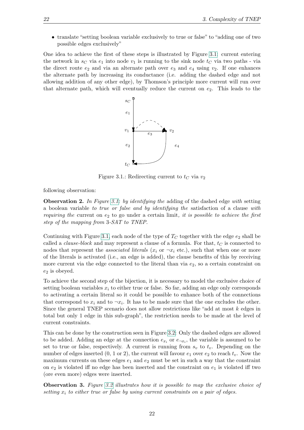• translate "setting boolean variable exclusively to true or false" to "adding one of two possible edges exclusively"

One idea to achieve the first of these steps is illustrated by Figure [3.1:](#page-33-0) current entering the network in  $s_C$  via  $e_1$  into node  $v_1$  is running to the sink node  $t_C$  via two paths - via the direct route  $e_2$  and via an alternate path over  $e_3$  and  $e_4$  using  $v_2$ . If one enhances the alternate path by increasing its conductance (i.e. adding the dashed edge and not allowing addition of any other edge), by Thomson's principle more current will run over that alternate path, which will eventually reduce the current on  $e_2$ . This leads to the



<span id="page-33-0"></span>Figure 3.1.: Redirecting current to  $t_C$  via  $v_2$ 

following observation:

**Observation 2.** In Figure [3.1:](#page-33-0) by identifying the adding of the dashed edge with setting a boolean variable to true or false and by identifying the satisfaction of a clause with requiring the current on  $e_2$  to go under a certain limit, it is possible to achieve the first step of the mapping from 3-SAT to TNEP.

Continuing with Figure [3.1,](#page-33-0) each node of the type of  $T_C$  together with the edge  $e_2$  shall be called a *clause-block* and may represent a clause of a formula. For that,  $t<sub>C</sub>$  is connected to nodes that represent the *associated literals* ( $x_i$  or  $\neg x_i$  etc.), such that when one or more of the literals is activated (i.e., an edge is added), the clause benefits of this by receiving more current via the edge connected to the literal than via  $e_2$ , so a certain constraint on  $e_2$  is obeyed.

To achieve the second step of the bijection, it is necessary to model the exclusive choice of setting boolean variables  $x_i$  to either true or false. So far, adding an edge only corresponds to activating a certain literal so it could be possible to enhance both of the connections that correspond to  $x_i$  and to  $\neg x_i$ . It has to be made sure that the one excludes the other. Since the general TNEP scenario does not allow restrictions like "add at most k edges in total but only 1 edge in this sub-graph", the restriction needs to be made at the level of current constraints.

This can be done by the construction seen in Figure [3.2:](#page-34-0) Only the dashed edges are allowed to be added. Adding an edge at the connection  $e_{x_i}$  or  $e_{\neg x_i}$ , the variable is assumed to be set to true or false, respectively. A current is running from  $s_v$  to  $t_v$ . Depending on the number of edges inserted  $(0, 1 \text{ or } 2)$ , the current will favour  $e_1$  over  $e_2$  to reach  $t_v$ . Now the maximum currents on these edges  $e_1$  and  $e_2$  must be set in such a way that the constraint on  $e_2$  is violated iff no edge has been inserted and the constraint on  $e_1$  is violated iff two (ore even more) edges were inserted.

**Observation 3.** Figure [3.2](#page-34-0) illustrates how it is possible to map the exclusive choice of setting  $x_i$  to either true or false by using current constraints on a pair of edges.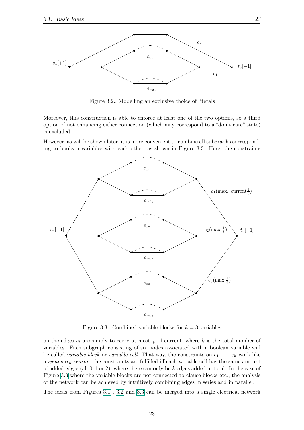

<span id="page-34-0"></span>Figure 3.2.: Modelling an exclusive choice of literals

Moreover, this construction is able to enforce at least one of the two options, so a third option of not enhancing either connection (which may correspond to a "don't care" state) is excluded.

However, as will be shown later, it is more convenient to combine all subgraphs corresponding to boolean variables with each other, as shown in Figure [3.3.](#page-34-1) Here, the constraints



<span id="page-34-1"></span>Figure 3.3.: Combined variable-blocks for  $k = 3$  variables

on the edges  $e_i$  are simply to carry at most  $\frac{1}{k}$  of current, where k is the total number of variables. Each subgraph consisting of six nodes associated with a boolean variable will be called variable-block or variable-cell. That way, the constraints on  $e_1, \ldots, e_k$  work like a symmetry sensor: the constraints are fulfilled iff each variable-cell has the same amount of added edges (all  $0, 1$  or 2), where there can only be k edges added in total. In the case of Figure [3.3](#page-34-1) where the variable-blocks are not connected to clause-blocks etc., the analysis of the network can be achieved by intuitively combining edges in series and in parallel.

The ideas from Figures [3.1](#page-33-0), [3.2](#page-34-0) and [3.3](#page-34-1) can be merged into a single electrical network

23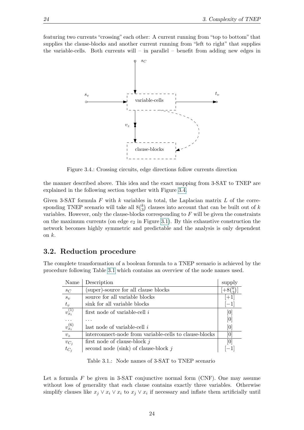featuring two currents "crossing" each other: A current running from "top to bottom" that supplies the clause-blocks and another current running from "left to right" that supplies the variable-cells. Both currents will – in parallel – benefit from adding new edges in



<span id="page-35-1"></span>Figure 3.4.: Crossing circuits, edge directions follow currents direction

the manner described above. This idea and the exact mapping from 3-SAT to TNEP are explained in the following section together with Figure [3.4.](#page-35-1)

Given 3-SAT formula  $F$  with  $k$  variables in total, the Laplacian matrix  $L$  of the corresponding TNEP scenario will take all  $8\binom{k}{3}$  $S<sub>3</sub>$ ) clauses into account that can be built out of k variables. However, only the clause-blocks corresponding to F will be given the constraints on the maximum currents (on edge  $e_2$  in Figure [3.1\)](#page-33-0). By this exhaustive construction the network becomes highly symmetric and predictable and the analysis is only dependent on  $k$ .

#### <span id="page-35-0"></span>3.2. Reduction procedure

The complete transformation of a boolean formula to a TNEP scenario is achieved by the procedure following Table [3.1](#page-35-2) which contains an overview of the node names used.

| Name                      | Description                                            | supply |
|---------------------------|--------------------------------------------------------|--------|
| $s_C$                     | (super)-source for all clause blocks                   |        |
| $s_v$                     | source for all variable blocks                         | $[+1]$ |
| $t_v$                     | sink for all variable blocks                           |        |
| $v_{x_i}^{(1)}$           | first node of variable-cell $i$                        | [0]    |
|                           |                                                        | [0]    |
| $v_{x_i}^{(6)}$           | last node of variable-cell $i$                         | [0]    |
| $v_z$                     | interconnect-node from variable-cells to clause-blocks | [0]    |
|                           | first node of clause-block $j$                         | [0]    |
| $\frac{v_{C_j}}{t_{C_j}}$ | second node (sink) of clause-block $j$                 |        |

<span id="page-35-2"></span>Table 3.1.: Node names of 3-SAT to TNEP scenario

Let a formula  $F$  be given in 3-SAT conjunctive normal form (CNF). One may assume without loss of generality that each clause contains exactly three variables. Otherwise simplify clauses like  $x_j \vee x_i \vee x_i$  to  $x_j \vee x_i$  if necessary and inflate them artificially until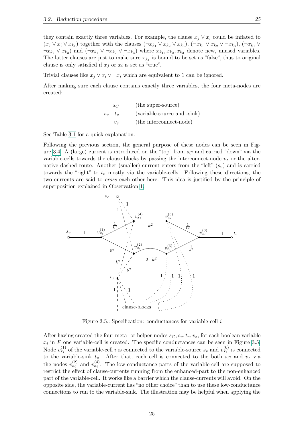they contain exactly three variables. For example, the clause  $x_j \vee x_i$  could be inflated to  $(x_j \vee x_i \vee x_{k_1})$  together with the clauses  $(\neg x_{k_1} \vee x_{k_2} \vee x_{k_3})$ ,  $(\neg x_{k_1} \vee x_{k_2} \vee \neg x_{k_3})$ ,  $(\neg x_{k_1} \vee \neg x_{k_3})$  $\neg x_{k_2} \lor x_{k_3}$  and  $(\neg x_{k_1} \lor \neg x_{k_2} \lor \neg x_{k_3})$  where  $x_{k_1}, x_{k_2}, x_{k_3}$  denote new, unused variables. The latter clauses are just to make sure  $x_{k_1}$  is bound to be set as "false", thus to original clause is only satisfied if  $x_j$  or  $x_i$  is set as "true".

Trivial clauses like  $x_i \vee x_i \vee \neg x_i$  which are equivalent to 1 can be ignored.

After making sure each clause contains exactly three variables, the four meta-nodes are created:

$$
s_C
$$
 (the super-source)  
\n
$$
s_v
$$
  $t_v$  (variable-source and -sink)  
\n $v_z$  (the interconnect-node)

See Table [3.1](#page-35-0) for a quick explanation.

Following the previous section, the general purpose of these nodes can be seen in Fig-ure [3.4:](#page-35-1) A (large) current is introduced on the "top" from  $s_C$  and carried "down" via the variable-cells towards the clause-blocks by passing the interconnect-node  $v<sub>z</sub>$  or the alternative dashed route. Another (smaller) current enters from the "left"  $(s_v)$  and is carried towards the "right" to  $t_v$  mostly via the variable-cells. Following these directions, the two currents are said to cross each other here. This idea is justified by the principle of superposition explained in Observation [1.](#page-22-0)



<span id="page-36-0"></span>Figure 3.5.: Specification: conductances for variable-cell  $i$ 

After having created the four meta- or helper-nodes  $s_C, s_v, t_v, v_z$ , for each boolean variable  $x_i$  in F one variable-cell is created. The specific conductances can be seen in Figure [3.5.](#page-36-0) Node  $v_{x_i}^{(1)}$  of the variable-cell i is connected to the variable-source  $s_v$  and  $v_{x_i}^{(6)}$  is connected to the variable-sink  $t_v$ . After that, each cell is connected to the both  $s_C$  and  $v_z$  via the nodes  $v_{x_i}^{(2)}$  and  $v_{x_i}^{(4)}$ . The low-conductance parts of the variable-cell are supposed to restrict the effect of clause-currents running from the enhanced-part to the non-enhanced part of the variable-cell. It works like a barrier which the clause-currents will avoid. On the opposite side, the variable-current has "no other choice" than to use these low-conductance connections to run to the variable-sink. The illustration may be helpful when applying the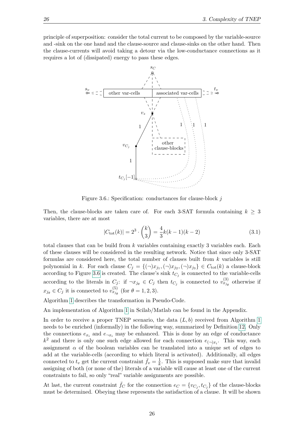principle of superposition: consider the total current to be composed by the variable-source and -sink on the one hand and the clause-source and clause-sinks on the other hand. Then the clause-currents will avoid taking a detour via the low-conductance connections as it requires a lot of (dissipated) energy to pass these edges.



<span id="page-37-0"></span>Figure 3.6.: Specification: conductances for clause-block j

Then, the clause-blocks are taken care of. For each 3-SAT formula containing  $k \geq 3$ variables, there are at most

$$
|C_{\text{tot}}(k)| = 2^3 \cdot \binom{k}{3} = \frac{4}{3}k(k-1)(k-2)
$$
 (3.1)

total clauses that can be build from  $k$  variables containing exactly 3 variables each. Each of these clauses will be considered in the resulting network. Notice that since only 3-SAT formulas are considered here, the total number of clauses built from  $k$  variables is still polynomial in k. For each clause  $C_j = \{(\neg)x_{j_1}, (\neg)x_{j_2}, (\neg)x_{j_3}\} \in C_{\text{tot}}(k)$  a clause-block according to Figure [3.6](#page-37-0) is created. The clause's sink  $t_{C_j}$  is connected to the variable-cells according to the literals in  $C_j$ : if  $\neg x_{j_\theta} \in C_j$  then  $t_{C_j}$  is connected to  $v_{x_{j_\theta}}^{(3)}$  otherwise if  $x_{j_\theta} \in C_j$  it is connected to  $v_{x_{j_\theta}}^{(5)}$  (for  $\theta = 1, 2, 3$ ).

Algorithm [1](#page-38-0) describes the transformation in Pseudo-Code.

An implementation of Algorithm [1](#page-38-0) in Scilab/Matlab can be found in the Appendix.

In order to receive a proper TNEP scenario, the data  $(L, b)$  received from Algorithm [1](#page-38-0) needs to be enriched (informally) in the following way, summarized by Definition [12.](#page-39-0) Only the connections  $e_{x_i}$  and  $e_{\neg x_i}$  may be enhanced. This is done by an edge of conductance  $k^2$  and there is only one such edge allowed for each connection  $e_{(\neg)x_i}$ . This way, each assignment  $\alpha$  of the boolean variables can be translated into a unique set of edges to add at the variable-cells (according to which literal is activated). Additionally, all edges connected to  $t_v$  get the current constraint  $\bar{f}_v = \frac{1}{k}$  $\frac{1}{k}$ . This is supposed make sure that invalid assigning of both (or none of the) literals of a variable will cause at least one of the current constraints to fail, so only "real" variable assignments are possible.

At last, the current constraint  $\bar{f}_C$  for the connection  $e_C = \{v_{C_j}, t_{C_j}\}$  of the clause-blocks must be determined. Obeying these represents the satisfaction of a clause. It will be shown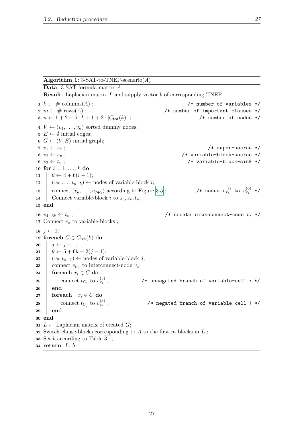#### Algorithm 1: 3-SAT-to-TNEP-scenario( $A$ )

<span id="page-38-4"></span><span id="page-38-3"></span><span id="page-38-2"></span><span id="page-38-1"></span><span id="page-38-0"></span>Data: 3-SAT formula matrix A **Result:** Laplacian matrix  $L$  and supply vector  $b$  of corresponding TNEP 1  $k \leftarrow \#$  columns(A);<br>
2  $m \leftarrow \# \text{ rows}(A)$ ;<br>
2  $m \leftarrow \# \text{ rows}(A)$ ;<br>
2  $m \leftarrow \# \text{ rows}(A)$ ;  $/*$  number of important clauses \*/<br> $/*$  number of nodes \*/  $3 \ n \leftarrow 1 + 2 + 6 \cdot k + 1 + 2 \cdot |C_{\text{tot}}(k)|$ ; 4  $V \leftarrow (v_1, \ldots, v_n)$  sorted dummy nodes; 5  $E \leftarrow \emptyset$  initial edges; 6  $G \leftarrow (V, E)$  initial graph;<br>7  $v_1 \leftarrow s_c$ ;  $7 \t v_1 \leftarrow s_c ;$ <br>  $8 \t v_2 \leftarrow s_v ;$ <br>  $\qquad \qquad \qquad$  /\* super-source \*/<br>  $\qquad \qquad$  /\* variable-block-source \*/  $8 \t v_2 \leftarrow s_v ;$ <br>  $9 \t v_2 \leftarrow t_v ;$ <br>  $9 \t v_2 \leftarrow t_v ;$ <br>  $\frac{1}{2}$ <br>  $\frac{1}{2}$ <br>  $\frac{1}{2}$ <br>  $\frac{1}{2}$ <br>  $\frac{1}{2}$ <br>  $\frac{1}{2}$ <br>  $\frac{1}{2}$ <br>  $\frac{1}{2}$ <br>  $\frac{1}{2}$ <br>  $\frac{1}{2}$ <br>  $\frac{1}{2}$ <br>  $\frac{1}{2}$ <br>  $\frac{1}{2}$ <br>  $\frac{1}{2}$ <br>  $\frac{1}{2}$ <br>  $\frac{1}{2}$ /\* variable-block-sink \*/ 10 for  $i = 1, ..., k$  do 11  $\theta \leftarrow 4 + 6(i - 1);$ 12  $(v_{\theta}, \ldots, v_{\theta+5}) \leftarrow$  nodes of variable-block *i*; 13 connect  $(v_{\theta}, \ldots, v_{\theta+5})$  according to Figure [3.5](#page-36-0);  $\overset{(1)}{x_i}$  to  $v_{x_i}^{(6)}$  \*/ 14 Connect variable-block i to  $s_c, s_v, t_v;$ 15 end 16  $v_{4+6k} \leftarrow t_v$ ;  $\hspace{1cm}$  /\* create interconnect-node  $v_z$  \*/ 17 Connect  $v_z$  to variable-blocks; 18  $j \leftarrow 0;$ 19 foreach  $C \in C_{\text{tot}}(k)$  do<br>20  $\vert j \leftarrow j+1;$ 20  $\begin{array}{|c|c|} \hline j \leftarrow j + 1; \ \hline 21 & \theta \leftarrow 5 + 6k \end{array}$ 21  $\begin{array}{c} \theta \leftarrow 5 + 6k + 2(j - 1); \\ \text{22} \end{array}$ <br>  $(v_{\theta}, v_{\theta+1}) \leftarrow \text{nodes of } v$  $(v_{\theta}, v_{\theta+1}) \leftarrow$  nodes of variable-block j; 23 connect  $v_{C_j}$  to interconnect-node  $v_z$ ; 24 foreach  $x_i \in C$  do **25** connect  $t_{C_j}$  to  $v_{x_i}^{(5)}$ /\* unnegated branch of variable-cell  $i$  \*/ 26 end 27 foreach  $\neg x_i \in C$  do **28** connect  $t_{C_j}$  to  $v_{x_i}^{(3)}$ /\* negated branch of variable-cell  $i$  \*/ 29 end 30 end 31  $L \leftarrow$  Laplacian matrix of created G; 32 Switch clause-blocks corresponding to  $A$  to the first  $m$  blocks in  $L$ ; 33 Set b according to Table [3.1;](#page-35-0) 34 return  $L, b$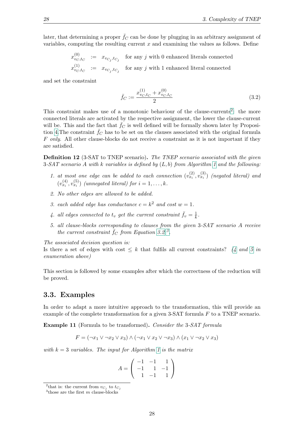later, that determining a proper  $\bar{f}_C$  can be done by plugging in an arbitrary assignment of variables, computing the resulting current  $x$  and examining the values as follows. Define

> $x_{v_C}^{(0)}$  $\begin{array}{rcl} \n\mathbf{w}_{C}, & := & x_{v_{C_j}, t_{C_j}} \n\end{array}$ for any  $j$  with 0 enhanced literals connected  $x_{v_C}^{(1)}$  $\begin{array}{rcl} \n^{(1)}_{v_C,t_C} & := & x_{v_{C_j},t_{C_j}} \n\end{array}$ for any  $j$  with 1 enhanced literal connected

and set the constraint

<span id="page-39-2"></span>
$$
\bar{f}_C := \frac{x_{v_C, t_C}^{(1)} + x_{v_C, t_C}^{(0)}}{2} \tag{3.2}
$$

This constraint makes use of a monotonic behaviour of the clause-currents<sup>[2](#page-39-1)</sup>: the more connected literals are activated by the respective assignment, the lower the clause-current will be. This and the fact that  $\bar{f}_C$  is well defined will be formally shown later by Proposi-tion [4.](#page-46-0) The constraint  $f_C$  has to be set on the clauses associated with the original formula  $F$  only. All other clause-blocks do not receive a constraint as it is not important if they are satisfied.

<span id="page-39-0"></span>Definition 12 (3-SAT to TNEP scenario). The TNEP scenario associated with the given 3-SAT scenario A with k variables is defined by  $(L, b)$  from Algorithm [1](#page-38-0) and the following:

- 1. at most one edge can be added to each connection  $(v_{x_i}^{(2)}, v_{x_i}^{(3)})$  (negated literal) and  $(v_{x_i}^{(4)}, v_{x_i}^{(5)})$  (unnegated literal) for  $i = 1, \ldots, k$ .
- 2. No other edges are allowed to be added.
- 3. each added edge has conductance  $c = k^2$  and cost  $w = 1$ .
- <span id="page-39-4"></span>4. all edges connected to  $t_v$  get the current constraint  $\bar{f}_v = \frac{1}{k}$  $\frac{1}{k}$ .
- <span id="page-39-5"></span>5. all clause-blocks corresponding to clauses from the given 3-SAT scenario A receive the current constraint  $\bar{f}_C$  from Equation [3.2](#page-39-2) <sup>[3](#page-39-3)</sup>.

The associated decision question is:

Is there a set of edges with cost  $\leq k$  that fulfils all current constraints? [\(4](#page-39-4) and [5](#page-39-5) in enumeration above)

This section is followed by some examples after which the correctness of the reduction will be proved.

### 3.3. Examples

In order to adapt a more intuitive approach to the transformation, this will provide an example of the complete transformation for a given 3-SAT formula F to a TNEP scenario.

Example 11 (Formula to be transformed). Consider the 3-SAT formula

$$
F = (\neg x_1 \lor \neg x_2 \lor x_3) \land (\neg x_1 \lor x_2 \lor \neg x_3) \land (x_1 \lor \neg x_2 \lor x_3)
$$

with  $k = 3$  variables. The input for Algorithm [1](#page-38-0) is the matrix

$$
A = \left( \begin{array}{rrr} -1 & -1 & 1 \\ -1 & 1 & -1 \\ 1 & -1 & 1 \end{array} \right)
$$

<span id="page-39-1"></span><sup>&</sup>lt;sup>2</sup>that is: the current from  $v_{C_j}$  to  $t_{C_j}$ 

<span id="page-39-3"></span><sup>&</sup>lt;sup>3</sup>those are the first  $m$  clause-blocks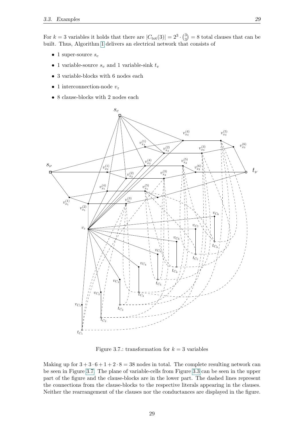For  $k = 3$  variables it holds that there are  $|C_{\text{tot}}(3)| = 2^3 \cdot \binom{3}{3}$  $\binom{3}{3}$  = 8 total clauses that can be built. Thus, Algorithm [1](#page-38-0) delivers an electrical network that consists of

- 1 super-source  $s_c$
- 1 variable-source  $s_v$  and 1 variable-sink  $t_v$
- 3 variable-blocks with 6 nodes each
- 1 interconnection-node  $v_z$
- 8 clause-blocks with 2 nodes each



<span id="page-40-0"></span>Figure 3.7.: transformation for  $k = 3$  variables

Making up for  $3 + 3 \cdot 6 + 1 + 2 \cdot 8 = 38$  nodes in total. The complete resulting network can be seen in Figure [3.7.](#page-40-0) The plane of variable-cells from Figure [3.3](#page-34-0) can be seen in the upper part of the figure and the clause-blocks are in the lower part. The dashed lines represent the connections from the clause-blocks to the respective literals appearing in the clauses. Neither the rearrangement of the clauses nor the conductances are displayed in the figure.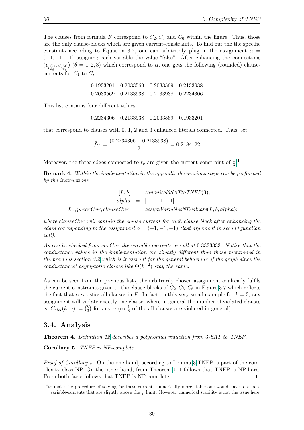The clauses from formula F correspond to  $C_2, C_3$  and  $C_6$  within the figure. Thus, those are the only clause-blocks which are given current-constraints. To find out the the specific constants according to Equation [3.2,](#page-39-2) one can arbitrarily plug in the assignment  $\alpha =$  $(-1, -1, -1)$  assigning each variable the value "false". After enhancing the connections  $(v_{e_{x_a}^{(2)}, v_{e_{x_a}^{(3)}})$  ( $\theta = 1, 2, 3$ ) which correspond to  $\alpha$ , one gets the following (rounded) clausecurrents for  $C_1$  to  $C_8$ 

|  | 0.1933201   0.2033569   0.2033569   0.2133938       |  |
|--|-----------------------------------------------------|--|
|  | 0.2033569     0.2133938     0.2133938     0.2234306 |  |

This list contains four different values

0.2234306 0.2133938 0.2033569 0.1933201

that correspond to clauses with 0, 1, 2 and 3 enhanced literals connected. Thus, set

$$
\bar{f}_C := \frac{(0.2234306 + 0.2133938)}{2} = 0.2184122
$$

Moreover, the three edges connected to  $t_v$  are given the current constraint of  $\frac{1}{3}$ .<sup>[4](#page-41-0)</sup>

Remark 4. Within the implementation in the appendix the previous steps can be performed by the instructions

> $[L, b] = canonical 3SAT to TNEP(3);$  $alpha = [-1 - 1 - 1];$  $[L1, p, varCur, clauseCur] = assign VariablesNE value(L, b, alpha);$

where clauseCur will contain the clause-current for each clause-block after enhancing the edges corresponding to the assignment  $\alpha = (-1, -1, -1)$  (last argument in second function call).

As can be checked from varCur the variable-currents are all at 0.3333333. Notice that the conductance values in the implementation are slightly different than those mentioned in the previous section [3.2](#page-35-2) which is irrelevant for the general behaviour of the graph since the conductances' asymptotic classes like  $\Theta(k^{-2})$  stay the same.

As can be seen from the previous lists, the arbitrarily chosen assignment  $\alpha$  already fulfils the current-constraints given to the clause-blocks of  $C_2, C_3, C_6$  in Figure [3.7](#page-40-0) which reflects the fact that  $\alpha$  satisfies all clauses in F. In fact, in this very small example for  $k = 3$ , any assignment will violate exactly one clause, where in general the number of violated clauses is  $|C_{viol}(k, \alpha)| = {k \choose 3}$  $\frac{k}{3}$  for any  $\alpha$  (so  $\frac{1}{8}$  of the all clauses are violated in general).

### 3.4. Analysis

<span id="page-41-2"></span>Theorem 4. Definition [12](#page-39-0) describes a polynomial reduction from 3-SAT to TNEP.

<span id="page-41-1"></span>Corollary 5. TNEP is NP-complete.

Proof of Corollary [5.](#page-41-1) On the one hand, according to Lemma [3](#page-29-0) TNEP is part of the complexity class NP. On the other hand, from Theorem [4](#page-41-2) it follows that TNEP is NP-hard. From both facts follows that TNEP is NP-complete.  $\Box$ 

<span id="page-41-0"></span><sup>4</sup> to make the procedure of solving for these currents numerically more stable one would have to choose variable-currents that are slightly above the  $\frac{1}{k}$  limit. However, numerical stability is not the issue here.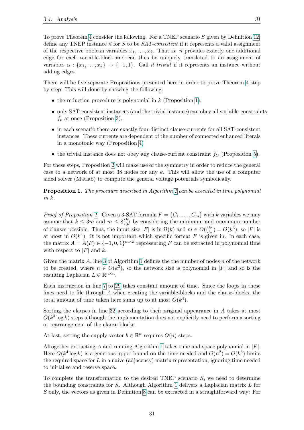To prove Theorem [4](#page-41-2) consider the following. For a TNEP scenario S given by Definition [12,](#page-39-0) define any TNEP instance  $\vec{n}$  for S to be SAT-consistent if it represents a valid assignment of the respective boolean variables  $x_1, \ldots, x_k$ . That is:  $\vec{n}$  provides exactly one additional edge for each variable-block and can thus be uniquely translated to an assignment of variables  $\alpha : \{x_1, \ldots, x_k\} \rightarrow \{-1, 1\}$ . Call  $\vec{n}$  trivial if it represents an instance without adding edges.

There will be five separate Propositions presented here in order to prove Theorem [4](#page-41-2) step by step. This will done by showing the following:

- the reduction procedure is polynomial in  $k$  (Proposition [1\)](#page-42-0),
- only SAT-consistent instances (and the trivial instance) can obey all variable-constraints  $f_v$  at once (Proposition [3\)](#page-45-0),
- in each scenario there are exactly four distinct clause-currents for all SAT-consistent instances. These currents are dependent of the number of connected enhanced literals in a monotonic way (Proposition [4\)](#page-46-0)
- the trivial instance does not obey any clause-current constraint  $\bar{f}_C$  (Proposition [5\)](#page-47-0).

For these steps, Proposition [2](#page-43-0) will make use of the symmetry in order to reduce the general case to a network of at most 38 nodes for any  $k$ . This will allow the use of a computer aided solver (Matlab) to compute the general voltage potentials symbolically.

<span id="page-42-0"></span>Proposition [1](#page-38-0). The procedure described in Algorithm 1 can be executed in time polynomial in k.

*Proof of Proposition [1.](#page-42-0)* Given a 3-SAT formula  $F = \{C_1, \ldots, C_m\}$  with k variables we may assume that  $k \leq 3m$  and  $m \leq 8{k \choose 3}$  $\binom{k}{3}$  by considering the minimum and maximum number of clauses possible. Thus, the input size  $|F|$  is in  $\Omega(k)$  and  $m \in O(\binom{k}{3})$  $S_3^{(k)}$ ) =  $O(k^3)$ , so |F| is at most in  $O(k^4)$ . It is not important which specific format F is given in. In each case, the matrix  $A = A(F) \in \{-1, 0, 1\}^{m \times k}$  representing F can be extracted in polynomial time with respect to  $|F|$  and k.

Given the matrix A, line [3](#page-38-1) of Algorithm [1](#page-38-0) defines the the number of nodes  $n$  of the network to be created, where  $n \in O(k^3)$ , so the network size is polynomial in |F| and so is the resulting Laplacian  $L \in \mathbb{R}^{n \times n}$ .

Each instruction in line [7](#page-38-2) to [29](#page-38-3) takes constant amount of time. Since the loops in these lines need to file through  $A$  when creating the variable-blocks and the clause-blocks, the total amount of time taken here sums up to at most  $O(k^4)$ .

Sorting the clauses in line [32](#page-38-4) according to their original appearance in A takes at most  $O(k^4 \log k)$  steps although the implementation does not explicitly need to perform a sorting or rearrangement of the clause-blocks.

At last, setting the supply-vector  $b \in \mathbb{R}^n$  requires  $O(n)$  steps.

Altogether extracting A and running Algorithm [1](#page-38-0) takes time and space polynomial in  $|F|$ . Here  $O(k^4 \log k)$  is a generous upper bound on the time needed and  $O(n^2) = O(k^6)$  limits the required space for  $L$  in a naive (adjacency) matrix representation, ignoring time needed to initialise and reserve space.

To complete the transformation to the desired TNEP scenario S, we need to determine the bounding constraints for S. Although Algorithm [1](#page-38-0) delivers a Laplacian matrix  $L$  for S only, the vectors as given in Definition [8](#page-27-0) can be extracted in a straightforward way: For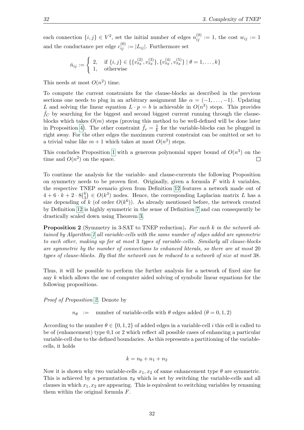each connection  $\{i, j\} \in V^2$ , set the initial number of edges  $n_{ij}^{(0)} := 1$ , the cost  $w_{ij} := 1$ and the conductance per edge  $c_{ij}^{(0)} := |L_{ij}|$ . Furthermore set

$$
\bar{n}_{ij} := \begin{cases} 2, & \text{if } \{i,j\} \in \{\{v_{x_\theta}^{(2)}, v_{x_\theta}^{(3)}\}, \{v_{x_\theta}^{(4)}, v_{x_\theta}^{(5)}\} \mid \theta = 1, \dots, k\} \\ 1, & \text{otherwise} \end{cases}
$$

This needs at most  $O(n^2)$  time.

To compute the current constraints for the clause-blocks as described in the previous sections one needs to plug in an arbitrary assignment like  $\alpha = (-1, \ldots, -1)$ . Updating L and solving the linear equation  $L \cdot p = b$  is achievable in  $O(n^3)$  steps. This provides  $f_C$  by searching for the biggest and second biggest current running through the clauseblocks which takes  $O(m)$  steps (proving this method to be well-defined will be done later in Proposition [4\)](#page-46-0). The other constraint  $\bar{f}_v = \frac{1}{k}$  $\frac{1}{k}$  for the variable-blocks can be plugged in right away. For the other edges the maximum current constraint can be omitted or set to a trivial value like  $m + 1$  which takes at most  $O(n^2)$  steps.

This concludes Proposition [1](#page-42-0) with a generous polynomial upper bound of  $O(n^3)$  on the time and  $O(n^2)$  on the space.  $\Box$ 

To continue the analysis for the variable- and clause-currents the following Proposition on symmetry needs to be proven first. Originally, given a formula  $F$  with  $k$  variables, the respective TNEP scenario given from Definition [12](#page-39-0) features a network made out of  $4 + 6 \cdot k + 2 \cdot 8 \binom{k}{3}$  $\binom{k}{3} \in O(k^3)$  nodes. Hence, the corresponding Laplacian matrix L has a size depending of k (of order  $O(k^6)$ ). As already mentioned before, the network created by Definition [12](#page-39-0) is highly symmetric in the sense of Definition [7](#page-23-0) and can consequently be drastically scaled down using Theorem [3.](#page-26-0)

<span id="page-43-0"></span>**Proposition 2** (Symmetry in 3-SAT to TNEP reduction). For each k in the network obtained by Algorithm [1](#page-38-0) all variable-cells with the same number of edges added are symmetric to each other, making up for at most 3 types of variable-cells. Similarly all clause-blocks are symmetric by the number of connections to enhanced literals, so there are at most 20 types of clause-blocks. By that the network can be reduced to a network of size at most 38.

Thus, it will be possible to perform the further analysis for a network of fixed size for any k which allows the use of computer aided solving of symbolic linear equations for the following propositions.

Proof of Proposition [2.](#page-43-0) Denote by

 $n_{\theta}$  := number of variable-cells with  $\theta$  edges added  $(\theta = 0, 1, 2)$ 

According to the number  $\theta \in \{0, 1, 2\}$  of added edges in a variable-cell i this cell is called to be of (enhancement) type 0,1 or 2 which reflect all possible cases of enhancing a particular variable-cell due to the defined boundaries. As this represents a partitioning of the variablecells, it holds

$$
k = n_0 + n_1 + n_2
$$

Now it is shown why two variable-cells  $x_1, x_2$  of same enhancement type  $\theta$  are symmetric. This is achieved by a permutation  $\pi_{\theta}$  which is set by switching the variable-cells and all clauses in which  $x_1, x_2$  are appearing. This is equivalent to switching variables by renaming them within the original formula F.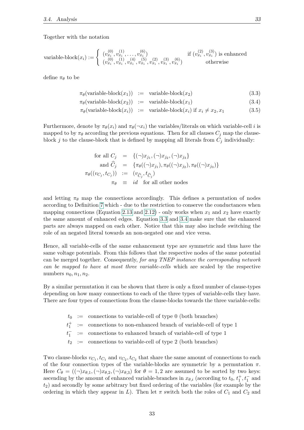Together with the notation

variable-block
$$
(x_i) := \begin{cases} (v_{x_i}^{(0)}, v_{x_i}^{(1)}, \dots, v_{x_i}^{(6)}) & \text{if } (v_{x_i}^{(2)}, v_{x_i}^{(3)}) \text{ is enhanced} \\ (v_{x_i}^{(0)}, v_{x_i}^{(1)}, v_{x_i}^{(4)}, v_{x_i}^{(5)}, v_{x_i}^{(2)}, v_{x_i}^{(3)}, v_{x_i}^{(6)}) & \text{otherwise} \end{cases}
$$

define  $\pi_{\theta}$  to be

$$
\pi_{\theta}(\text{variable-block}(x_1)) := \text{variable-block}(x_2) \tag{3.3}
$$

<span id="page-44-0"></span>
$$
\pi_{\theta}(\text{variable-block}(x_2)) := \text{variable-block}(x_1) \tag{3.4}
$$

$$
\pi_{\theta}(\text{variable-block}(x_i)) := \text{variable-block}(x_i) \text{ if } x_i \neq x_2, x_1 \tag{3.5}
$$

Furthermore, denote by  $\pi_{\theta}(x_i)$  and  $\pi_{\theta}(-x_i)$  the variables/literals on which variable-cell i is mapped to by  $\pi_{\theta}$  according the previous equations. Then for all clauses  $C_j$  map the clauseblock  $j$  to the clause-block that is defined by mapping all literals from  $C_j$  individually:

for all 
$$
C_j
$$
 = { $(\neg)x_{j_1}, (\neg)x_{j_2}, (\neg)x_{j_3}$ }  
\nand  $\widehat{C}_j$  = { $\pi_{\theta}((\neg)x_{j_1}), \pi_{\theta}((\neg)x_{j_2}), \pi_{\theta}((\neg)x_{j_3})$ }  
\n $\pi_{\theta}((v_{C_j}, t_{C_j}))$  :=  $(v_{\widehat{C}_j}, t_{\widehat{C}_j})$   
\n $\pi_{\theta}$  = *id* for all other nodes

and letting  $\pi_{\theta}$  map the connections accordingly. This defines a permutation of nodes according to Definition [7](#page-23-0) which - due to the restriction to conserve the conductances when mapping connections (Equation [2.13](#page-23-1) and [2.12\)](#page-23-1) - only works when  $x_1$  and  $x_2$  have exactly the same amount of enhanced edges. Equation [3.3](#page-44-0) and [3.4](#page-44-0) make sure that the enhanced parts are always mapped on each other. Notice that this may also include switching the role of an negated literal towards an non-negated one and vice versa.

Hence, all variable-cells of the same enhancement type are symmetric and thus have the same voltage potentials. From this follows that the respective nodes of the same potential can be merged together. Consequently, for any TNEP instance the corresponding network can be mapped to have at most three variable-cells which are scaled by the respective numbers  $n_0, n_1, n_2$ .

By a similar permutation it can be shown that there is only a fixed number of clause-types depending on how many connections to each of the three types of variable-cells they have. There are four types of connections from the clause-blocks towards the three variable-cells:

- $t =$  connections to variable-cell of type 0 (both branches)
- $t_1^+$  : = connections to non-enhanced branch of variable-cell of type 1

 $t_1^-$ 1 := connections to enhanced branch of variable-cell of type 1

 $t_2$  : connections to variable-cell of type 2 (both branches)

Two clause-blocks  $v_{C_1}, t_{C_1}$  and  $v_{C_2}, t_{C_2}$  that share the same amount of connections to each of the four connection types of the variable-blocks are symmetric by a permutation  $\pi$ . Here  $C_{\theta} = ((\neg)x_{\theta,1}, (\neg)x_{\theta,2}, (\neg)x_{\theta,3})$  for  $\theta = 1,2$  are assumed to be sorted by two keys: ascending by the amount of enhanced variable-branches in  $x_{\theta,i}$  (according to  $t_0, t_1^+, t_1^-$  and  $t_2$ ) and secondly by some arbitrary but fixed ordering of the variables (for example by the ordering in which they appear in L). Then let  $\pi$  switch both the roles of  $C_1$  and  $C_2$  and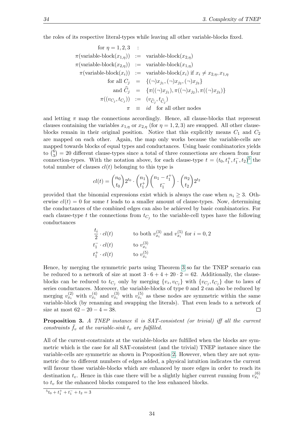the roles of its respective literal-types while leaving all other variable-blocks fixed.

for 
$$
\eta = 1, 2, 3
$$
 :  
\n $\pi(\text{variable-block}(x_{1,\eta})) := \text{variable-block}(x_{2,\eta})$   
\n $\pi(\text{variable-block}(x_{2,\eta})) := \text{variable-block}(x_{1,\eta})$   
\n $\pi(\text{variable-block}(x_i)) := \text{variable-block}(x_i) \text{ if } x_i \neq x_{2,\eta}, x_{1,\eta}$   
\nfor all  $C_j = \{(\neg)x_{j_1}, (\neg)x_{j_2}, (\neg)x_{j_3}\}$   
\nand  $\hat{C}_j = \{\pi((\neg)x_{j_1}), \pi((\neg)x_{j_2}), \pi((\neg)x_{j_3})\}$   
\n $\pi((v_{C_j}, t_{C_j})) := (v_{\hat{C}_j}, t_{\hat{C}_j})$   
\n $\pi = id \text{ for all other nodes}$ 

and letting  $\pi$  map the connections accordingly. Hence, all clause-blocks that represent clauses containing the variables  $x_{1,\eta}$  or  $x_{2,\eta}$  (for  $\eta = 1, 2, 3$ ) are swapped. All other clauseblocks remain in their original position. Notice that this explicitly means  $C_1$  and  $C_2$ are mapped on each other. Again, the map only works because the variable-cells are mapped towards blocks of equal types and conductances. Using basic combinatorics yields to  $\binom{6}{3}$  $S_3^{(6)}$  = 20 different clause-types since a total of three connections are chosen from four connection-types. With the notation above, for each clause-type  $t = (t_0, t_1^+, t_1^-, t_2)^5$  $t = (t_0, t_1^+, t_1^-, t_2)^5$  the total number of clauses  $cl(t)$  belonging to this type is

$$
cl(t) = {n_0 \choose t_0} 2^{t_0} \cdot {n_1 \choose t_1^+} {n_1 - t_1^+ \choose t_1^-} \cdot {n_2 \choose t_2} 2^{t_2}
$$

provided that the binomial expressions exist which is always the case when  $n_i \geq 3$ . Otherwise  $cl(t) = 0$  for some t leads to a smaller amount of clause-types. Now, determining the conductances of the combined edges can also be achieved by basic combinatorics. For each clause-type t the connections from  $t_{C_j}$  to the variable-cell types have the following conductances

$$
\begin{array}{ll}\n\frac{t_i}{2} \cdot cl(t) & \text{to both } v_{x_i}^{(3)} \text{ and } v_{x_i}^{(5)} \text{ for } i = 0, 2 \\
t_1^- \cdot cl(t) & \text{to } v_{x_i}^{(3)} \\
t_1^+ \cdot cl(t) & \text{to } v_{x_i}^{(5)}\n\end{array}
$$

Hence, by merging the symmetric parts using Theorem [3](#page-26-0) so far the TNEP scenario can be reduced to a network of size at most  $3 \cdot 6 + 4 + 20 \cdot 2 = 62$ . Additionally, the clauseblocks can be reduced to  $t_{C_j}$  only by merging  $\{v_z, v_{C_j}\}\$  with  $\{v_{C_j}, t_{C_j}\}\$  due to laws of series conductances. Moreover, the variable-blocks of type 0 and 2 can also be reduced by merging  $v_{x_i}^{(2)}$  with  $v_{x_i}^{(4)}$  and  $v_{x_i}^{(3)}$  with  $v_{x_i}^{(5)}$  as these nodes are symmetric within the same variable-block (by renaming and swapping the literals). That even leads to a network of size at most  $62 - 20 - 4 = 38$ .  $\Box$ 

<span id="page-45-0"></span>**Proposition 3.** A TNEP instance  $\vec{n}$  is SAT-consistent (or trivial) iff all the current constraints  $f_v$  at the variable-sink  $t_v$  are fulfilled.

All of the current-constraints at the variable-blocks are fulfilled when the blocks are symmetric which is the case for all SAT-consistent (and the trivial) TNEP instance since the variable-cells are symmetric as shown in Proposition [2.](#page-43-0) However, when they are not symmetric due to different numbers of edges added, a physical intuition indicates the current will favour those variable-blocks which are enhanced by more edges in order to reach its destination  $t_v$ . Hence in this case there will be a slightly higher current running from  $v_{x_i}^{(6)}$ to  $t_v$  for the enhanced blocks compared to the less enhanced blocks.

<span id="page-45-1"></span> ${}^{5}t_{0} + t_{1}^{+} + t_{1}^{-} + t_{2} = 3$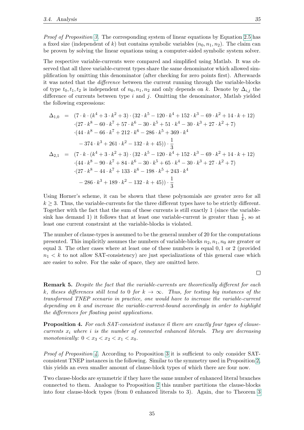Proof of Proposition [3.](#page-45-0) The corresponding system of linear equations by Equation [2.5](#page-21-0) has a fixed size (independent of k) but contains symbolic variables  $(n_0, n_1, n_2)$ . The claim can be proven by solving the linear equations using a computer-aided symbolic system solver.

The respective variable-currents were compared and simplified using Matlab. It was observed that all three variable-current types share the same denominator which allowed simplification by omitting this denominator (after checking for zero points first). Afterwards it was noted that the difference between the current running through the variable-blocks of type  $t_0, t_1, t_2$  is independent of  $n_0, n_1, n_2$  and only depends on k. Denote by  $\Delta_{i,j}$  the difference of currents between type  $i$  and  $j$ . Omitting the denominator, Matlab yielded the following expressions:

$$
\Delta_{1,0} = (7 \cdot k \cdot (k^4 + 3 \cdot k^2 + 3) \cdot (32 \cdot k^5 - 120 \cdot k^4 + 152 \cdot k^3 - 69 \cdot k^2 + 14 \cdot k + 12)
$$
  
\n
$$
\cdot (27 \cdot k^8 - 60 \cdot k^7 + 57 \cdot k^6 - 30 \cdot k^5 + 51 \cdot k^4 - 30 \cdot k^3 + 27 \cdot k^2 + 7)
$$
  
\n
$$
\cdot (44 \cdot k^8 - 66 \cdot k^7 + 212 \cdot k^6 - 286 \cdot k^5 + 369 \cdot k^4
$$
  
\n
$$
- 374 \cdot k^3 + 261 \cdot k^2 - 132 \cdot k + 45) \cdot \frac{1}{3}
$$
  
\n
$$
\Delta_{2,1} = (7 \cdot k \cdot (k^4 + 3 \cdot k^2 + 3) \cdot (32 \cdot k^5 - 120 \cdot k^4 + 152 \cdot k^3 - 69 \cdot k^2 + 14 \cdot k + 12)
$$
  
\n
$$
\cdot (44 \cdot k^8 - 90 \cdot k^7 + 84 \cdot k^6 - 30 \cdot k^5 + 65 \cdot k^4 - 30 \cdot k^3 + 27 \cdot k^2 + 7)
$$
  
\n
$$
\cdot (27 \cdot k^8 - 44 \cdot k^7 + 133 \cdot k^6 - 198 \cdot k^5 + 243 \cdot k^4
$$
  
\n
$$
- 286 \cdot k^3 + 189 \cdot k^2 - 132 \cdot k + 45) \cdot \frac{1}{3}
$$

Using Horner's scheme, it can be shown that these polynomials are greater zero for all  $k \geq 3$ . Thus, the variable-currents for the three different types have to be strictly different. Together with the fact that the sum of these currents is still exactly 1 (since the variablesink has demand 1) it follows that at least one variable-current is greater than  $\frac{1}{k}$ , so at least one current constraint at the variable-blocks is violated.

The number of clause-types is assumed to be the general number of 20 for the computations presented. This implicitly assumes the numbers of variable-blocks  $n_2, n_1, n_0$  are greater or equal 3. The other cases where at least one of these numbers is equal 0, 1 or 2 (provided  $n_1 < k$  to not allow SAT-consistency) are just specializations of this general case which are easier to solve. For the sake of space, they are omitted here.

**Remark 5.** Despite the fact that the variable-currents are theoretically different for each k, theses differences still tend to 0 for  $k \to \infty$ . Thus, for testing big instances of the transformed TNEP scenario in practice, one would have to increase the variable-current depending on k and increase the variable-current-bound accordingly in order to highlight the differences for floating point applications.

<span id="page-46-0"></span>**Proposition 4.** For each SAT-consistent instance  $\vec{n}$  there are exactly four types of clausecurrents  $x_i$  where i is the number of connected enhanced literals. They are decreasing monotonically:  $0 < x_3 < x_2 < x_1 < x_0$ .

*Proof of Proposition [4.](#page-46-0)* According to Proposition [3](#page-45-0) it is sufficient to only consider SATconsistent TNEP instances in the following. Similar to the symmetry used in Proposition [2,](#page-43-0) this yields an even smaller amount of clause-block types of which there are four now.

Two clause-blocks are symmetric if they have the same number of enhanced literal branches connected to them. Analogue to Proposition [2](#page-43-0) this number partitions the clause-blocks into four clause-block types (from 0 enhanced literals to 3). Again, due to Theorem [3](#page-26-0)

 $\Box$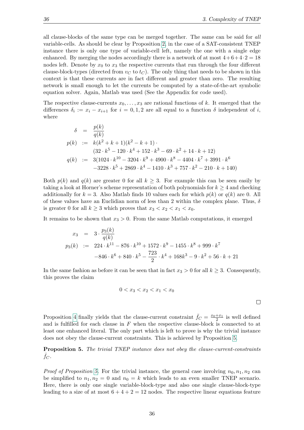all clause-blocks of the same type can be merged together. The same can be said for all variable-cells. As should be clear by Proposition [2,](#page-43-0) in the case of a SAT-consistent TNEP instance there is only one type of variable-cell left, namely the one with a single edge enhanced. By merging the nodes accordingly there is a network of at most  $4+6+4\cdot 2=18$ nodes left. Denote by  $x_0$  to  $x_3$  the respective currents that run through the four different clause-block-types (directed from  $v<sub>C</sub>$  to  $t<sub>C</sub>$ ). The only thing that needs to be shown in this context is that these currents are in fact different and greater than zero. The resulting network is small enough to let the currents be computed by a state-of-the-art symbolic equation solver. Again, Matlab was used (See the Appendix for code used).

The respective clause-currents  $x_0, \ldots, x_3$  are rational functions of k. It emerged that the differences  $\delta_i := x_i - x_{i+1}$  for  $i = 0, 1, 2$  are all equal to a function  $\delta$  independent of i, where

$$
\delta = \frac{p(k)}{q(k)}
$$
  
\n
$$
p(k) := k(k^2 + k + 1)(k^2 - k + 1)
$$
  
\n
$$
(32 \cdot k^5 - 120 \cdot k^4 + 152 \cdot k^3 - 69 \cdot k^2 + 14 \cdot k + 12)
$$
  
\n
$$
q(k) := 3(1024 \cdot k^{10} - 3204 \cdot k^9 + 4900 \cdot k^8 - 4404 \cdot k^7 + 3991 \cdot k^6
$$
  
\n
$$
-3228 \cdot k^5 + 2869 \cdot k^4 - 1410 \cdot k^3 + 757 \cdot k^2 - 210 \cdot k + 140)
$$

Both  $p(k)$  and  $q(k)$  are greater 0 for all  $k \geq 3$ . For example this can be seen easily by taking a look at Horner's scheme representation of both polynomials for  $k \geq 4$  and checking additionally for  $k = 3$ . Also Matlab finds 10 values each for which  $p(k)$  or  $q(k)$  are 0. All of these values have an Euclidian norm of less than 2 within the complex plane. Thus,  $\delta$ is greater 0 for all  $k \geq 3$  which proves that  $x_3 < x_2 < x_1 < x_0$ .

It remains to be shown that  $x_3 > 0$ . From the same Matlab computations, it emerged

$$
x_3 = 3 \cdot \frac{p_3(k)}{q(k)}
$$
  
\n
$$
p_3(k) := 224 \cdot k^{11} - 876 \cdot k^{10} + 1572 \cdot k^9 - 1455 \cdot k^8 + 999 \cdot k^7
$$
  
\n
$$
-846 \cdot k^6 + 840 \cdot k^5 - \frac{723}{2} \cdot k^4 + 168k^3 - 9 \cdot k^2 + 56 \cdot k + 21
$$

In the same fashion as before it can be seen that in fact  $x_3 > 0$  for all  $k \geq 3$ . Consequently, this proves the claim

$$
0 < x_3 < x_2 < x_1 < x_0
$$

 $\Box$ 

Proposition [4](#page-46-0) finally yields that the clause-current constraint  $\bar{f}_C = \frac{x_0+x_1}{2}$  is well defined and is fulfilled for each clause in  $F$  when the respective clause-block is connected to at least one enhanced literal. The only part which is left to prove is why the trivial instance does not obey the clause-current constraints. This is achieved by Proposition [5.](#page-47-0)

<span id="page-47-0"></span>**Proposition 5.** The trivial TNEP instance does not obey the clause-current-constraints  $f_C$ .

*Proof of Proposition [5.](#page-47-0)* For the trivial instance, the general case involving  $n_0, n_1, n_2$  can be simplified to  $n_1, n_2 = 0$  and  $n_0 = k$  which leads to an even smaller TNEP scenario. Here, there is only one single variable-block-type and also one single clause-block-type leading to a size of at most  $6 + 4 + 2 = 12$  nodes. The respective linear equations feature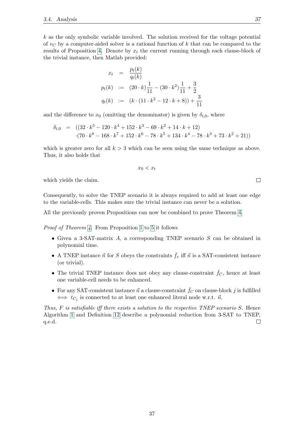$k$  as the only symbolic variable involved. The solution received for the voltage potential of  $v<sub>C</sub>$  by a computer-aided solver is a rational function of k that can be compared to the results of Proposition [4.](#page-46-0) Denote by  $x_t$  the current running through each clause-block of the trivial instance, then Matlab provided:

$$
x_t = \frac{p_t(k)}{q_t(k)}
$$
  
\n
$$
p_t(k) := (20 \cdot k) \frac{1}{11} - (30 \cdot k^2) \frac{1}{11} + \frac{3}{2}
$$
  
\n
$$
q_t(k) := (k \cdot (11 \cdot k^2 - 12 \cdot k + 8)) + \frac{3}{11}
$$

and the difference to  $x_0$  (omitting the denominator) is given by  $\delta_{t,0}$ , where

$$
\delta_{t,0} = ((32 \cdot k^5 - 120 \cdot k^4 + 152 \cdot k^3 - 69 \cdot k^2 + 14 \cdot k + 12) \n\cdot (70 \cdot k^8 - 168 \cdot k^7 + 152 \cdot k^6 - 78 \cdot k^5 + 134 \cdot k^4 - 78 \cdot k^3 + 73 \cdot k^2 + 21))
$$

which is greater zero for all  $k > 3$  which can be seen using the same technique as above. Thus, it also holds that

$$
x_0 < x_t
$$

which yields the claim.

Consequently, to solve the TNEP scenario it is always required to add at least one edge to the variable-cells. This makes sure the trivial instance can never be a solution.

All the previously proven Propositions can now be combined to prove Theorem [4.](#page-41-2)

Proof of Theorem [4.](#page-41-2) From Proposition [1](#page-42-0) to [5](#page-47-0) it follows

- Given a 3-SAT-matrix A, a corresponding TNEP scenario S can be obtained in polynomial time.
- A TNEP instance  $\vec{n}$  for S obeys the constraints  $\bar{f}_v$  iff  $\vec{n}$  is a SAT-consistent instance (or trivial).
- The trivial TNEP instance does not obey any clause-constraint  $f_C$ , hence at least one variable-cell needs to be enhanced.
- For any SAT-consistent instance  $\vec{n}$  a clause-constraint  $\bar{f}_C$  on clause-block j is fulfilled  $\iff t_{C_j}$  is connected to at least one enhanced literal node w.r.t.  $\vec{n}$ .

Thus,  $F$  is satisfiable iff there exists a solution to the respective TNEP scenario  $S$ . Hence Algorithm [1](#page-38-0) and Definition [12](#page-39-0) describe a polynomial reduction from 3-SAT to TNEP, q.e.d.  $\Box$ 

 $\Box$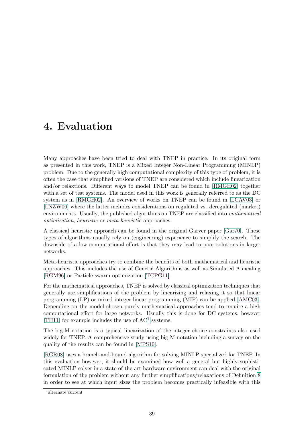## 4. Evaluation

Many approaches have been tried to deal with TNEP in practice. In its original form as presented in this work, TNEP is a Mixed Integer Non-Linear Programming (MINLP) problem. Due to the generally high computational complexity of this type of problem, it is often the case that simplified versions of TNEP are considered which include linearization and/or relaxtions. Different ways to model TNEP can be found in [\[RMGH02\]](#page-61-0) together with a set of test systems. The model used in this work is generally referred to as the DC system as in [\[RMGH02\]](#page-61-0). An overview of works on TNEP can be found in [\[LCAV03\]](#page-61-1) or [\[LNZW06\]](#page-61-2) where the latter includes considerations on regulated vs. deregulated (market) environments. Usually, the published algorithms on TNEP are classified into mathematical optimization, heuristic or meta-heuristic approaches.

A classical heuristic approach can be found in the original Garver paper [\[Gar70\]](#page-60-0). These types of algorithms usually rely on (engineering) experience to simplify the search. The downside of a low computational effort is that they may lead to poor solutions in larger networks.

Meta-heuristic approaches try to combine the benefits of both mathematical and heuristic approaches. This includes the use of Genetic Algorithms as well as Simulated Annealing [\[RGM96\]](#page-61-3) or Particle-swarm optimization [\[TCPG11\]](#page-61-4).

For the mathematical approaches, TNEP is solved by classical optimization techniques that generally use simplifications of the problem by linearizing and relaxing it so that linear programming (LP) or mixed integer linear programming (MIP) can be applied [\[AMC03\]](#page-60-1). Depending on the model chosen purely mathematical approaches tend to require a high computational effort for large networks. Usually this is done for DC systems, however [\[TH11\]](#page-61-5) for example includes the use of AC<sup>[1](#page-50-0)</sup> systems.

The big-M-notation is a typical linearization of the integer choice constraints also used widely for TNEP. A comprehensive study using big-M-notation including a survey on the quality of the results can be found in [\[MPS10\]](#page-61-6).

[\[RGR08\]](#page-61-7) uses a branch-and-bound algorithm for solving MINLP specialized for TNEP. In this evaluation however, it should be examined how well a general but highly sophisticated MINLP solver in a state-of-the-art hardware environment can deal with the original formulation of the problem without any further simplifications/relaxations of Definition [8](#page-27-0) in order to see at which input sizes the problem becomes practically infeasible with this

<span id="page-50-0"></span><sup>1</sup> alternate current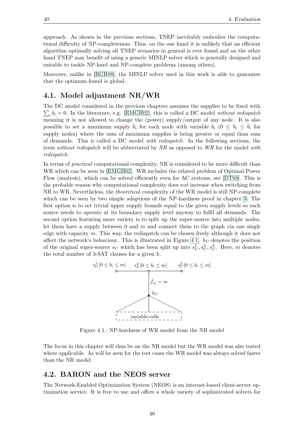approach. As shown in the previous sections, TNEP inevitably embodies the computational difficulty of NP-completeness. Thus, on the one hand it is unlikely that an efficient algorithm optimally solving all TNEP scenarios in general is ever found and on the other hand TNEP may benefit of using a generic MINLP solver which is generally designed and suitable to tackle NP-hard and NP-complete problems (among others).

Moreover, unlike in [\[RGR08\]](#page-61-7), the MINLP solver used in this work is able to guarantee that the optimum found is global.

## 4.1. Model adjustment NR/WR

The DC model considered in the previous chapters assumes the supplies to be fixed with  $\sum_i b_i = 0$ . In the literature, e.g. [\[RMGH02\]](#page-61-0), this is called a DC model without redispatch meaning it is not allowed to change the (power) supply/output of any node. It is also possible to set a maximum supply  $\bar{b}_i$  for each node with variable  $b_i$   $(0 \leq b_i \leq \bar{b}_i$  for supply nodes) where the sum of maximum supplies is being greater or equal than sum of demands. This is called a DC model with redispatch. In the following sections, the term without redispatch will be abbreviated by NR as opposed to WR for the model with redispatch.

In terms of practical computational complexity, NR is considered to be more difficult than WR which can be seen in [\[RMGH02\]](#page-61-0). WR includes the related problem of Optimal Power Flow (analysis), which can be solved efficiently even for AC systems, see [\[DT68\]](#page-60-2). This is the probable reason why computational complexity does not increase when switching from NR to WR. Nevertheless, the *theoretical* complexity of the WR model is still NP-complete which can be seen by two simple adaptions of the NP-hardness proof in chapter [3:](#page-32-0) The first option is to set trivial upper supply bounds equal to the given supply levels so each source needs to operate at its boundary supply level anyway to fulfil all demands. The second option featuring more variety is to split up the super-source into multiple nodes, let them have a supply between 0 and  $m$  and connect them to the graph via one single edge with capacity m. This way, the redispatch can be chosen freely although it does not affect the network's behaviour. This is illustrated in Figure [4.1.](#page-51-0)  $h_C$  denotes the position of the original super-source  $s_C$  which has been split up into  $s_C^1, s_C^2, s_C^3$ . Here, m denotes the total number of 3-SAT clauses for a given  $k$ .



<span id="page-51-0"></span>Figure 4.1.: NP-hardness of WR model from the NR model

The focus in this chapter will thus be on the NR model but the WR model was also tested where applicable. As will be seen for the test cases the WR model was always solved faster than the NR model.

### 4.2. BARON and the NEOS server

The Network-Enabled Optimization System (NEOS) is an internet-based client-server optimization service. It is free to use and offers a whole variety of sophisticated solvers for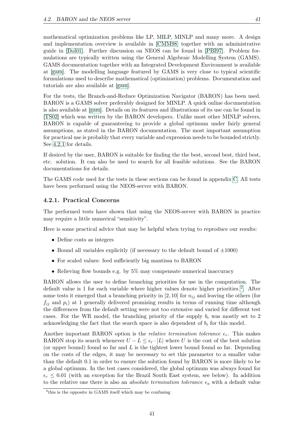mathematical optimization problems like LP, MILP, MINLP and many more. A design and implementation overview is available in [\[CMM98\]](#page-60-3) together with an administrative guide in [\[Dol01\]](#page-60-4). Further discussion on NEOS can be found in [\[PBI97\]](#page-61-8). Problem formulations are typically written using the General Algebraic Modelling System (GAMS). GAMS documentation together with an Integrated Development Environment is available at [\[gam\]](#page-60-5). The modelling language featured by GAMS is very close to typical scientific formulations used to describe mathematical (optimization) problems. Documentation and tutorials are also available at [\[gam\]](#page-60-5).

For the tests, the Branch-and-Reduce Optimization Navigator (BARON) has been used. BARON is a GAMS solver preferably designed for MINLP. A quick online documentation is also available at [\[gam\]](#page-60-5). Details on its features and illustrations of its use can be found in [\[TS02\]](#page-61-9) which was written by the BARON developers. Unlike most other MINLP solvers, BARON is capable of guaranteeing to provide a global optimum under fairly general assumptions, as stated in the BARON documentation. The most important assumption for practical use is probably that every variable and expression needs to be bounded strictly. See [4.2.1](#page-52-0) for details.

If desired by the user, BARON is suitable for finding the the best, second best, third best, etc. solution. It can also be used to search for all feasible solutions. See the BARON documentations for details.

The GAMS code used for the tests in these sections can be found in appendix [C.](#page-79-0) All tests have been performed using the NEOS-server with BARON.

#### <span id="page-52-0"></span>4.2.1. Practical Concerns

The performed tests have shown that using the NEOS-server with BARON in practice may require a little numerical "sensitivity".

Here is some practical advice that may be helpful when trying to reproduce our results:

- Define costs as integers
- Bound all variables explicitly (if necessary to the default bound of  $\pm 1000$ )
- For scaled values: feed sufficiently big mantissa to BARON
- Relieving flow bounds e.g. by  $5\%$  may compensate numerical inaccuracy

BARON allows the user to define branching priorities for use in the computation. The default value is 1 for each variable where higher values denote higher priorities <sup>[2](#page-52-1)</sup>. After some tests it emerged that a branching priority in [2, 10] for  $n_{ij}$  and leaving the others (for  $f_{ij}$  and  $p_i$ ) at 1 generally delivered promising results in terms of running time although the differences from the default setting were not too extensive and varied for different test cases. For the WR model, the branching priority of the supply  $b_i$  was mostly set to 2 acknowledging the fact that the search space is also dependent of  $b_i$  for this model.

Another important BARON option is the *relative termination tolerance*  $\epsilon_r$ . This makes BARON stop its search whenever  $U - L \leq \epsilon_r \cdot |L|$  where U is the cost of the best solution (or upper bound) found so far and  $L$  is the tightest lower bound found so far. Depending on the costs of the edges, it may be necessary to set this parameter to a smaller value than the default 0.1 in order to ensure the solution found by BARON is more likely to be a global optimum. In the test cases considered, the global optimum was always found for  $\epsilon_r \leq 0.01$  (with an exception for the Brazil South East system, see below). In addition to the relative one there is also an *absolute termination tolerance*  $\epsilon_a$  with a default value

<span id="page-52-1"></span><sup>&</sup>lt;sup>2</sup>this is the opposite in GAMS itself which may be confusing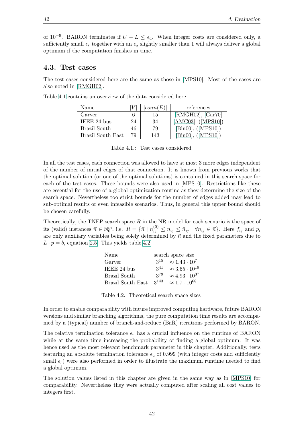of 10<sup>-9</sup>. BARON terminates if  $U - L \leq \epsilon_a$ . When integer costs are considered only, a sufficiently small  $\epsilon_r$  together with an  $\epsilon_a$  slightly smaller than 1 will always deliver a global optimum if the computation finishes in time.

#### 4.3. Test cases

The test cases considered here are the same as those in [\[MPS10\]](#page-61-6). Most of the cases are also noted in [\[RMGH02\]](#page-61-0).

| Name              |    | conn(E) | references             |
|-------------------|----|---------|------------------------|
| Garver            |    | 15      | $[RMGH02]$ , $[Gar70]$ |
| IEEE 24 bus       | 24 | 34      | [AMCO3], ([MPS10])     |
| Brazil South      | 46 | 79      | [Bin00], ([MPS10])     |
| Brazil South East | 79 | 143     | [Bin00], ([MPS10])     |

Table [4.1](#page-53-0) contains an overview of the data considered here.

<span id="page-53-0"></span>Table 4.1.: Test cases considered

In all the test cases, each connection was allowed to have at most 3 more edges independent of the number of initial edges of that connection. It is known from previous works that the optimal solution (or one of the optimal solutions) is contained in this search space for each of the test cases. These bounds were also used in [\[MPS10\]](#page-61-6). Restrictions like these are essential for the use of a global optimization routine as they determine the size of the search space. Nevertheless too strict bounds for the number of edges added may lead to sub-optimal results or even infeasible scenarios. Thus, in general this upper bound should be chosen carefully.

Theoretically, the TNEP search space  $R$  in the NR model for each scenario is the space of its (valid) instances  $\vec{n} \in \mathbb{N}_0^m$ , i.e.  $R = \{\vec{n} \mid n_{ij}^{(0)} \le n_{ij} \le \bar{n}_{ij} \quad \forall n_{ij} \in \vec{n}\}\.$  Here  $f_{ij}$  and  $p_i$ are only auxiliary variables being solely determined by  $\vec{n}$  and the fixed parameters due to  $L \cdot p = b$ , equation [2.5.](#page-21-0) This yields table [4.2](#page-53-1)

| Name              |           | search space size                    |
|-------------------|-----------|--------------------------------------|
| Garver            | $3^{15}$  | $\approx 1.43 \cdot \overline{10^7}$ |
| IEEE 24 bus       | $3^{41}$  | $\approx 3.65 \cdot 10^{19}$         |
| Brazil South      | 379       | $\approx 4.93 \cdot 10^{37}$         |
| Brazil South East | $3^{143}$ | $\approx 1.7 \cdot 10^{68}$          |

<span id="page-53-1"></span>Table 4.2.: Theoretical search space sizes

In order to enable comparability with future improved computing hardware, future BARON versions and similar branching algorithms, the pure computation time results are accompanied by a (typical) number of branch-and-reduce (BaR) iterations performed by BARON.

The relative termination tolerance  $\epsilon_r$  has a crucial influence on the runtime of BARON while at the same time increasing the probability of finding a global optimum. It was hence used as the most relevant benchmark parameter in this chapter. Additionally, tests featuring an absolute termination tolerance  $\epsilon_a$  of 0.999 (with integer costs and sufficiently small  $\epsilon_r$ ) were also performed in order to illustrate the maximum runtime needed to find a global optimum.

The solution values listed in this chapter are given in the same way as in [\[MPS10\]](#page-61-6) for comparability. Nevertheless they were actually computed after scaling all cost values to integers first.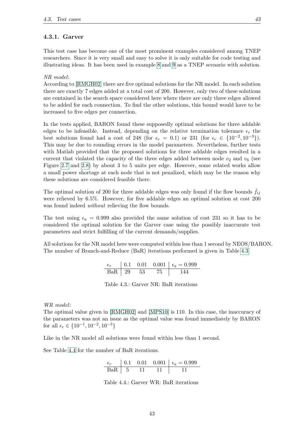#### <span id="page-54-2"></span>4.3.1. Garver

This test case has become one of the most prominent examples considered among TNEP researchers. Since it is very small and easy to solve it is only suitable for code testing and illustrating ideas. It has been used in example [8](#page-27-1) and [9](#page-28-0) as a TNEP scenario with solution.

#### NR model:

According to [\[RMGH02\]](#page-61-0) there are five optimal solutions for the NR model. In each solution there are exactly 7 edges added at a total cost of 200. However, only two of these solutions are contained in the search space considered here where there are only three edges allowed to be added for each connection. To find the other solutions, this bound would have to be increased to five edges per connection.

In the tests applied, BARON found these supposedly optimal solutions for three addable edges to be infeasible. Instead, depending on the relative termination tolerance  $\epsilon_r$  the best solutions found had a cost of 248 (for  $\epsilon_r = 0.1$ ) or 231 (for  $\epsilon_r \in \{10^{-2}, 10^{-3}\}\.$ This may be due to rounding errors in the model parameters. Nevertheless, further tests with Matlab provided that the proposed solutions for three addable edges resulted in a current that violated the capacity of the three edges added between node  $v_2$  and  $v_6$  (see Figure [2.7](#page-28-1) and [2.8\)](#page-29-1) by about 3 to 5 units per edge. However, some related works allow a small power shortage at each node that is not penalized, which may be the reason why these solutions are considered feasible there.

The optimal solution of 200 for three addable edges was only found if the flow bounds  $f_{ij}$ were relieved by 6.5%. However, for five addable edges an optimal solution at cost 200 was found indeed *without* relieving the flow bounds.

The test using  $\epsilon_a = 0.999$  also provided the same solution of cost 231 so it has to be considered the optimal solution for the Garver case using the possibly inaccurate test parameters and strict fulfilling of the current demands/supplies.

All solutions for the NR model here were computed within less than 1 second by NEOS/BARON. The number of Branch-and-Reduce (BaR) iterations performed is given in Table [4.3](#page-54-0)

|               |  | 0.1  0.01  0.001   $\epsilon_a = 0.999$ |
|---------------|--|-----------------------------------------|
| $BaR$   29 53 |  |                                         |

<span id="page-54-0"></span>Table 4.3.: Garver NR: BaR iterations

WR model:

The optimal value given in [\[RMGH02\]](#page-61-0) and [\[MPS10\]](#page-61-6) is 110. In this case, the inaccuracy of the parameters was not an issue as the optimal value was found immediately by BARON for all  $\epsilon_r \in \{10^{-1}, 10^{-2}, 10^{-3}\}\$ 

Like in the NR model all solutions were found within less than 1 second.

See Table [4.4](#page-54-1) for the number of BaR iterations.

$$
\begin{array}{c|ccccc}\n\epsilon_r & 0.1 & 0.01 & 0.001 & \epsilon_a = 0.999 \\
\hline\n\text{BaR} & 5 & 11 & 11 & 11\n\end{array}
$$

<span id="page-54-1"></span>Table 4.4.: Garver WR: BaR iterations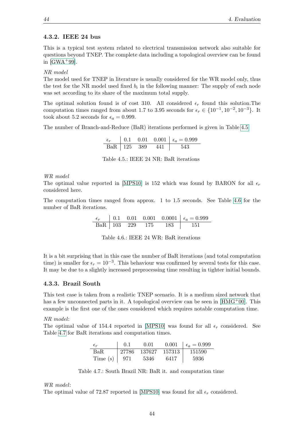#### 4.3.2. IEEE 24 bus

This is a typical test system related to electrical transmission network also suitable for questions beyond TNEP. The complete data including a topological overview can be found in  $[GWA+99]$ .

NR model

The model used for TNEP in literature is usually considered for the WR model only, thus the test for the NR model used fixed  $b_i$  in the following manner: The supply of each node was set according to its share of the maximum total supply.

The optimal solution found is of cost 310. All considered  $\epsilon_r$  found this solution. The computation times ranged from about 1.7 to 3.95 seconds for  $\epsilon_r \in \{10^{-1}, 10^{-2}, 10^{-3}\}$ . It took about 5.2 seconds for  $\epsilon_a = 0.999$ .

The number of Branch-and-Reduce (BaR) iterations performed is given in Table [4.5](#page-55-0)

| $\epsilon_r$ |  |                     | 0.1 0.01 0.001   $\epsilon_a = 0.999$ |
|--------------|--|---------------------|---------------------------------------|
|              |  | $BaR$   125 389 441 | -- 543                                |

<span id="page-55-0"></span>

| Table 4.5.: IEEE 24 NR: BaR iterations |
|----------------------------------------|
|----------------------------------------|

#### WR model

The optimal value reported in [\[MPS10\]](#page-61-6) is 152 which was found by BARON for all  $\epsilon_r$ considered here.

The computation times ranged from approx. 1 to 1.5 seconds. See Table [4.6](#page-55-1) for the number of BaR iterations.

$$
\begin{array}{c|ccccc}\n\epsilon_r & 0.1 & 0.01 & 0.001 & 0.0001 & \epsilon_a = 0.999 \\
\hline\n\text{BaR} & 103 & 229 & 175 & 183 & 151\n\end{array}
$$

<span id="page-55-1"></span>

| Table 4.6.: IEEE 24 WR: BaR iterations |
|----------------------------------------|
|----------------------------------------|

It is a bit surprising that in this case the number of BaR iterations (and total computation time) is smaller for  $\epsilon_r = 10^{-3}$ . This behaviour was confirmed by several tests for this case. It may be due to a slightly increased preprocessing time resulting in tighter initial bounds.

#### 4.3.3. Brazil South

This test case is taken from a realistic TNEP scenario. It is a medium sized network that has a few unconnected parts in it. A topological overview can be seen in  $[HMG<sup>+</sup>00]$ . This example is the first one of the ones considered which requires notable computation time.

#### NR model:

The optimal value of 154.4 reported in [\[MPS10\]](#page-61-6) was found for all  $\epsilon_r$  considered. See Table [4.7](#page-55-2) for BaR iterations and computation times.

| $\epsilon_r$ | 0.1   | 0.01     | 0.001  | $\epsilon_a = 0.999$ |
|--------------|-------|----------|--------|----------------------|
| BaR.         | 27786 | - 137627 | 157313 | 151590               |
| Time $(s)$   | -971  | 5346     | 6417   | 5936                 |

<span id="page-55-2"></span>Table 4.7.: South Brazil NR: BaR it. and computation time

#### WR model:

The optimal value of 72.87 reported in [\[MPS10\]](#page-61-6) was found for all  $\epsilon_r$  considered.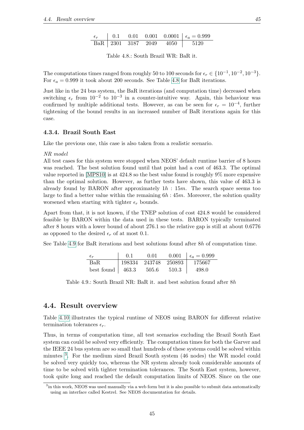$$
\begin{array}{c|ccccc}\n\epsilon_r & 0.1 & 0.01 & 0.001 & 0.0001 & \epsilon_a = 0.999 \\
\hline\n\text{BaR} & 2301 & 3187 & 2049 & 4050 & 5120\n\end{array}
$$

<span id="page-56-0"></span>Table 4.8.: South Brazil WR: BaR it.

The computations times ranged from roughly 50 to 100 seconds for  $\epsilon_r \in \{10^{-1}, 10^{-2}, 10^{-3}\}.$ For  $\epsilon_a = 0.999$  it took about 200 seconds. See Table [4.8](#page-56-0) for BaR iterations.

Just like in the 24 bus system, the BaR iterations (and computation time) decreased when switching  $\epsilon_r$  from  $10^{-2}$  to  $10^{-3}$  in a counter-intuitive way. Again, this behaviour was confirmed by multiple additional tests. However, as can be seen for  $\epsilon_r = 10^{-4}$ , further tightening of the bound results in an increased number of BaR iterations again for this case.

#### 4.3.4. Brazil South East

Like the previous one, this case is also taken from a realistic scenario.

NR model

All test cases for this system were stopped when NEOS' default runtime barrier of 8 hours was reached. The best solution found until that point had a cost of 463.3. The optimal value reported in [\[MPS10\]](#page-61-6) is at 424.8 so the best value found is roughly 9% more expensive than the optimal solution. However, as further tests have shown, this value of 463.3 is already found by BARON after approximately  $1h : 15m$ . The search space seems too large to find a better value within the remaining  $6h : 45m$ . Moreover, the solution quality worsened when starting with tighter  $\epsilon_r$  bounds.

Apart from that, it is not known, if the TNEP solution of cost 424.8 would be considered feasible by BARON within the data used in these tests. BARON typically terminated after 8 hours with a lower bound of about 276.1 so the relative gap is still at about 0.6776 as opposed to the desired  $\epsilon_r$  of at most 0.1.

See Table [4.9](#page-56-1) for BaR iterations and best solutions found after 8h of computation time.

<span id="page-56-1"></span>

| $\epsilon_r$             | (0.1) | 0.01          |        | 0.001 $\epsilon_a = 0.999$ |
|--------------------------|-------|---------------|--------|----------------------------|
| BaR.                     |       | 198334 243748 | 250893 | 175667                     |
| best found $\vert$ 463.3 |       | 505.6         | 510.3  | 498.0                      |

Table 4.9.: South Brazil NR: BaR it. and best solution found after 8h

### 4.4. Result overview

Table [4.10](#page-57-0) illustrates the typical runtime of NEOS using BARON for different relative termination tolerances  $\epsilon_r$ .

Thus, in terms of computation time, all test scenarios excluding the Brazil South East system can could be solved very efficiently. The computation times for both the Garver and the IEEE 24 bus system are so small that hundreds of these systems could be solved within minutes <sup>[3](#page-56-2)</sup>. For the medium sized Brazil South system (46 nodes) the WR model could be solved very quickly too, whereas the NR system already took considerable amounts of time to be solved with tighter termination tolerances. The South East system, however, took quite long and reached the default computation limits of NEOS. Since on the one

<span id="page-56-2"></span><sup>&</sup>lt;sup>3</sup> in this work, NEOS was used manually via a web form but it is also possible to submit data automatically using an interface called Kestrel. See NEOS documentation for details.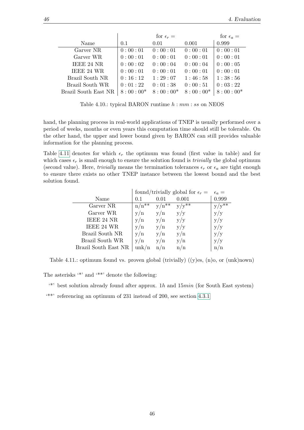|                      |            | for $\epsilon_r =$ |            | for $\epsilon_a =$ |
|----------------------|------------|--------------------|------------|--------------------|
| Name                 | 0.1        | 0.01               | 0.001      | 0.999              |
| Garver NR            | 0:00:01    | 0:00:01            | 0:00:01    | 0:00:01            |
| Garver WR            | 0:00:01    | 0:00:01            | 0:00:01    | 0:00:01            |
| IEEE 24 NR           | 0:00:02    | 0:00:04            | 0:00:04    | 0:00:05            |
| IEEE 24 WR           | 0:00:01    | 0:00:01            | 0:00:01    | 0:00:01            |
| Brazil South NR      | 0:16:12    | 1:29:07            | 1:46:58    | 1:38:56            |
| Brazil South WR      | 0:01:22    | 0:01:38            | 0:00:51    | 0:03:22            |
| Brazil South East NR | $8:00:00*$ | $8:00:00*$         | $8:00:00*$ | $8:00:00*$         |

<span id="page-57-0"></span>Table 4.10.: typical BARON runtime  $h : mm : ss$  on NEOS

hand, the planning process in real-world applications of TNEP is usually performed over a period of weeks, months or even years this computation time should still be tolerable. On the other hand, the upper and lower bound given by BARON can still provides valuable information for the planning process.

Table [4.11](#page-57-1) denotes for which  $\epsilon_r$  the optimum was found (first value in table) and for which cases  $\epsilon_r$  is small enough to ensure the solution found is *trivially* the global optimum (second value). Here, *trivially* means the termination tolerances  $\epsilon_r$  or  $\epsilon_a$  are tight enough to ensure there exists no other TNEP instance between the lowest bound and the best solution found.

|                      |                         | found/trivially global for $\epsilon_r =$ |         |            |  |
|----------------------|-------------------------|-------------------------------------------|---------|------------|--|
| Name                 | 0.1                     | 0.01                                      | 0.001   | 0.999      |  |
| Garver NR            | $n/n^{*\ast}$           | $v/n^{*\ast}$                             | $y/y^*$ | $y/y^{**}$ |  |
| Garver WR            | $\mathrm{v}/\mathrm{n}$ | $\mathrm{v}/\mathrm{n}$                   | V/V     | y/y        |  |
| IEEE 24 NR           | $\mathrm{v}/\mathrm{n}$ | $\mathrm{v}/\mathrm{n}$                   | y/y     | y/y        |  |
| IEEE 24 WR           | $\mathrm{v}/\mathrm{n}$ | $\mathrm{v}/\mathrm{n}$                   | y/y     | y/y        |  |
| Brazil South NR      | $\mathrm{v}/\mathrm{n}$ | $\mathrm{v}/\mathrm{n}$                   | y/n     | y/y        |  |
| Brazil South WR      | $\mathrm{v}/\mathrm{n}$ | $\mathrm{v}/\mathrm{n}$                   | y/n     | y/y        |  |
| Brazil South East NR | unk/n                   | n/n                                       | n/n     | n/n        |  |

<span id="page-57-1"></span>Table 4.11.: optimum found vs. proven global (trivially)  $((y)$ es,  $(n)$ o, or  $(nk)$ nown)

The asterisks  $\cdot^*$  and  $\cdot^{**}$  denote the following:

 $\rightarrow$  '\*' best solution already found after approx. 1h and 15 $min$  (for South East system)

'\*\*' referencing an optimum of 231 instead of 200, see section [4.3.1](#page-54-2)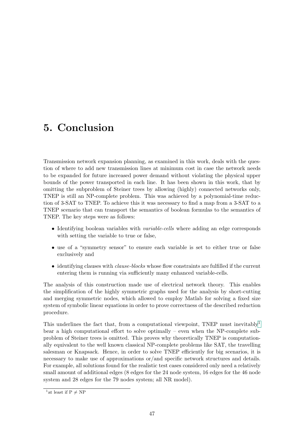# 5. Conclusion

Transmission network expansion planning, as examined in this work, deals with the question of where to add new transmission lines at minimum cost in case the network needs to be expanded for future increased power demand without violating the physical upper bounds of the power transported in each line. It has been shown in this work, that by omitting the subproblem of Steiner trees by allowing (highly) connected networks only, TNEP is still an NP-complete problem. This was achieved by a polynomial-time reduction of 3-SAT to TNEP. To achieve this it was necessary to find a map from a 3-SAT to a TNEP scenario that can transport the semantics of boolean formulas to the semantics of TNEP. The key steps were as follows:

- Identifying boolean variables with *variable-cells* where adding an edge corresponds with setting the variable to true or false,
- use of a "symmetry sensor" to ensure each variable is set to either true or false exclusively and
- identifying clauses with *clause-blocks* whose flow constraints are fulfilled if the current entering them is running via sufficiently many enhanced variable-cells.

The analysis of this construction made use of electrical network theory. This enables the simplification of the highly symmetric graphs used for the analysis by short-cutting and merging symmetric nodes, which allowed to employ Matlab for solving a fixed size system of symbolic linear equations in order to prove correctness of the described reduction procedure.

This underlines the fact that, from a computational viewpoint, TNEP must inevitably  $\frac{1}{2}$  $\frac{1}{2}$  $\frac{1}{2}$ bear a high computational effort to solve optimally – even when the NP-complete subproblem of Steiner trees is omitted. This proves why theoretically TNEP is computationally equivalent to the well known classical NP-complete problems like SAT, the travelling salesman or Knapsack. Hence, in order to solve TNEP efficiently for big scenarios, it is necessary to make use of approximations or/and specific network structures and details. For example, all solutions found for the realistic test cases considered only need a relatively small amount of additional edges (8 edges for the 24 node system, 16 edges for the 46 node system and 28 edges for the 79 nodes system; all NR model).

<span id="page-58-0"></span><sup>&</sup>lt;sup>1</sup> at least if  $P \neq NP$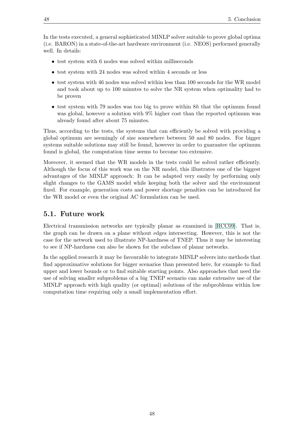In the tests executed, a general sophisticated MINLP solver suitable to prove global optima (i.e. BARON) in a state-of-the-art hardware environment (i.e. NEOS) performed generally well. In details:

- test system with 6 nodes was solved within milliseconds
- test system with 24 nodes was solved within 4 seconds or less
- test system with 46 nodes was solved within less than 100 seconds for the WR model and took about up to 100 minutes to solve the NR system when optimality had to be proven
- test system with 79 nodes was too big to prove within 8h that the optimum found was global, however a solution with 9% higher cost than the reported optimum was already found after about 75 minutes.

Thus, according to the tests, the systems that can efficiently be solved with providing a global optimum are seemingly of size somewhere between 50 and 80 nodes. For bigger systems suitable solutions may still be found, however in order to guarantee the optimum found is global, the computation time seems to become too extensive.

Moreover, it seemed that the WR models in the tests could be solved rather efficiently. Although the focus of this work was on the NR model, this illustrates one of the biggest advantages of the MINLP approach: It can be adapted very easily by performing only slight changes to the GAMS model while keeping both the solver and the environment fixed. For example, generation costs and power shortage penalties can be introduced for the WR model or even the original AC formulation can be used.

## 5.1. Future work

Electrical transmission networks are typically planar as examined in [\[RCC09\]](#page-61-11). That is, the graph can be drawn on a plane without edges intersecting. However, this is not the case for the network used to illustrate NP-hardness of TNEP. Thus it may be interesting to see if NP-hardness can also be shown for the subclass of planar networks.

In the applied research it may be favourable to integrate MINLP solvers into methods that find approximative solutions for bigger scenarios than presented here, for example to find upper and lower bounds or to find suitable starting points. Also approaches that need the use of solving smaller subproblems of a big TNEP scenario can make extensive use of the MINLP approach with high quality (or optimal) solutions of the subproblems within low computation time requiring only a small implementation effort.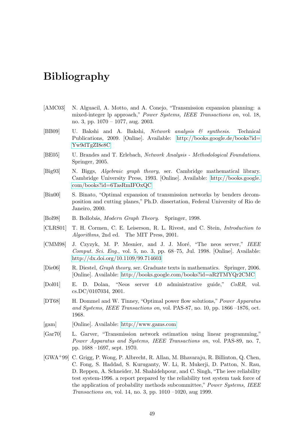## Bibliography

- <span id="page-60-1"></span>[AMC03] N. Alguacil, A. Motto, and A. Conejo, "Transmission expansion planning: a mixed-integer lp approach," Power Systems, IEEE Transactions on, vol. 18, no. 3, pp. 1070 – 1077, aug. 2003.
- [BB09] U. Bakshi and A. Bakshi, Network analysis & synthesis. Technical Publications, 2009. [Online]. Available: [http://books.google.de/books?id=](http://books.google.de/books?id=Yw9dTgZI8e8C) [Yw9dTgZI8e8C](http://books.google.de/books?id=Yw9dTgZI8e8C)
- [BE05] U. Brandes and T. Erlebach, Network Analysis Methodological Foundations. Springer, 2005.
- [Big93] N. Biggs, Algebraic graph theory, ser. Cambridge mathematical library. Cambridge University Press, 1993. [Online]. Available: [http://books.google.](http://books.google.com/books?id=6TasRmIFOxQC) [com/books?id=6TasRmIFOxQC](http://books.google.com/books?id=6TasRmIFOxQC)
- <span id="page-60-6"></span>[Bin00] S. Binato, "Optimal expansion of transmission networks by benders decomposition and cutting planes," Ph.D. dissertation, Federal University of Rio de Janeiro, 2000.
- [Bol98] B. Bollobás, *Modern Graph Theory.* Springer, 1998.
- [CLRS01] T. H. Cormen, C. E. Leiserson, R. L. Rivest, and C. Stein, Introduction to Algorithms, 2nd ed. The MIT Press, 2001.
- <span id="page-60-3"></span>[CMM98] J. Czyzyk, M. P. Mesnier, and J. J. Moré, "The neos server," IEEE Comput. Sci. Eng., vol. 5, no. 3, pp. 68–75, Jul. 1998. [Online]. Available: <http://dx.doi.org/10.1109/99.714603>
- [Die06] R. Diestel, Graph theory, ser. Graduate texts in mathematics. Springer, 2006. [Online]. Available:<http://books.google.com/books?id=aR2TMYQr2CMC>
- <span id="page-60-4"></span>[Dol01] E. D. Dolan, "Neos server 4.0 administrative guide," CoRR, vol. cs.DC/0107034, 2001.
- <span id="page-60-2"></span>[DT68] H. Dommel and W. Tinney, "Optimal power flow solutions," Power Apparatus and Systems, IEEE Transactions on, vol. PAS-87, no. 10, pp. 1866 –1876, oct. 1968.
- <span id="page-60-5"></span>[gam] [Online]. Available:<http://www.gams.com>
- <span id="page-60-0"></span>[Gar70] L. Garver, "Transmission network estimation using linear programming," Power Apparatus and Systems, IEEE Transactions on, vol. PAS-89, no. 7, pp. 1688 –1697, sept. 1970.
- <span id="page-60-7"></span>[GWA+99] C. Grigg, P. Wong, P. Albrecht, R. Allan, M. Bhavaraju, R. Billinton, Q. Chen, C. Fong, S. Haddad, S. Kuruganty, W. Li, R. Mukerji, D. Patton, N. Rau, D. Reppen, A. Schneider, M. Shahidehpour, and C. Singh, "The ieee reliability test system-1996. a report prepared by the reliability test system task force of the application of probability methods subcommittee," Power Systems, IEEE Transactions on, vol. 14, no. 3, pp. 1010 –1020, aug 1999.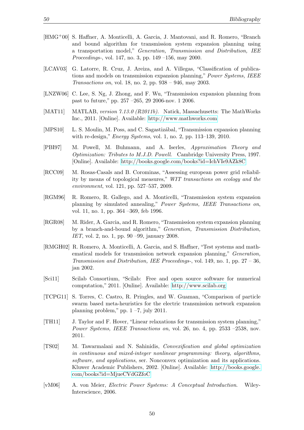- <span id="page-61-10"></span>[HMG+00] S. Haffner, A. Monticelli, A. Garcia, J. Mantovani, and R. Romero, "Branch and bound algorithm for transmission system expansion planning using a transportation model," Generation, Transmission and Distribution, IEE Proceedings-, vol. 147, no. 3, pp. 149 –156, may 2000.
- <span id="page-61-1"></span>[LCAV03] G. Latorre, R. Cruz, J. Areiza, and A. Villegas, "Classification of publications and models on transmission expansion planning," Power Systems, IEEE Transactions on, vol. 18, no. 2, pp. 938 – 946, may 2003.
- <span id="page-61-2"></span>[LNZW06] C. Lee, S. Ng, J. Zhong, and F. Wu, "Transmission expansion planning from past to future," pp. 257 –265, 29 2006-nov. 1 2006.
- [MAT11] MATLAB, version 7.13.0 (R2011b). Natick, Massachusetts: The MathWorks Inc., 2011. [Online]. Available:<http://www.mathworks.com>
- <span id="page-61-6"></span>[MPS10] L. S. Moulin, M. Poss, and C. Sagastizábal, "Transmission expansion planning with re-design," Energy Systems, vol. 1, no. 2, pp. 113–139, 2010.
- <span id="page-61-8"></span>[PBI97] M. Powell, M. Buhmann, and A. Iserles, Approximation Theory and Optimization: Tributes to M.J.D. Powell. Cambridge University Press, 1997. [Online]. Available:<http://books.google.com/books?id=IchVIe9AZk8C>
- <span id="page-61-11"></span>[RCC09] M. Rosas-Casals and B. Corominas, "Assessing european power grid reliability by means of topological measures," WIT transactions on ecology and the environment, vol. 121, pp. 527–537, 2009.
- <span id="page-61-3"></span>[RGM96] R. Romero, R. Gallego, and A. Monticelli, "Transmission system expansion planning by simulated annealing," Power Systems, IEEE Transactions on, vol. 11, no. 1, pp. 364 –369, feb 1996.
- <span id="page-61-7"></span>[RGR08] M. Rider, A. Garcia, and R. Romero, "Transmission system expansion planning by a branch-and-bound algorithm," Generation, Transmission Distribution, IET, vol. 2, no. 1, pp. 90 –99, january 2008.
- <span id="page-61-0"></span>[RMGH02] R. Romero, A. Monticelli, A. Garcia, and S. Haffner, "Test systems and mathematical models for transmission network expansion planning," Generation, Transmission and Distribution, IEE Proceedings-, vol. 149, no. 1, pp. 27 – 36, jan 2002.
- [Sci11] Scilab Consortium, "Scilab: Free and open source software for numerical computation," 2011. [Online]. Available:<http://www.scilab.org>
- <span id="page-61-4"></span>[TCPG11] S. Torres, C. Castro, R. Pringles, and W. Guaman, "Comparison of particle swarm based meta-heuristics for the electric transmission network expansion planning problem," pp.  $1 - 7$ , july 2011.
- <span id="page-61-5"></span>[TH11] J. Taylor and F. Hover, "Linear relaxations for transmission system planning," Power Systems, IEEE Transactions on, vol. 26, no. 4, pp. 2533 –2538, nov. 2011.
- <span id="page-61-9"></span>[TS02] M. Tawarmalani and N. Sahinidis, Convexification and global optimization in continuous and mixed-integer nonlinear programming: theory, algorithms, software, and applications, ser. Nonconvex optimization and its applications. Kluwer Academic Publishers, 2002. [Online]. Available: [http://books.google.](http://books.google.com/books?id=MjueCVdGZfoC) [com/books?id=MjueCVdGZfoC](http://books.google.com/books?id=MjueCVdGZfoC)
- [vM06] A. von Meier, Electric Power Systems: A Conceptual Introduction. Wiley-Interscience, 2006.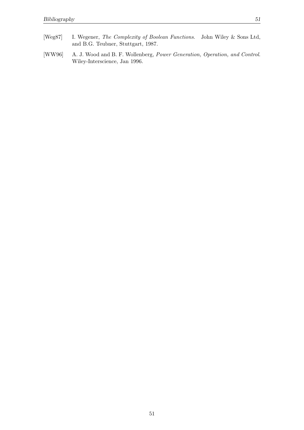[WW96] A. J. Wood and B. F. Wollenberg, Power Generation, Operation, and Control. Wiley-Interscience, Jan 1996.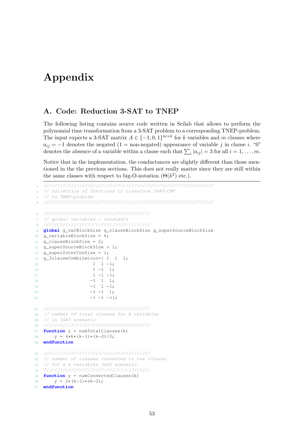# Appendix

## A. Code: Reduction 3-SAT to TNEP

The following listing contains source code written in Scilab that allows to perform the polynomial time transformation from a 3-SAT problem to a corresponding TNEP-problem. The input expects a 3-SAT matrix  $A \in \{-1, 0, 1\}^{m \times k}$  for k variables and m clauses where  $a_{ij} = -1$  denotes the negated (1 = non-negated) appearance of variable j in clause i. "0" denotes the absence of a variable within a clause such that  $\sum_i |a_{ij}| = 3$  for all  $i = 1, \ldots, m$ .

Notice that in the implementation, the conductances are slightly different than those mentioned in the the previous sections. This does not really matter since they are still within the same classes with respect to big-O-notation  $(\Theta(k^2)$  etc.).

```
1 //////////////////////////////////////////////////////////////
2 // collection of functions to transform 3SAT−CNF
3 // to TNEP−problem
4 //////////////////////////////////////////////////////////////
  6 ///////////////////////////////////////
  7 // global variables / constants
  8 ///////////////////////////////////////
9 global g_varBlockSize g_clauseBlockSize g_superSourceBlockSize
10 g_variableBlockSize = 6;
11 g_clauseBlockSize = 2;
12 g_superSourceBlockSize = 1;
13 g_superInterConSize = 1;
14 g_3clauseCombination=[ 1 1 1;
15 1 1 -1;1<sub>1</sub> -1 <sub>1</sub>;1 - 1 - 1;18 −1 1 1;
19 −1 1 −1;
20 -1 -1 1;-1 -1 -1];
23 ///////////////////////////////////////
24 // number of total clauses for k variables
25 // in 3SAT scenario
26 ///////////////////////////////////////
27 function y = numTotalClauses(k)
28 y = 4*k*(k-1)*(k-2)/3;29 endfunction
31 ///////////////////////////////////////
32 // number of clauses connected to one literal
33 // for a k variables 3SAT scenario
34 ///////////////////////////////////////
35 function y = numConnectedClauses(k)
36 y = 2*(k-1)*(k-2);
37 endfunction
```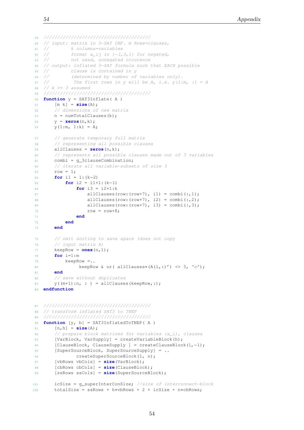```
39 ///////////////////////////////////////
40 // input: matrix in 3−SAT CNF. m Rows=clauses,
41 // k columns=variables
42 // format a_ij in \{-1,0,1\} for negated,
43 // not used, unnegated occurence
44 // output: inflated 3−SAT formula such that EACH possible
45 // clause is contained in y
46 // (determined by number of variables only).
47 // The first rows in y will be A, i.e. y(1:m, :)=A48 // k \geq 3 assumed
49 ///////////////////////////////////////
50 function y = SAT3Inflate( A )
51 [m k] = size(A);
52 // dimensions of new matrix
53 n = numTotalClauses(k);54 y = zeros(n,k);
55 y(1:m, 1:k) = A;57 // generate temporary full matrix
58 // representing all possible clauses
59 allClauses = zeros(n,k);
60 // represents all possible clauses made out of 3 variables
61 combi = g_3clauseCombination;
62 // iterate all variable−subsets of size 3
63 row = 1;64 for i1 = 1:(k−2)
65 for i2 = i1+1:(k−1)
66 for i3 = i2+1:k
67 allClauses(row:(row+7), i1) = combi(:,1);
68 allClauses(row:(row+7), i2) = combi(:,2);
69 allClauses(row:(row+7), i3) = combi(:,3);
row = row+8;71 end
72 end
73 end
75 // omit sorting to save space (does not copy
76 // input matrix A)
77 keepRow = ones(n,1);
78 for i=1:m
79 keepRow =..
80 keepRow & or( allClauses*(A(i,:)') <> 3, 'c');
81 end
82 // save without duplicates
83 y((m+1):n, : ) = \text{allClasses}(keepRow, :);84 endfunction
87 ///////////////////////////////////////
88 // transform inflated SAT3 to TNEP
89 ///////////////////////////////////////
90 function [y, b] = SAT3InflatedToTNEP( A )
91 [n,h] = size(A);
92 // prepare block matrizes for variables (x_i), clauses
93 [VarBlock, VarSupply] = createVariableBlock(h);
94 [ClauseBlock, ClauseSupply ] = createClauseBlock(1,−1);
95 [SuperSourceBlock, SuperSourceSupply] = ..
96 createSuperSourceBlock(1, n);
97 [vbRows vbCols] = size(VarBlock);
98 [cbRows cbCols] = size(ClauseBlock);
99 [ssRows ssCols] = size(SuperSourceBlock);
101 icSize = g_superInterConSize; //size of interconnect−block
102 totalSize = ssRows + h*vbRows + 2 + icSize + n*cbRows;
```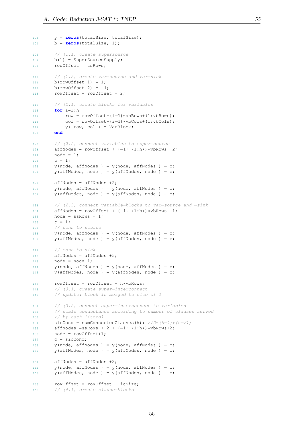```
103 y = zeros(totalSize, totalSize);
104 b = zeros(totalSize, 1);
106 // (1.1) create supersource
107 b(1) = SuperSourceSupply;
108 rowOffset = ssRows;
110 // (1.2) create var−source and var−sink
111 b(rowOffset+1) = 1;
112 b(rowOffset+2) = -1;
113 rowOffset = rowOffset + 2;
115 // (2.1) create blocks for variables
116 for i=1:h
117 row = rowOffset+(i-1)*vbRows+(1:vbRows);
118 col = rowOffset+(i−1)∗vbCols+(1:vbCols);
119 y( row, col ) = VarBlock;
120 end
122 // (2.2) connect variables to super−source
123 affNodes = rowOffset + (-1+(1:h))*vbRows +2;
124 node = 1;
125 c = 1;
126 y(node, affNodes ) = y(node, affNodes ) – c;
127 y(affNodes, node ) = y(affNodes, node ) – c;
129 affNodes = affNodes +2;130 y(node, affNodes ) = y(node, affNodes ) – c;
131 y(affNodes, node ) = y(affNodes, node ) – c;
133 // (2.3) connect variable−blocks to var−source and −sink
134 affNodes = rowOffset + (-1+(1:h))*vbRows +1;
135 node = ssRows + 1;136 c = 1;
137 // conn to source
138 y(node, affNodes ) = y(node, affNodes ) – c;
139 y(affNodes, node ) = y(affNodes, node ) – c;
141 // conn to sink
142 affNodes = affNodes +5;
143 node = node+1;144 y(node, affNodes ) = y(node, affNodes ) – c;
145 y(affNodes, node ) = y(affNodes, node ) – c;
147 rowOffset = rowOffset + h*vbRows;
148 // (3.1) create super−interconnect
149 // update: block is merged to size of 1
151 // (3.2) connect super−interconnect to variables
152 // scale conductance according to number of clauses served
153 // by each literal
154 sicCond = numConnectedClauses(h); //2*(h-1)*(h-2);155 affNodes =ssRows + 2 + (-1+ (1:h))*vbRows+2;
156 node = rowOffset+1;
157 c = \text{sicCond};
158 y(node, affNodes ) = y(node, affNodes ) – c;
159 y(affNodes, node ) = y(affNodes, node ) – c;
161 affNodes = affNodes +2;
162 y(node, affNodes ) = y(node, affNodes ) – c;
163 y(affNodes, node) = y(affNodes, node) - c;165 rowOffset = rowOffset + icSize;
166 // (4.1) create clause−blocks
```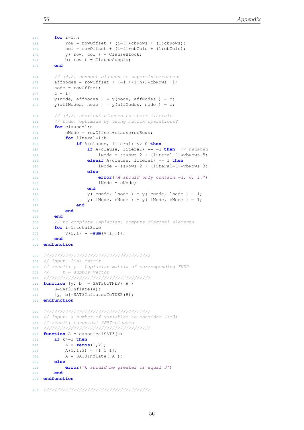```
168 row = rowOffset + (i−1)∗cbRows + (1:cbRows);
169 col = rowOffset + (i−1)∗cbCols + (1:cbCols);
170 y(row, col) = ClauseBlock;171 b(row) = ClauseSupply;
172 end
174 // (4.2) connect clauses to super−interconnect
175 affNodes = rowOffset + (-1 + (1:n)) *cbRows +1;
176 node = rowOffset;
177 c = 1;
178 y(node, affNodes ) = y(node, affNodes ) – c;
179 y(affNodes, node ) = y(affNodes, node ) – c;
181 // (4.3) shortcut clauses to their literals
182 // todo: optimize by using matrix operations?
183 for clause=1:n
184 cNode = rowOffset+clause∗cbRows;
185 for literal=1:h
186 if A(clause, literal) <> 0 then
187 if A(clause, literal) == −1 then // negated
188 lNode = ssRows+2 + (literal−1)∗vbRows+5;
189 elseif A(clause, literal) == 1 then
190 lNode = ssRows+2 + (literal−1)∗vbRows+3;
191 else
192 error("A should only contain −1, 0, 1.")
193 lNode = cNode;
194 end
195 y( cNode, lNode ) = y( cNode, lNode ) - 1;
196 y( lNode, cNode ) = y( lNode, cNode ) – 1;
197 end
198 end
199 end
200 // to complete Laplacian: compute diagonal elements
201 for i=1:totalSize
202 y(i,i) = −sum(y(i,:));
203 end
204 endfunction
206 ///////////////////////////////////////
207 // input: 3SAT matrix
208 // result: y − Laplacian matrix of corresponding TNEP
209 // b − supply vector
210 ///////////////////////////////////////
211 function [y, b] = SAT3toTNEP( A )
212 B=SAT3Inflate(A);
213 [y, b]=SAT3InflatedToTNEP(B);
214 endfunction
216 ///////////////////////////////////////
217 // input: k number of variables to consider (>=3)218 // result: canonical 3SAT−clauses
219 ///////////////////////////////////////
220 function A = canonicalSAT3(k)
221 if k>=3 then
222 A = zeros(1,k);
223 A(1, 1:3) = [1 \ 1 \ 1];224 A = SAT3Inflate(A);
225 else
226 error("k should be greater or equal 3")
227 end
228 endfunction
```

```
230 ///////////////////////////////////////
```
**for** i=1:n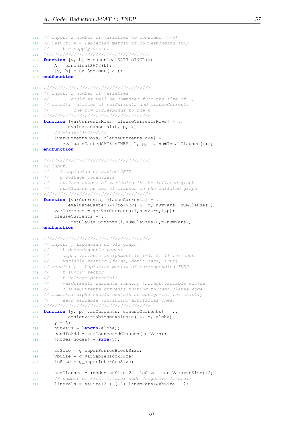// input: k number of variables to consider (>=3)

```
232 // result: y − Laplacian matrix of corresponding TNEP
233 // b − supply vector
234 ///////////////////////////////////////
235 function [y, b] = canonicalSAT3toTNEP(k)
236 A = \text{canonicalSAT3}(k);237 [y, b] = SAT3toTNEP(A);
238 endfunction
240 ///////////////////////////////////////
241 // input: k number of variables
242 // (could as well be computed from the size of L)
243 // result: matrices of varCurrents and clauseCurrents
244 // one row corresponds to one k
245 ///////////////////////////////////////
246 function [varCurrentsRows, clauseCurrentsRows] = ..
247 evaluateCanonial(L, p, k)
248 //4∗k∗(k−1)∗(k−2)/3
249 [varCurrentsRows, clauseCurrentsRows] =..
250 evaluateCastedSAT3toTNEP( L, p, k, numTotalClauses(k));
251 endfunction
253 ///////////////////////////////////////
254 // input:
255 // L laplacian of casted 3SAT
256 // p voltage potentials
257 // numVars number of variables in the inflated graph
258 // numClauses number of clauses in the inflated graph
259 ///////////////////////////////////////
260 function [varCurrents, clauseCurrents] = ..
261 evaluateCastedSAT3toTNEP( L, p, numVars, numClauses )
262 varCurrents = getVarCurrents(1,numVars,L,p);
263 clauseCurrents = ..
264 getClauseCurrents(1,numClauses,L,p,numVars);
265 endfunction
267 ///////////////////////////////////////
268 // input: y Laplacian of old graph
269 // b demand/supply vector
270 // alpha variable assignment in \{-1, 0, 1\} for each
271 // variable meaning {false, don't−care, true}
272 // result: y − Laplacian matrix of corresponding TNEP
273 // b supply vector
274 // p voltage potentials
275 // varCurrents currents running through variable blocks
276 // clauseCurrents currents running through clause edge
277 // remarks: alpha should contain an assignment for exactly
278 // each variable (including artificial ones)
279 ///////////////////////////////////////
280 function [y, p, varCurrents, clauseCurrents] = ..
281 assignVariablesNEvaluate( L, b, alpha)
282 y = L;283 numVars = length(alpha);
284 condToAdd = numConnectedClauses(numVars);
285 [nodes nodes] = size(y);
287 ssSize = g_superSourceBlockSize;
288 vbSize = g_variableBlockSize;
289 icSize = g_superInterConSize;
291 numClauses = (nodes−ssSize−2 − icSize − numVars∗vbSize)/2;
292 // number of first literal node (negative literal)
293 literals = ssSize+2 + (−1+ 1:numVars)∗vbSize + 2;
```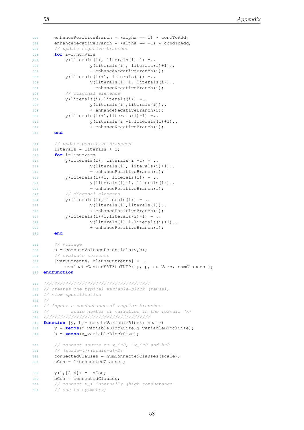```
295 enhancePositiveBranch = (alpha == 1) ∗ condToAdd;
296 enhanceNegativeBranch = (alpha == −1) ∗ condToAdd;
297 // update negative branches
298 for i=1:numVars
299 y(literals(i), literals(i)+1) =..
300 y(literals(i), literals(i)+1)..
301 - enhanceNegativeBranch(i);
302 y(literals(i)+1, literals(i)) =..
303 y(literals(i)+1, literals(i))..
304 - enhanceNegativeBranch(i);
305 // diagonal elements
306 y(literals(i), literals(i)) =..
307 y(literals(i), literals(i))..
308 + enhanceNegativeBranch(i);
309 y(literals(i)+1, literals(i)+1) =..
y(literals(i)+1, literals(i)+1)..
311 + enhanceNegativeBranch(i);
312 end
314 // update posistive branches
315 literals = literals + 2;
316 for i=1:numVars
317 y(literals(i), literals(i)+1) = ..
318 y(literals(i), literals(i)+1)..
319 - enhancePositiveBranch(i);
320 y(literals(i)+1, literals(i)) = ..
321 y(literals(i)+1, literals(i))..
322 − enhancePositiveBranch(i);
323 // diagonal elements
324 \quad \text{y}(litervals(i), litervals(i)) = .325 y(literals(i), literals(i))..
326 + enhancePositiveBranch(i);
327 y(literals(i)+1, literals(i)+1) = ..
328 y(literals(i)+1, literals(i)+1)..
329 + enhancePositiveBranch(i);
330 end
332 // voltage
333 p = computeVoltagePotentials(y,b);
334 // evaluate currents
335 [varCurrents, clauseCurrents] = ..
336 evaluateCastedSAT3toTNEP( y, p, numVars, numClauses );
337 endfunction
339 ///////////////////////////////////////
340 // creates one typical variable−block (reuse),
341 // view specification
342 /343 // input: c conductance of regular branches
344 // scale number of variables in the formula (k)
345 ///////////////////////////////////////
346 function [y, b]= createVariableBlock( scale)
347 y = zeros(g_variableBlockSize,g_variableBlockSize);
348 b = zeros(g_variableBlockSize);
350 // connect source to x_i^0, 1x_i^0 and h^0351 // (scale−1)∗(scale−2)∗2;
352 connectedClauses = numConnectedClauses(scale);
353 sCon = 1/connectedClauses;
355 y(1, [2 4]) = -sCon;356 bCon = connectedClauses;
357 // connect x_i internally (high conductance
358 // due to symmetry)
```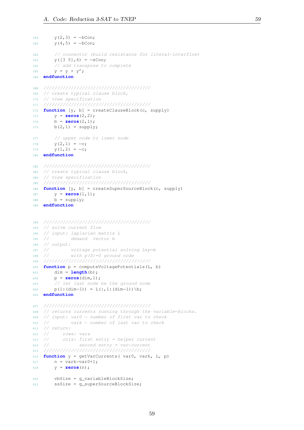```
359 y(2, 3) = -bCon;360 y(4,5) = -bCon;362 // connector (build resistance for literal−interflow)
363 y([3 5], 6) = -sCon;364 // add transpose to complete
365 y = y + y';
366 endfunction
368 ///////////////////////////////////////
369 // create typical clause block,
370 // view specification
371 ///////////////////////////////////////
372 function [y, b] = createClauseBlock(c, supply)
373 y = zeros(2,2);
374 b = zeros(2,1);
375 b(2,1) = supply;
377 // upper node to lower node
378 y(2, 1) = -c;379 y(1,2) = -c;380 endfunction
382 ///////////////////////////////////////
383 // create typical clause block,
384 // view specification
385 ///////////////////////////////////////
386 function [y, b] = createSuperSourceBlock(c, supply)
387 y = zeros(1,1);
388 b = supply;
389 endfunction
392 ///////////////////////////////////////
393 // solve current flow
394 // input: laplacian matrix L
395 // demand vector b
396 // output:<br>397 //
397 // voltage potential solving L∗p=b
398 // with p($)=0 ground node
399 ///////////////////////////////////////
400 function p = computeVoltagePotentials(L, b)
401 dim = length(b);
402 p = zeros(dim,1);
403 // let last node be the ground node
404 p(1:(dim-1)) = L(:, 1:(\text{dim}-1))\backslash b;405 endfunction
407 ///////////////////////////////////////
408 // returns currents running through the variable−blocks.
409 // input: var0 − number of first var to check
410 // vark − number of last var to check
411 // return:
412 // rows: vars
413 // cols: first entry = helper current
414 // second entry = var−current
415 ///////////////////////////////////////
416 function y = getVarCurrents( var0, vark, L, p)
417 n = \text{vark} - \text{var}(0+1);
418 y = zeros(n);
420 vbSize = g_variableBlockSize;
421 ssSize = g_superSourceBlockSize;
```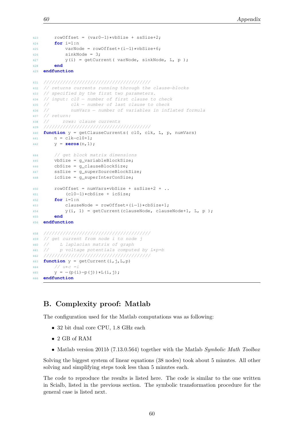```
423 rowOffset = (var0−1)∗vbSize + ssSize+2;
424 for i=1:n
425 varNode = rowOffset+(i−1)∗vbSize+6;
426 sinkNode = 3;
427 y(i) = getCurrent( varNode, sinkNode, L, p );
428 end
429 endfunction
431 ///////////////////////////////////////
432 // returns currents running through the clause−blocks
433 // specified by the first two parameters.
434 // input: cl0 − number of first clause to check
435 // clk − number of last clause to check
436 // numVars − number of variables in inflated formula
437 // return:
438 // rows: clause currents
439 ///////////////////////////////////////
440 function y = getClauseCurrents( cl0, clk, L, p, numVars)
441 n = clk−cl0+1;
442 y = \text{zeros}(n, 1);
444 // get block matrix dimensions
445 vbSize = g_variableBlockSize;
446 cbSize = g_clauseBlockSize;
447 ssSize = g_superSourceBlockSize;
448 icSize = g_superInterConSize;
450 rowOffset = numVars∗vbSize + ssSize+2 + ..
451 (cl0−1)∗cbSize + icSize;
452 for i=1:n
453 clauseNode = rowOffset+(i−1)∗cbSize+1;
454 y(i, 1) = getCurrent(clauseNode, clauseNode+1, L, p );
455 end
456 endfunction
458 ///////////////////////////////////////
459 // get current from node i to node j
460 // L laplacian matrix of graph
461 // p voltage potentials computed by L∗p=b
462 ///////////////////////////////////////
```

```
464 // u * c = i465 y = -(p(i)-p(j)) *L(i,j);466 endfunction
```
## B. Complexity proof: Matlab

463 **function**  $y = getCurrent(i, j, L, p)$ 

The configuration used for the Matlab computations was as following:

- 32 bit dual core CPU, 1.8 GHz each
- 2 GB of RAM
- Matlab version 2011b (7.13.0.564) together with the Matlab Symbolic Math Toolbox

Solving the biggest system of linear equations (38 nodes) took about 5 minutes. All other solving and simplifying steps took less than 5 minutes each.

The code to reproduce the results is listed here. The code is similar to the one written in Scialb, listed in the previous section. The symbolic transformation procedure for the general case is listed next.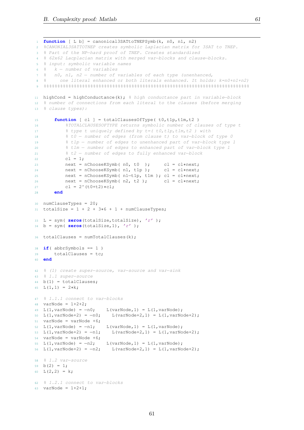```
1 function [ L b] = canonical3SATtoTNEPSymb(k, n0, n1, n2)
2 %CANONIAL3SATTOTNEP creates symbolic Laplacian matrix for 3SAT to TNEP.
3 % Part of the NP−hard proof of TNEP. Creates standardized
4 % 62x62 Lacplacian matrix with merged var−blocks and clause−blocks.
5 % input: symbolic variable names
6 % k − number of variables
7 % n0, n1, n2 − number of variables of each type (unenhanced,
8 % one literal enhanced or both literals enhanced. It holds: k=n0+n1+n2)
9 %%%%%%%%%%%%%%%%%%%%%%%%%%%%%%%%%%%%%%%%%%%%%%%%%%%%%%%%%%%%%%%%%%%%%%%%%%%
11 highCond = highConductance(k); % high conductance part in variable−block
12 % number of connections from each literal to the clauses (before merging
13 % clause types):
15 function [ cl ] = totalClausesOfType( t0,t1p,t1m,t2 )
16 %TOTALCLAUSESOFTYPE returns symbolic number of clauses of type t
17 % type t uniquely defined by t=( t0, t1p, t1m, t2 ) with
18 % t0 − number of edges (from clause t) to var−block of type 0
19 % t1p − number of edges to unenhanced part of var−block type 1
20 % t1m − number of edges to enhanced part of var−block type 1
21 % t2 − number of edges to fully enhanced var−block
22 cl = 1;
23 next = nChooseKSymb(n0, t0); cl = cl∗next;<br>
next = nChooseKSymb(n1, t1p); cl = cl∗next;
24 next = nChooseKSymb( n1, t1p );
25 next = nChooseKSymb( n1−t1p, t1m ); cl = cl∗next;
26 next = nChooseKSymb( n2, t2 ); cl = cl∗next;
27 cl = 2^{\wedge}(t0+t2)*cl;
28 end
30 numClauseTypes = 20;
31 totalSize = 1 + 2 + 3*6 + 1 + \text{numClauserypes};
33 L = sym( zeros(totalSize,totalSize), 'r' );
34 b = sym( zeros(totalSize,1), 'r' );
36 totalClauses = numTotalClauses(k);
38 if( abbrSymbols == 1 )
39 totalClauses = tc;
40 end
42 % (1) create super−source, var−source and var−sink
43 % 1.1 super−source
44 b(1) = totalClauses;
45 L(1, 1) = 2*k;47 % 1.1.1 connect to var−blocks
48 varNode = 1+2+2;
\text{L}(1,\text{varNode}) = -n0; \qquad \text{L}(\text{varNode},1) = \text{L}(1,\text{varNode});50 L(1, varNode+2) = -n0; L(varNode+2, 1) = L(1, varNode+2);51 varNode = varNode +6;
52 L(1, \text{varNode}) = -n1; L(\text{varNode}, 1) = L(1, \text{varNode});53 L(1, varNode+2) = -n1; L(varNode+2, 1) = L(1, varNode+2);54 varNode = varNode +6;
55 L(1, varNode) = -n2; L(varNode, 1) = L(1, varNode);56 L(1, varNode+2) = -n2; L(varNode+2, 1) = L(1, varNode+2);58 % 1.2 var−source
59 b(2) = 1;60 L(2, 2) = k;62 % 1.2.1 connect to var−blocks
63 varNode = 1+2+1;
```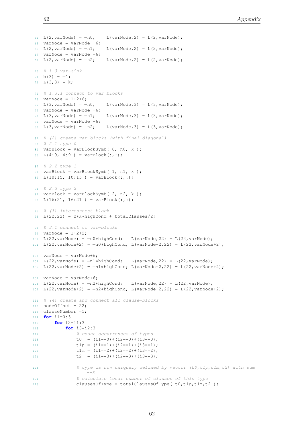```
64 L(2, varNode) = -n0; L(varNode, 2) = L(2, varNode);65 varNode = varNode +6;
66 L(2, varNode) = -n1; L(varNode, 2) = L(2, varNode);67 varNode = varNode +6;
68 L(2, varNode) = -n2; L(varNode, 2) = L(2, varNode);70 % 1.3 var−sink
71 b(3) = -1;72 L(3, 3) = k;74 % 1.3.1 connect to var blocks
75 varNode = 1+2+6;
76 \text{ L}(3, \text{varNode}) = -n0; \text{ L}(\text{varNode}, 3) = L(3, \text{varNode});77 varNode = varNode +6;
78 L(3, \text{varNode}) = -n1; \qquad L(\text{varNode}, 3) = L(3, \text{varNode});79 varNode = varNode +6;
80 L(3, varNode) = -n2; L(varNode, 3) = L(3, varNode);82 % (2) create var blocks (with final diagonal)
83 % 2.1 type 0
84 varBlock = varBlockSymb( 0, n0, k );
85 L(4:9, 4:9 ) = varBlock(:,:);
87 % 2.2 type 1
88 varBlock = varBlockSymb( 1, n1, k );
89 L(10:15, 10:15 ) = varBlock(:,:);
91 % 2.3 type 2
92 varBlock = varBlockSymb( 2, n2, k );
93 L(16:21, 16:21) = varBlock(:,:);95 % (3) interconnect−block
96 L(22,22) = 2∗k∗highCond + totalClauses/2;
98 % 3.1 connect to var−blocks
99 varNode = 1+2+2;
100 L(22, varNode) = -n0*highCond; L(varNode, 22) = L(22, varNode);101 L(22, varNode+2) = -n0*highCond; L(varNode+2, 22) = L(22, varNode+2);103 varNode = varNode+6;
104 L(22, varNode) = -n1*highCond; L(varNode, 22) = L(22, varNode);
105 L(22, \text{varNode}+2) = -n1 * \text{highCond}; L(\text{varNode}+2, 22) = L(22, \text{varNode}+2);107 varNode = varNode+6;
108 L(22, varNode) = -n2*highCond; L(varNode, 22) = L(22, varNode);109 L(22, varNode+2) = -n2*highCond; L(varNode+2, 22) = L(22, varNode+2);
111 % (4) create and connect all clause−blocks
112 nodeOffset = 22;
113 clauseNumber =1;
114 for i1=0:3
115 for i2=i1:3
116 for i3=i2:3
117 6 count occurrences of types
118 t0 = (i1 == 0) + (i2 == 0) + (i3 == 0);119 t1p = (i1 == 1) + (i2 == 1) + (i3 == 1);120 t1m = (i1 == 2) + (i2 == 2) + (i3 == 2);121 t2 = (i1 == 3) + (i2 == 3) + (i3 == 3);123 % type is now uniquely defined by vector (t0,t1p,t1m,t2) with sum
                    ==\frac{3}{2}124 % calculate total number of clauses of this type
125 clausesOfType = totalClausesOfType(t0,t1p,t1m,t2);
```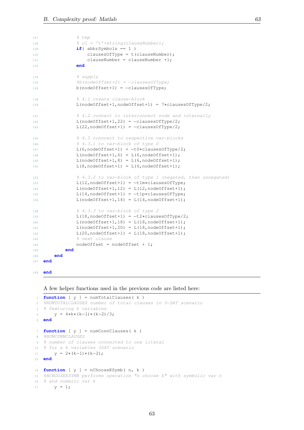```
127 % tmp
128 % cl = 't'+string(clauseNumber);
129 if(abbrSymbols == 1)130 clausesOfType = t(clauseNumber);
131 clauseNumber = clauseNumber +1;
132 end
134 % supply
135 %b(nodeOffset+2) = -clausesOfType;
136 b(nodeOffset+1) = -clausesOfType;
138 % 4.1 create clause−block
139 L(nodeOffset+1,nodeOffset+1) = 7*clausesOfType/2;
141 % 4.2 connect to interconnect node and internally
142 L(nodeOffset+1,22) = -clausesOfType/2;
143 L(22,nodeOffset+1) = -clausesOfType/2;
145 % 4.3 connnect to respective var−blocks
146 % 4.3.1 to var−block of type 0
147 L(6,nodeOffset+1) = -t0*clausesOfType/2;
148 L(nodeOffset+1, 6) = L(6, nodeOffset+1);149 L(nodeOffset+1,8) = L(6,nodeOffset+1);150 L(8, \text{nodeOffset+1}) = L(6, \text{nodeOffset+1});152 % 4.3.2 to var−block of type 1 (negated, then unnegated)
153 L(12,nodeOffset+1) = -t1m*clausesOfType;
154 L(nodeOffset+1,12) = L(12,nodeOffset+1);155 L(14,nodeOffset+1) = -t1p*clausesOfType;
156 L(nodeOffset+1,14) = L(14,nodeOffset+1);158 % 4.3.3 to var-block of type 2
159 L(18,nodeOffset+1) = -t2*clausesOfType/2;
160 L(nodeOffset+1,18) = L(18,nodeOffset+1);161 L(nodeOffset+1,20) = L(18,nodeOffset+1);
162 L(20, nodeOffset+1) = L(18, nodeOffset+1);163 % next clause
164 nodeOffset = nodeOffset + 1;
165 end
166 end
167 end
```

```
169 end
```
A few helper functions used in the previous code are listed here:

```
1 function [y] = numTotalClauses(k)2 %NUMTOTALCLAUSES number of total clauses in 3−SAT scenario
3 % featuring k variables
4 y = 4∗k∗(k−1)∗(k−2)/3;
5 end
7 function [ y ] = numConnClauses( k )
8 %NUMCONNCLAUSES
9 % number of clauses connected to one literal
10 % for a k variables 3SAT scenario
11 y = 2*(k-1)*(k-2);
12 end
14 function [ y ] = nChooseKSymb( n, k )
15 %NCHOOSEKSYMB performs operation "n choose k" with symbolic var n
16 % and numeric var k
17 y = 1;
```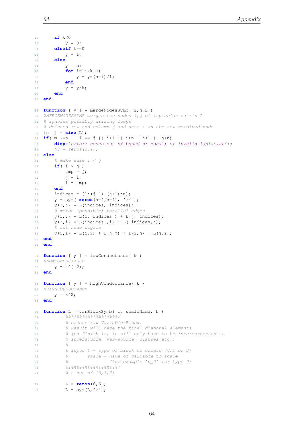```
19 if k<0
20 y = 0;21 elseif k==0
22 y = 1;23 else
24 y = n;25 for i=1:(k−1)
26 y = y * (n-i)/i;27 end
28 y = y/k;29 end
30 end
32 function [ y ] = mergeNodesSymb( i, j, L )
33 %MERGENODESSYMB merges two nodes i, j of laplacian matrix L
34 % ignores possibly arising loops
35 % deletes row and column j and sets i as the new combined node
36 [n m] = size(L);
37 if( m ~=n || i == j || i<1 || i>n ||j<1 || j>n)
38 disp('error: nodes out of bound or equal; or invalid laplacian');
39 \frac{8y}{7} = \text{zeros}(1,1);40 else
41 % make sure i < j
42 if( i > j )
43 tmp = j;
44 j = i;45 i = \text{tmp};46 end
47 indices = [1:(j−1) (j+1):n];
48 y = sym( zeros(n−1,n−1), 'r' );
49 y(:,:) = L(indices, indices);50 % merge (possible) parallel edges
51 \quad y(i,:) = L(i, \text{ indices } ) + L(j, \text{ indices});52 \quad y(:,i) = L(indices, i) + L(indices, j);53 % set node degree
54 y(i, i) = L(i, i) + L(j, j) + L(i, j) + L(j, i);55 end
56 end
58 function [ y ] = lowConductance( k )
59 %LOWCONDUCTANCE
60 y = k^{\wedge}(-2);61 end
63 function [ y ] = highConductance( k )
64 %HIGHCONDUCTANCE
65 y = k^2;66 end
68 function L = varBlockSymb( t, scaleName, k )
69 %%%%%%%%%%%%%%%%%%%/
70 % create raw Variable−Block.
71 % Result will have the final diagonal elements
72 % (to finish it, it will only have to be interconnected to
73 % supersource, var−source, clauses etc.)
74 \frac{9}{6}75 % input t – type of block to create (0,1 or 2)
76 % scale − name of variable to scale
77 % <sup>2</sup> (for example 'n_0' for type 0)
7879 % t out of \{0, 1, 2\}81 L = zeros(6,6);
82 L = sym(L, 'r');
```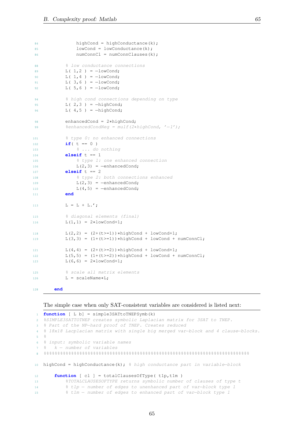```
84 highCond = highConductance(k);
85 lowCond = lowConductance(k);
86 numConnCl = numConnClauses(k);
88 88 8 % 8 10W conductance connections
89 L(1,2) = -lowCond;90 L(1, 4) = -lowCond;91 L(3, 6) = -lowCond;92 L(5, 6) = -lowCond;94 % high cond connections depending on type
95 L(2,3) = -highCond;96 L( 4,5 ) = -highCond;
98 enhancedCond = 2∗highCond;
99 %enhancedCondNeg = mulf(2*highCond, '-1');
101 % type 0: no enhanced connections
102 if( t = 0 )
103 % ... do nothing
104 elseif t == 1
105 % type 1: one enhanced connection
106 L(2,3) = -enhancedCond;107 elseif t == 2
108 6 type 2: both connections enhanced
109 L(2,3) = -enhancedCond;110 L(4,5) = -enhancedCond;111 end
113 L = L + L.';
115 % diagonal elements (final)
116 L(1,1) = 2 * lowCond+1;118 L(2,2) = (2+(t>=1))*\hbox{highCond} + \hbox{lowCond+1};119 L(3,3) = (1+(t>=1)) *highCond + lowCond + numConnCl;
121 L(4,4) = (2+(t>=2))*highCond + lowCond+1;
122 L(5,5) = (1+(t>=2))*highCond + lowCond + numConnCl;
123 L(6, 6) = 2 * lowCond+1;125 % scale all matrix elements
126 L = scaleName*L;
```
## <sup>128</sup> **end**

The simple case when only SAT-consistent variables are considered is listed next:

```
1 function [ L b] = simple3SATtoTNEPSymb(k)
2 %SIMPLE3SATTOTNEP creates symbolic Laplacian matrix for 3SAT to TNEP.
3 % Part of the NP−hard proof of TNEP. Creates reduced
4 % 18x18 Lacplacian matrix with single big merged var−block and 4 clause−blocks.
5 %
6 % input: symbolic variable names
7 % k − number of variables
8 %%%%%%%%%%%%%%%%%%%%%%%%%%%%%%%%%%%%%%%%%%%%%%%%%%%%%%%%%%%%%%%%%%%%%%%%%%%
10 highCond = highConductance(k); % high conductance part in variable−block
12 function [ cl ] = totalClausesOfType( t1p,t1m )
13 %TOTALCLAUSESOFTYPE returns symbolic number of clauses of type t
14 % t1p − number of edges to unenhanced part of var−block type 1
15 % t1m − number of edges to enhanced part of var−block type 1
```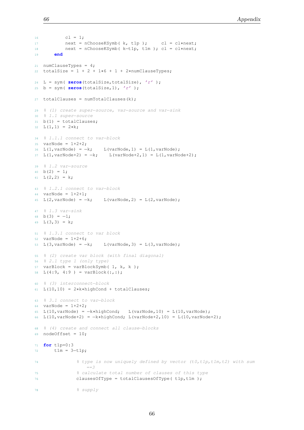```
16 cl = 1;
17 next = nChooseKSymb( k, t1p ); cl = cl*next;
18 next = nChooseKSymb( k−t1p, t1m ); cl = cl∗next;
19 end
21 numClauseTypes = 4;
22 totalSize = 1 + 2 + 1*6 + 1 + 2*numChangeTypes;24 L = sym( zeros(totalSize,totalSize), 'r' );
25 b = sym( zeros(totalSize,1), 'r' );
27 totalClauses = numTotalClasses(k);
29 % (1) create super−source, var−source and var−sink
30 % 1.1 super−source
31 b(1) = totalClauses;
32 L(1,1) = 2*k;34 % 1.1.1 connect to var−block
35 varNode = 1+2+2;
36 L(1, \text{varNode}) = -k; L(varNode, 1) = L(1, varNode);
37 L(1, \text{varNode}+2) = -k; L(\text{varNode}+2, 1) = L(1, \text{varNode}+2);39 % 1.2 var−source
40 b(2) = 1;41 L(2, 2) = k;43 % 1.2.1 connect to var−block
44 varNode = 1+2+1;
45 L(2, varNode) = -k; L(varNode, 2) = L(2, varNode);
47 % 1.3 var−sink
48 b(3) = -1;49 L(3,3) = k;51 % 1.3.1 connect to var block
52 varNode = 1+2+6;
53 L(3, varNode) = -k; L(varNode, 3) = L(3, varNode);
55 % (2) create var block (with final diagonal)
56 % 2.1 type 1 (only type)
57 varBlock = varBlockSymb( 1, k, k );
58 L(4:9, 4:9) = varBlock(:,:);60 % (3) interconnect−block
61 L(10,10) = 2*k*hiqhCond + totalClasses;63 % 3.1 connect to var−block
64 varNode = 1+2+2;
65 L(10, varNode) = -k * highCond; L(varNode, 10) = L(10, varNode);66 L(10, varNode+2) = -k * highCond; L(varNode+2, 10) = L(10, varNode+2);68 % (4) create and connect all clause−blocks
69 nodeOffset = 10;
71 for t1p=0:3
72 t1m = 3-t1p;
74 % type is now uniquely defined by vector (t0,t1p,t1m,t2) with sum
                  ==375 % calculate total number of clauses of this type
76 clausesOfType = totalClausesOfType(t1p,t1m);
```
78 % supply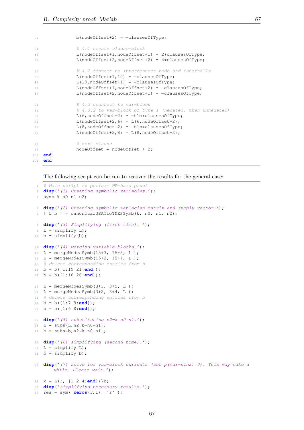```
79 b(nodeOffset+2) = -clausesOfType;
81 81 % 8 4.1 create clause-block
82 L(nodeOffset+1,nodeOffset+1) = 2∗clausesOfType;
83 L(nodeOffset+2,nodeOffset+2) = 4∗clausesOfType;
85 % 4.2 connect to interconnect node and internally
86 L(nodeOffset+1,10) = -clausesOfType;
87 L(10,nodeOffset+1) = -clausesOfType;
88 L(nodeOffset+1,nodeOffset+2) = -clausesOfType;
89 L(nodeOffset+2,nodeOffset+1) = -clausesOfType;
91 % 4.3 connnect to var-block
92 % 4.3.2 to var−block of type 1 (negated, then unnegated)
93 L(6,nodeOffset+2) = -t1m*clausesOfType;
94 L(nodeOffset+2,6) = L(6, nodeOffset+2);95 L(8,nodeOffset+2) = -t1p*clausesOfType;
96 L(nodeOffset+2,8) = L(8,nodeOffset+2);98 % and the set clause
99 nodeOffset = nodeOffset + 2;
100 end
101 end
```
The following script can be run to recover the results for the general case:

```
1 % Main script to perform NP−hard proof
2 disp('(1) Creating symbolic variables.');
3 syms k n0 n1 n2;
  disp('(2) Creating symbolic Laplacian matrix and supply vector.');
6 [ L b ] = canonical3SATtoTNEPSymb(k, n0, n1, n2);
8 disp('(3) Simplifying (first time). ');
9 L = simplify(L);
10 b = simplify(b);
12 disp('(4) Merging variable−blocks.');
13 L = mergeNodesSymb(15+3, 15+5, L);
14 L = mergeNodesSymb(15+2, 15+4, L );
15 % delete corresponding entries from b
16 b = b([1:19 21:end]);
17 b = b([1:18 20:end]);
19 L = mergeNodesSymb(3+3, 3+5, L);
20 L = mergeNodesSymb(3+2, 3+4, L);
21 % delete corresponding entries from b
22 b = b([1:7 9:end]);
23 b = b([1:6 8:end]);
25 disp('(5) substituting n2=k-n0-n1.');
26 L = subs(L,n2,k−n0−n1);
27 b = subs(b,n2,k−n0−n1);
29 disp('(6) simplifying (second time).');
30 L = simplify(L);
31 b = simplify(b);
33 disp('(7) solve for var−block currents (set p(var−sink)=0). This may take a
       while. Please wait.');
35 x = L(:, [1 2 4:end])\b;36 disp('simplifying necessary results.');
37 res = sym( zeros(3,1), 'r' );
```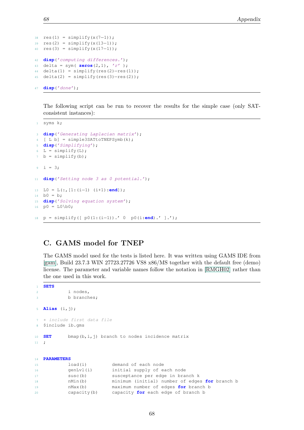```
s_8 res(1) = simplify(x(7-1));
39 res(2) = simplify(x(13-1));
40 res(3) = simplify(x(17−1));
42 disp('computing differences.');
43 delta = sym( zeros(2,1), 'r' );
44 delta(1) = simplify(res(2)−res(1));
45 delta(2) = simplify(res(3)−res(2));
```

```
47 disp('done');
```
The following script can be run to recover the results for the simple case (only SATconsistent instances):

```
1 syms k;
3 disp('Generating Laplacian matrix');
4 [ L b] = simple3SATtoTNEPSymb(k);
5 disp('Simplifying');
6 L = simplify(L);
7 b = simplify(b);
9 \quad i = 3;11 disp('Setting node 3 as 0 potential.');
13 L0 = L(:,[1:(i−1) (i+1):end]);
14 b0 = b;15 disp('Solving equation system');
16 p0 = L0\b0;
18 p = simplify([ p0(1:(i−1)).' 0 p0(i:end).' ].');
```
## C. GAMS model for TNEP

The GAMS model used for the tests is listed here. It was written using GAMS IDE from [\[gam\]](#page-60-0), Build 23.7.3 WIN 27723.27726 VS8 x86/MS together with the default free (demo) license. The parameter and variable names follow the notation in [\[RMGH02\]](#page-61-0) rather than the one used in this work.

```
1 SETS
2 i nodes,
3 b branches;
5 Alias (i,j);
  7 ∗ include first data file
8 $include ib.gms
10 SET bmap(b,i,j) branch to nodes incidence matrix
11 \t i14 PARAMETERS
15 load(i) demand of each node
16 genLvl(i) initial supply of each node
17 susc(b) susceptance per edge in branch k
18 nMin(b) minimum (initial) number of edges for branch b
19 nMax(b) maximum number of edges for branch b
20 capacity(b) capacity for each edge of branch b
```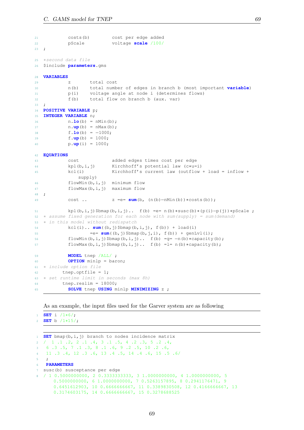```
21 costs(b) cost per edge added
22 pScale voltage scale /100/
23 \cdot \cdot \cdot25 ∗second data file
26 $include parameters.gms
28 VARIABLES
29 z total cost
30 n(b) total number of edges in branch b (most important variable)
31 p(i) voltage angle at node i (determines flows)
32 f(b) total flow on branch b (aux. var)
33 \frac{1}{2}34 POSITIVE VARIABLE p;
35 INTEGER VARIABLE n;
36 n.lo(b) = nMin(b);
37 n.up(b) = nMax(b);
38 f.lo(b) = −1000;
39 f.up(b) = 1000;
40 p.up(i) = 1000;
42 EQUATIONS
43 cost added edges times cost per edge
44 kpl(b,i,j) Kirchhoff's potential law (c∗u=i)
45 kcl(i) Kirchhoff's current law (outflow + load = inflow +
             supply)
46 flowMin(b,i,j) minimum flow
47 flowMax(b,i,j) maximum flow
48 ;
49 cost .. z =e= sum(b, (n(b)−nMin(b))∗costs(b));
51 kpl(b,i,j)$bmap(b,i,j).. f(b) =e= n(b)∗susc(b)∗(p(i)−p(j))∗pScale ;
52 ∗ assume fixed generation for each node with sum(supply) = sum(demand)
53 ∗ in this model without redispatch
54 kcl(i).. sum((b,j)$bmap(b,i,j), f(b)) + load(i)
55 = = \frac{sum((b, j)$bmap(b,j,i), f(b)) + genLvl(i);
56 flowMin(b,i,j)$bmap(b,i,j).. f(b) =g= -n(b)*capacity(b);
57 flowMax(b,i,j)$bmap(b,i,j).. f(b) =l= n(b)*capacity(b);
59 MODEL tnep /ALL/ ;
60 OPTION minlp = baron;
61 ∗ include option file
62 tnep.optfile = 1;
63 ∗ set runtime limit in seconds (max 8h)
64 tnep.reslim = 18000;
65 SOLVE tnep USING minlp MINIMIZING z ;
```
As an example, the input files used for the Garver system are as following

 **SET** i /1∗6/; **SET** b /1∗15/;

 **SET** bmap(b,i,j) branch to nodes incidence matrix / 1 .1 .2, 2 .1 .4, 3 .1 .5, 4 .2 .3, 5 .2 .4, 6 .3 .5, 7 .1 .3, 8 .1 .6, 9 .2 .5, 10 .2 .6, 11 .3 .4, 12 .3 .6, 13 .4 .5, 14 .4 .6, 15 .5 .6/  $5<sub>5</sub>$  **PARAMETERS** susc(b) susceptance per edge / 1 0.5000000000, 2 0.3333333333, 3 1.0000000000, 4 1.0000000000, 5 0.5000000000, 6 1.0000000000, 7 0.5263157895, 8 0.2941176471, 9 0.6451612903, 10 0.6666666667, 11 0.3389830508, 12 0.4166666667, 13 0.3174603175, 14 0.6666666667, 15 0.3278688525